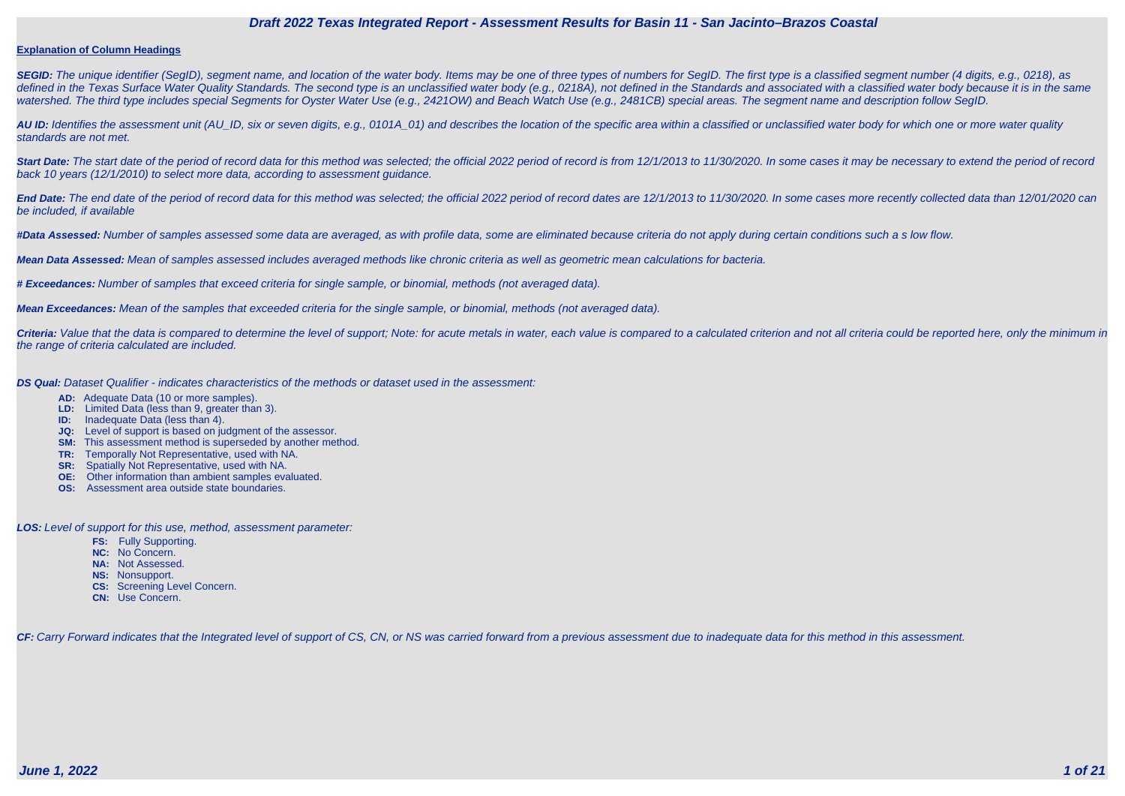#### **Explanation of Column Headings**

SEGID: The unique identifier (SegID), segment name, and location of the water body. Items may be one of three types of numbers for SegID. The first type is a classified segment number (4 digits, e.g., 0218), as defined in the Texas Surface Water Quality Standards. The second type is an unclassified water body (e.g., 0218A), not defined in the Standards and associated with a classified water body because it is in the same watershed. The third type includes special Segments for Oyster Water Use (e.g., 2421OW) and Beach Watch Use (e.g., 2481CB) special areas. The segment name and description follow SegID.

**AU ID:** Identifies the assessment unit (AU\_ID, six or seven digits, e.g., 0101A\_01) and describes the location of the specific area within a classified or unclassified water body for which one or more water quality standards are not met.

Start Date: The start date of the period of record data for this method was selected; the official 2022 period of record is from 12/1/2013 to 11/30/2020. In some cases it may be necessary to extend the period of record back 10 years (12/1/2010) to select more data, according to assessment guidance.

End Date: The end date of the period of record data for this method was selected; the official 2022 period of record dates are 12/1/2013 to 11/30/2020. In some cases more recently collected data than 12/01/2020 can be included, if available

Criteria: Value that the data is compared to determine the level of support; Note: for acute metals in water, each value is compared to a calculated criterion and not all criteria could be reported here, only the minimum i the range of criteria calculated are included.

**#Data Assessed:** Number of samples assessed some data are averaged, as with profile data, some are eliminated because criteria do not apply during certain conditions such a s low flow.

**Mean Data Assessed:** Mean of samples assessed includes averaged methods like chronic criteria as well as geometric mean calculations for bacteria.

**# Exceedances:** Number of samples that exceed criteria for single sample, or binomial, methods (not averaged data).

**Mean Exceedances:** Mean of the samples that exceeded criteria for the single sample, or binomial, methods (not averaged data).

**DS Qual:** Dataset Qualifier - indicates characteristics of the methods or dataset used in the assessment:

- **AD:** Adequate Data (10 or more samples).
- **LD:** Limited Data (less than 9, greater than 3).
- **ID:** Inadequate Data (less than 4).
- **JQ:** Level of support is based on judgment of the assessor.
- **SM:** This assessment method is superseded by another method.
- **TR:** Temporally Not Representative, used with NA.
- **SR:** Spatially Not Representative, used with NA.
- **OE:** Other information than ambient samples evaluated.
- **OS:** Assessment area outside state boundaries.

**LOS:** Level of support for this use, method, assessment parameter:

- **FS:** Fully Supporting.
- **NC:** No Concern.
- **NA:** Not Assessed.
- **NS:** Nonsupport.
- **CS:** Screening Level Concern.
- **CN:** Use Concern.

CF: Carry Forward indicates that the Integrated level of support of CS, CN, or NS was carried forward from a previous assessment due to inadequate data for this method in this assessment.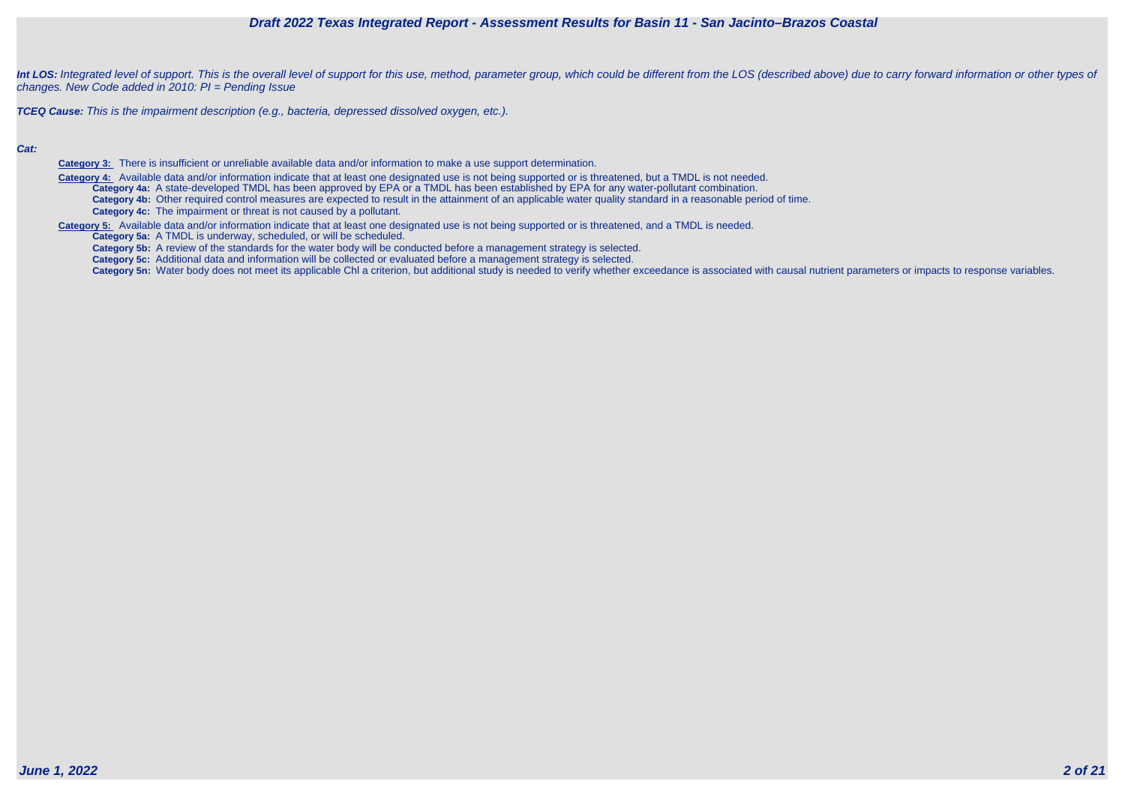



Int LOS: Integrated level of support. This is the overall level of support for this use, method, parameter group, which could be different from the LOS (described above) due to carry forward information or other types of changes. New Code added in 2010: PI = Pending Issue

**TCEQ Cause:** This is the impairment description (e.g., bacteria, depressed dissolved oxygen, etc.).

#### **Cat:**

**Category 3:** There is insufficient or unreliable available data and/or information to make a use support determination.

Category 4: Available data and/or information indicate that at least one designated use is not being supported or is threatened, but a TMDL is not needed. **Category 4a:** A state-developed TMDL has been approved by EPA or a TMDL has been established by EPA for any water-pollutant combination. **Category 4b:** Other required control measures are expected to result in the attainment of an applicable water quality standard in a reasonable period of time. **Category 4c:** The impairment or threat is not caused by a pollutant.

**Category 5:** Available data and/or information indicate that at least one designated use is not being supported or is threatened, and a TMDL is needed.

**Category 5a:** A TMDL is underway, scheduled, or will be scheduled.

**Category 5b:** A review of the standards for the water body will be conducted before a management strategy is selected.

**Category 5c:** Additional data and information will be collected or evaluated before a management strategy is selected.

Category 5n: Water body does not meet its applicable Chl a criterion, but additional study is needed to verify whether exceedance is associated with causal nutrient parameters or impacts to response variables.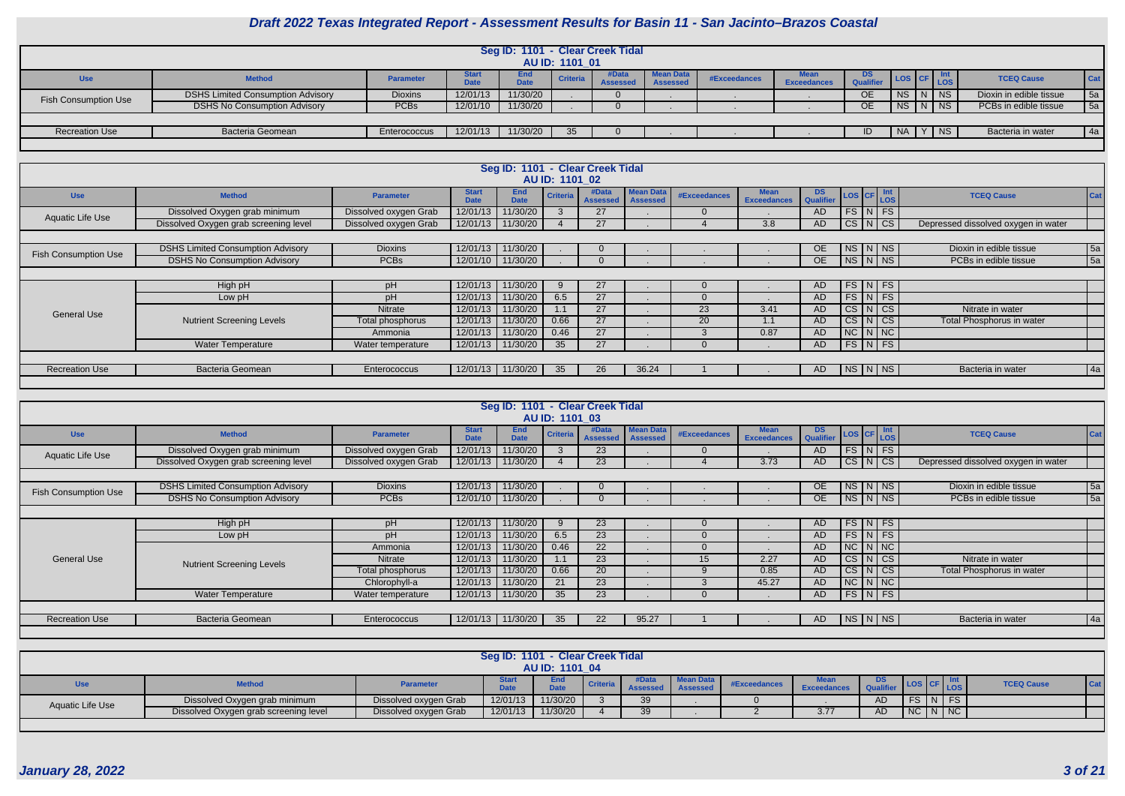

|                             |                                                                                                                                                                                                                                                                                                                                                                               |              |          |          | AU ID: 1101 01 | Seg ID: 1101 - Clear Creek Tidal |  |  |  |           |             |        |  |                       |             |
|-----------------------------|-------------------------------------------------------------------------------------------------------------------------------------------------------------------------------------------------------------------------------------------------------------------------------------------------------------------------------------------------------------------------------|--------------|----------|----------|----------------|----------------------------------|--|--|--|-----------|-------------|--------|--|-----------------------|-------------|
| <b>Use</b>                  | Mean Data<br>#Data<br>End<br><b>Start</b><br>DS<br>$ $ Cat<br><b>TCEQ Cause</b><br><b>Criteria</b><br>#Exceedances<br><b>Method</b><br><b>Parameter</b><br><b>Qualifier</b><br><b>Exceedances</b><br><b>Assessed</b><br><b>Date</b><br><b>Date</b><br><b>Assesse</b><br>5a<br>11/30/20<br>$NS$ $N$ $NS$<br>12/01/13<br><b>OE</b><br>Dioxin in edible tissue<br><b>Dioxins</b> |              |          |          |                |                                  |  |  |  |           |             |        |  |                       |             |
| <b>Fish Consumption Use</b> | <b>DSHS Limited Consumption Advisory</b>                                                                                                                                                                                                                                                                                                                                      |              |          |          |                |                                  |  |  |  |           |             |        |  |                       |             |
|                             | <b>DSHS No Consumption Advisory</b>                                                                                                                                                                                                                                                                                                                                           | PCBs         | 12/01/10 | 11/30/20 |                |                                  |  |  |  | <b>OE</b> | NS   N   NS |        |  | PCBs in edible tissue | 5a          |
|                             |                                                                                                                                                                                                                                                                                                                                                                               |              |          |          |                |                                  |  |  |  |           |             |        |  |                       |             |
| <b>Recreation Use</b>       | <b>Bacteria Geomean</b>                                                                                                                                                                                                                                                                                                                                                       | Enterococcus | 12/01/13 | 11/30/20 | 35             |                                  |  |  |  | ID        |             | Y   NS |  | Bacteria in water     | $\sqrt{4a}$ |
|                             |                                                                                                                                                                                                                                                                                                                                                                               |              |          |          |                |                                  |  |  |  |           |             |        |  |                       |             |

|                             |                                          |                       |                             | Seg ID: 1101 - Clear Creek Tidal | AU ID: 1101 02  |                          |                                     |                 |                                   |                  |                                                            |                                     |     |
|-----------------------------|------------------------------------------|-----------------------|-----------------------------|----------------------------------|-----------------|--------------------------|-------------------------------------|-----------------|-----------------------------------|------------------|------------------------------------------------------------|-------------------------------------|-----|
| <b>Use</b>                  | <b>Method</b>                            | <b>Parameter</b>      | <b>Start</b><br><b>Date</b> | <b>End</b><br><b>Date</b>        | <b>Criteria</b> | #Data<br><b>Assessed</b> | <b>Mean Data</b><br><b>Assessed</b> | #Exceedances    | <b>Mean</b><br><b>Exceedances</b> | DS.<br>Qualifier | $\left  \text{LoS} \right $ CF $\left  \text{Int} \right $ | <b>TCEQ Cause</b>                   | Cat |
| <b>Aquatic Life Use</b>     | Dissolved Oxygen grab minimum            | Dissolved oxygen Grab | 12/01/13                    | 11/30/20                         |                 | 27                       |                                     |                 |                                   | AD.              | $FS\vert N \vert FS$                                       |                                     |     |
|                             | Dissolved Oxygen grab screening level    | Dissolved oxygen Grab | 12/01/13                    | 11/30/20                         |                 | 27                       |                                     |                 | 3.8                               | AD.              | $CS\vert N\vert CS\vert$                                   | Depressed dissolved oxygen in water |     |
|                             |                                          |                       |                             |                                  |                 |                          |                                     |                 |                                   |                  |                                                            |                                     |     |
| <b>Fish Consumption Use</b> | <b>DSHS Limited Consumption Advisory</b> | <b>Dioxins</b>        | 12/01/13                    | 11/30/20                         |                 | $\Omega$                 |                                     |                 |                                   | OE.              | $NS\ N\$                                                   | Dioxin in edible tissue             | 5a  |
|                             | <b>DSHS No Consumption Advisory</b>      | <b>PCBs</b>           | 12/01/10                    | 11/30/20                         |                 | $\Omega$                 |                                     |                 |                                   | OE.              | $NS\mid N\mid NS$                                          | PCBs in edible tissue               | 5a  |
|                             |                                          |                       |                             |                                  |                 |                          |                                     |                 |                                   |                  |                                                            |                                     |     |
|                             | High pH                                  | pH                    | 12/01/13                    | 11/30/20                         | 9               | 27                       |                                     | -0              |                                   | AD               | $FS$ N FS                                                  |                                     |     |
|                             | Low pH                                   | pH                    | 12/01/13                    | 11/30/20                         | 6.5             | 27                       |                                     | 0               |                                   | AD.              | $FS\vert N \vert FS$                                       |                                     |     |
|                             |                                          | <b>Nitrate</b>        | 12/01/13                    | 11/30/20                         | 1.1             | 27                       |                                     | 23              | 3.41                              | AD.              | CS N CS                                                    | Nitrate in water                    |     |
| General Use                 | <b>Nutrient Screening Levels</b>         | Total phosphorus      | 12/01/13                    | 11/30/20                         | 0.66            | 27                       |                                     | 20 <sup>1</sup> | 1.1                               | AD.              | $CS\vert N\vert CS\vert$                                   | Total Phosphorus in water           |     |
|                             |                                          | Ammonia               | 12/01/13                    | 11/30/20                         | 0.46            | 27                       |                                     |                 | 0.87                              | AD.              | $NC$ $N$ $NC$                                              |                                     |     |
|                             | <b>Water Temperature</b>                 | Water temperature     | 12/01/13                    | 11/30/20                         | 35              | 27                       |                                     |                 |                                   | AD               | $FS$ N FS                                                  |                                     |     |
|                             |                                          |                       |                             |                                  |                 |                          |                                     |                 |                                   |                  |                                                            |                                     |     |
| <b>Recreation Use</b>       | <b>Bacteria Geomean</b>                  | Enterococcus          | 12/01/13                    | 11/30/20                         | 35              | 26                       | 36.24                               |                 |                                   | AD.              | $N_S/N$ $NS$                                               | Bacteria in water                   | 4a  |
|                             |                                          |                       |                             |                                  |                 |                          |                                     |                 |                                   |                  |                                                            |                                     |     |

|                             |                                          |                       |                             |                           | AU ID: 1101 03  | Seg ID: 1101 - Clear Creek Tidal |                                     |                     |                                   |                                       |                      |                                     |                 |
|-----------------------------|------------------------------------------|-----------------------|-----------------------------|---------------------------|-----------------|----------------------------------|-------------------------------------|---------------------|-----------------------------------|---------------------------------------|----------------------|-------------------------------------|-----------------|
| <b>Use</b>                  | <b>Method</b>                            | <b>Parameter</b>      | <b>Start</b><br><b>Date</b> | <b>End</b><br><b>Date</b> | <b>Criteria</b> | #Data<br><b>Assessed</b>         | <b>Mean Data</b><br><b>Assessed</b> | <b>#Exceedances</b> | <b>Mean</b><br><b>Exceedances</b> | DS LOS CF Int<br>Qualifier LOS CF LOS |                      | <b>TCEQ Cause</b>                   | Cat             |
| Aquatic Life Use            | Dissolved Oxygen grab minimum            | Dissolved oxygen Grab | 12/01/13                    | 11/30/20                  |                 | 23 <sup>°</sup>                  |                                     |                     |                                   | AD.                                   | $FS\vert N \vert FS$ |                                     |                 |
|                             | Dissolved Oxygen grab screening level    | Dissolved oxygen Grab | 12/01/13                    | 11/30/20                  |                 | 23                               |                                     |                     | 3.73                              | AD                                    | CS N CS              | Depressed dissolved oxygen in water |                 |
|                             |                                          |                       |                             |                           |                 |                                  |                                     |                     |                                   |                                       |                      |                                     |                 |
| <b>Fish Consumption Use</b> | <b>DSHS Limited Consumption Advisory</b> | <b>Dioxins</b>        | 12/01/13                    | 11/30/20                  |                 | 0                                |                                     |                     |                                   | OE                                    | $N_S/N\sqrt{NS}$     | Dioxin in edible tissue             | 5a              |
|                             | <b>DSHS No Consumption Advisory</b>      | <b>PCBs</b>           | 12/01/10                    | 11/30/20                  |                 | $\Omega$                         |                                     |                     |                                   | OE                                    | NS N NS              | PCBs in edible tissue               | $\overline{5a}$ |
|                             |                                          |                       |                             |                           |                 |                                  |                                     |                     |                                   |                                       |                      |                                     |                 |
|                             | High pH                                  | pH                    | 12/01/13                    | 11/30/20                  | 9               | 23                               |                                     | -0                  |                                   | AD.                                   | $FS$ N FS            |                                     |                 |
|                             | Low pH                                   | pH                    | 12/01/13                    | 11/30/20                  | 6.5             | 23                               |                                     |                     |                                   | AD.                                   | $l$ FS $N$ FS        |                                     |                 |
|                             |                                          | Ammonia               | 12/01/13                    | 11/30/20                  | 0.46            | 22                               |                                     |                     |                                   | AD.                                   | $NC$ $N$ $NC$        |                                     |                 |
| General Use                 | <b>Nutrient Screening Levels</b>         | Nitrate               | 12/01/13                    | 11/30/20                  | 1.1             | 23                               |                                     | 15                  | 2.27                              | AD                                    | CS N CS              | Nitrate in water                    |                 |
|                             |                                          | Total phosphorus      | 12/01/13                    | 11/30/20                  | 0.66            | 20 <sup>1</sup>                  |                                     |                     | 0.85                              | AD.                                   | CS N CS              | Total Phosphorus in water           |                 |
|                             |                                          | Chlorophyll-a         | 12/01/13                    | 11/30/20                  | 21              | 23                               |                                     |                     | 45.27                             | AD.                                   | $NC$ $N$ $NC$        |                                     |                 |
|                             | <b>Water Temperature</b>                 | Water temperature     | 12/01/13                    | 11/30/20                  | 35              | 23                               |                                     |                     |                                   | AD                                    | $FS$ $N$ $FS$        |                                     |                 |
|                             |                                          |                       |                             |                           |                 |                                  |                                     |                     |                                   |                                       |                      |                                     |                 |
| <b>Recreation Use</b>       | <b>Bacteria Geomean</b>                  | Enterococcus          | 12/01/13                    | 11/30/20                  | 35              | 22                               | 95.27                               |                     |                                   | AD.                                   | NSTNI                | Bacteria in water                   | 4a              |
|                             |                                          |                       |                             |                           |                 |                                  |                                     |                     |                                   |                                       |                      |                                     |                 |

|                         |                                                                                                                                                                                                                              |                       | Seg ID: 1101 - Clear Creek Tidal | <b>AU ID: 1101 04</b> |  |    |  |  |      |     |         |  |  |  |
|-------------------------|------------------------------------------------------------------------------------------------------------------------------------------------------------------------------------------------------------------------------|-----------------------|----------------------------------|-----------------------|--|----|--|--|------|-----|---------|--|--|--|
| Use                     | <b>Mean Data</b><br>End<br>DS.<br><b>Criteria</b><br><b>TCEQ Cause</b><br><b>Cat</b><br><b>Method</b><br>#Exceedances<br><b>LOS CF LOS</b><br><b>Parameter</b><br>7.4.<br><b>Date</b><br><b>Exceedances</b><br>$FS$ $N$ $FS$ |                       |                                  |                       |  |    |  |  |      |     |         |  |  |  |
| <b>Aquatic Life Use</b> | Dissolved Oxygen grab minimum                                                                                                                                                                                                | Dissolved oxygen Grab | 12/01/13                         | 11/30/20              |  | 39 |  |  |      | AD. |         |  |  |  |
|                         | Dissolved Oxygen grab screening level                                                                                                                                                                                        | Dissolved oxygen Grab | 12/01/13                         | 11/30/20              |  | 39 |  |  | 3.77 | AD. | NCININC |  |  |  |
|                         |                                                                                                                                                                                                                              |                       |                                  |                       |  |    |  |  |      |     |         |  |  |  |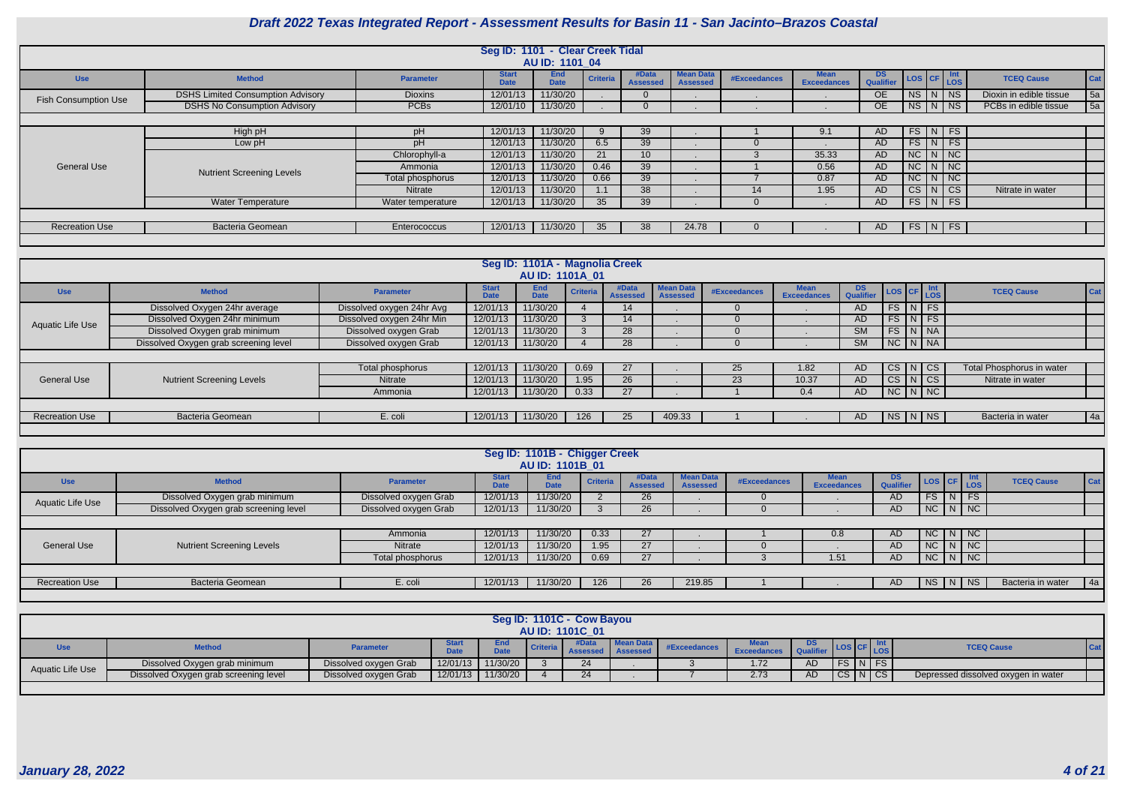

|                             |                                          |                   | Seg ID: 1101 - Clear Creek Tidal | AU ID: 1101 04            |                 |                          |                                     |              |                                   |                        |                     |    |                   |                         |            |
|-----------------------------|------------------------------------------|-------------------|----------------------------------|---------------------------|-----------------|--------------------------|-------------------------------------|--------------|-----------------------------------|------------------------|---------------------|----|-------------------|-------------------------|------------|
| <b>Use</b>                  | <b>Method</b>                            | <b>Parameter</b>  | <b>Start</b><br><b>Date</b>      | <b>End</b><br><b>Date</b> | <b>Criteria</b> | #Data<br><b>Assesser</b> | <b>Mean Data</b><br><b>Assessed</b> | #Exceedances | <b>Mean</b><br><b>Exceedances</b> | <b>DS</b><br>Qualifier | LOS CF Int          |    |                   | <b>TCEQ Cause</b>       | <b>Cat</b> |
| <b>Fish Consumption Use</b> | <b>DSHS Limited Consumption Advisory</b> | <b>Dioxins</b>    | 12/01/13                         | 11/30/20                  |                 |                          |                                     |              |                                   | <b>OE</b>              | NS N                |    | NS                | Dioxin in edible tissue | 5a         |
|                             | <b>DSHS No Consumption Advisory</b>      | <b>PCBs</b>       | 12/01/10                         | 11/30/20                  |                 |                          |                                     |              |                                   | <b>OE</b>              | NS                  | N. | <b>NS</b>         | PCBs in edible tissue   | 5a         |
|                             |                                          |                   |                                  |                           |                 |                          |                                     |              |                                   |                        |                     |    |                   |                         |            |
|                             | High pH                                  | pH                | 12/01/13                         | 11/30/20                  |                 | 39                       |                                     |              | 9.1                               | <b>AD</b>              | <b>FS</b>           | N  | FS                |                         |            |
|                             | Low pH                                   | pH                | 12/01/13                         | 11/30/20                  | 6.5             | 39                       |                                     |              |                                   | <b>AD</b>              | $FS$ $N$ $FS$       |    |                   |                         |            |
|                             |                                          | Chlorophyll-a     | 12/01/13                         | 11/30/20                  | 21              | 10 <sup>1</sup>          |                                     |              | 35.33                             | AD                     | NC                  |    | NNC               |                         |            |
| <b>General Use</b>          | <b>Nutrient Screening Levels</b>         | Ammonia           | 12/01/13                         | 11/30/20                  | 0.46            | 39                       |                                     |              | 0.56                              | AD                     | $NC$ $N$ $NC$       |    |                   |                         |            |
|                             |                                          | Total phosphorus  | 12/01/13                         | 11/30/20                  | 0.66            | 39                       |                                     |              | 0.87                              | AD                     | $NC$ $N$ $NC$       |    |                   |                         |            |
|                             |                                          | Nitrate           | 12/01/13                         | 11/30/20                  | I . I           | 38                       |                                     | 14           | 1.95                              | <b>AD</b>              | $CS$ $N$            |    | $  \mathsf{CS}  $ | Nitrate in water        |            |
|                             | <b>Water Temperature</b>                 | Water temperature | 12/01/13                         | 11/30/20                  | 35              | 39                       |                                     |              |                                   | <b>AD</b>              | $FS \mid N \mid FS$ |    |                   |                         |            |
|                             |                                          |                   |                                  |                           |                 |                          |                                     |              |                                   |                        |                     |    |                   |                         |            |
| <b>Recreation Use</b>       | <b>Bacteria Geomean</b>                  | Enterococcus      | 12/01/13                         | 11/30/20                  | 35              | 38                       | 24.78                               |              |                                   | <b>AD</b>              | $FS\mid N \mid FS$  |    |                   |                         |            |
|                             |                                          |                   |                                  |                           |                 |                          |                                     |              |                                   |                        |                     |    |                   |                         |            |

|                       |                                       |                           |                             | Seg ID: 1101A - Magnolia Creek<br><b>AU ID: 1101A 01</b> |                 |                          |                              |              |                            |                        |                        |                           |
|-----------------------|---------------------------------------|---------------------------|-----------------------------|----------------------------------------------------------|-----------------|--------------------------|------------------------------|--------------|----------------------------|------------------------|------------------------|---------------------------|
| <b>Use</b>            | <b>Method</b>                         | <b>Parameter</b>          | <b>Start</b><br><b>Date</b> | End<br><b>Date</b>                                       | <b>Criteria</b> | #Data<br><b>Assessed</b> | Mean Data<br><b>Assessed</b> | #Exceedances | Mean<br><b>Exceedances</b> | <b>DS</b><br>Qualifier | LOS CF LOS             | <b>TCEQ Cause</b><br>Cat  |
|                       | Dissolved Oxygen 24hr average         | Dissolved oxygen 24hr Avg | 12/01/13                    | 11/30/20                                                 |                 | 14                       |                              |              |                            | <b>AD</b>              | $FS$ $N$ $FS$          |                           |
| Aquatic Life Use      | Dissolved Oxygen 24hr minimum         | Dissolved oxygen 24hr Min | 12/01/13                    | 11/30/20                                                 |                 | 14                       |                              |              |                            | AD                     | $FS$ $N$ $FS$          |                           |
|                       | Dissolved Oxygen grab minimum         | Dissolved oxygen Grab     | 12/01/13                    | 11/30/20                                                 |                 | 28                       |                              |              |                            | <b>SM</b>              | $FS$ $N$ $NA$          |                           |
|                       | Dissolved Oxygen grab screening level | Dissolved oxygen Grab     | 12/01/13                    | 11/30/20                                                 |                 | 28                       |                              |              |                            | <b>SM</b>              | $NC$ $N$ $NA$          |                           |
|                       |                                       |                           |                             |                                                          |                 |                          |                              |              |                            |                        |                        |                           |
|                       |                                       | Total phosphorus          | 12/01/13                    | 11/30/20                                                 | 0.69            | 27                       |                              | 25           | 1.82                       | AD                     | $CS$ $N$ $CS$          | Total Phosphorus in water |
| <b>General Use</b>    | <b>Nutrient Screening Levels</b>      | <b>Nitrate</b>            | 12/01/13                    | 11/30/20                                                 | 1.95            | 26                       |                              | 23           | 10.37                      | AD                     | $CS$ $N$ $CS$          | Nitrate in water          |
|                       |                                       | Ammonia                   | 12/01/13                    | 11/30/20                                                 | 0.33            | 27                       |                              |              | 0.4                        | AD                     | $NC\mid N\mid NC\mid$  |                           |
|                       |                                       |                           |                             |                                                          |                 |                          |                              |              |                            |                        |                        |                           |
| <b>Recreation Use</b> | <b>Bacteria Geomean</b>               | E. coli                   | 12/01/13                    | 11/30/20                                                 | 126             | 25 <sub>2</sub>          | 409.33                       |              |                            | AD.                    | $NS\mid N\mid NS \mid$ | 4a<br>Bacteria in water   |
|                       |                                       |                           |                             |                                                          |                 |                          |                              |              |                            |                        |                        |                           |

|                       |                                       |                       |                             | Seg ID: 1101B - Chigger Creek<br><b>AU ID: 1101B 01</b> |                 |                          |                                     |              |                                   |                         |                     |                             |                   |     |
|-----------------------|---------------------------------------|-----------------------|-----------------------------|---------------------------------------------------------|-----------------|--------------------------|-------------------------------------|--------------|-----------------------------------|-------------------------|---------------------|-----------------------------|-------------------|-----|
| <b>Use</b>            | <b>Method</b>                         | <b>Parameter</b>      | <b>Start</b><br><b>Date</b> | <b>End</b><br><b>Date</b>                               | <b>Criteria</b> | #Data<br><b>Assessed</b> | <b>Mean Data</b><br><b>Assessed</b> | #Exceedances | <b>Mean</b><br><b>Exceedances</b> | DS.<br><b>Qualifier</b> | LOS CF Int          |                             | <b>TCEQ Cause</b> | Cat |
| Aquatic Life Use      | Dissolved Oxygen grab minimum         | Dissolved oxygen Grab | 12/01/13                    | 11/30/20                                                |                 | 26                       |                                     |              |                                   | AD                      | <b>FS</b>           | <b>FS</b><br>N <sup>2</sup> |                   |     |
|                       | Dissolved Oxygen grab screening level | Dissolved oxygen Grab | 12/01/13                    | 11/30/20                                                |                 | 26                       |                                     |              |                                   | AD                      | NC N NC             |                             |                   |     |
|                       |                                       |                       |                             |                                                         |                 |                          |                                     |              |                                   |                         |                     |                             |                   |     |
|                       |                                       | Ammonia               | 12/01/13                    | 11/30/20                                                | 0.33            | 27                       |                                     |              | 0.8                               | <b>AD</b>               | $NC \mid N \mid NC$ |                             |                   |     |
| <b>General Use</b>    | <b>Nutrient Screening Levels</b>      | <b>Nitrate</b>        | 12/01/13                    | 11/30/20                                                | 1.95            | 27                       |                                     |              |                                   | <b>AD</b>               | $NC$ $N$ $NC$       |                             |                   |     |
|                       |                                       | Total phosphorus      | 12/01/13                    | 11/30/20                                                | 0.69            | 27                       |                                     |              | 1.51                              | AD                      | $NC$ $N$ $NC$       |                             |                   |     |
|                       |                                       |                       |                             |                                                         |                 |                          |                                     |              |                                   |                         |                     |                             |                   |     |
| <b>Recreation Use</b> | <b>Bacteria Geomean</b>               | E. coli               | 12/01/13                    | 11/30/20                                                | 126             | 26 <sub>1</sub>          | 219.85                              |              |                                   | AD.                     | NS   N   NS         |                             | Bacteria in water | 4a  |
|                       |                                       |                       |                             |                                                         |                 |                          |                                     |              |                                   |                         |                     |                             |                   |     |

|                  |                                       |                       |          |                    |          | Seg ID: 1101C - Cow Bayou<br><b>AU ID: 1101C 01</b> |                  |              |                   |           |         |        |                                     |  |
|------------------|---------------------------------------|-----------------------|----------|--------------------|----------|-----------------------------------------------------|------------------|--------------|-------------------|-----------|---------|--------|-------------------------------------|--|
| <b>Use</b>       | <b>Method</b>                         | <b>Parameter</b>      |          | End<br><b>Data</b> | Criteria |                                                     | <b>Mean Data</b> | #Exceedances | <b>Exceedance</b> | DS        |         | LOS    | <b>TCEQ Cause</b>                   |  |
| Aquatic Life Use | Dissolved Oxygen grab minimum         | Dissolved oxygen Grab |          | 12/01/13 11/30/20  |          | 24                                                  |                  |              | 1.72 <sub>1</sub> | <b>AD</b> |         | $N$ FS |                                     |  |
|                  | Dissolved Oxygen grab screening level | Dissolved oxygen Grab | 12/01/13 | 11/30/20           |          | 24                                                  |                  |              | 2.73              | <b>AD</b> | CS N CS |        | Depressed dissolved oxygen in water |  |
|                  |                                       |                       |          |                    |          |                                                     |                  |              |                   |           |         |        |                                     |  |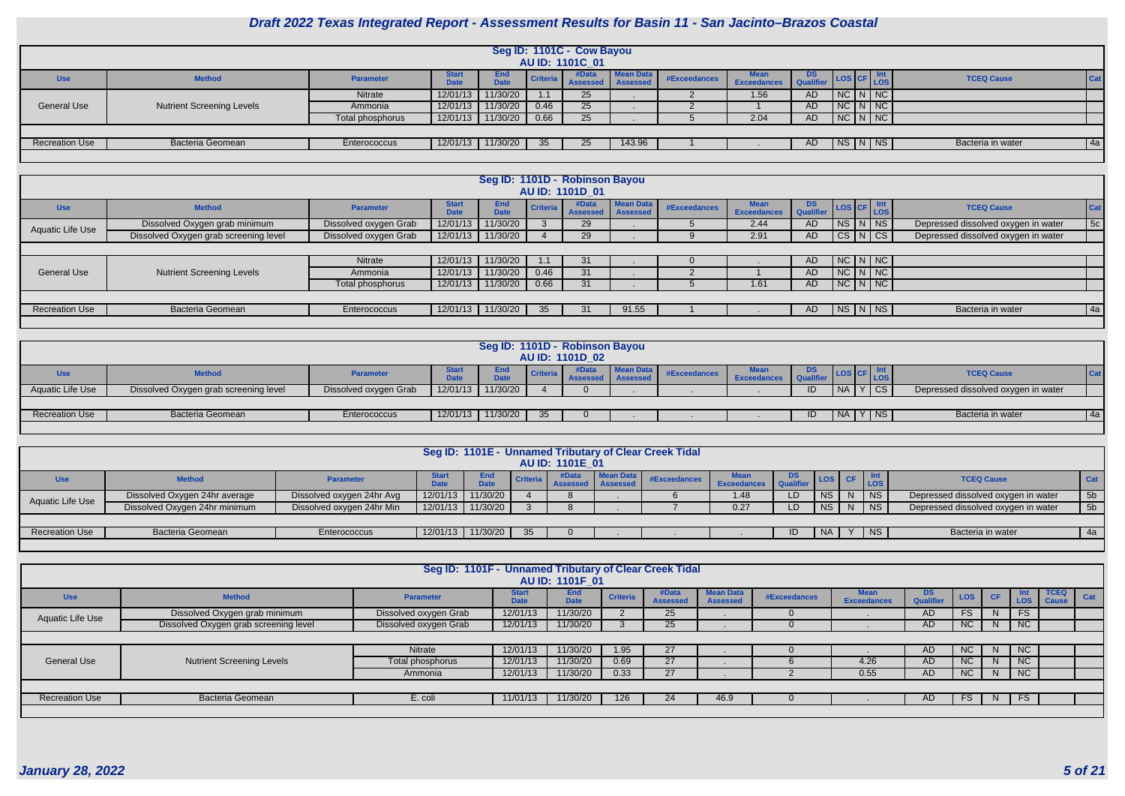

|                       |                                  |                  |                             |                    |                 | Seg ID: 1101C - Cow Bayou<br><b>AU ID: 1101C 01</b> |           |              |                                   |                        |                           |                   |         |
|-----------------------|----------------------------------|------------------|-----------------------------|--------------------|-----------------|-----------------------------------------------------|-----------|--------------|-----------------------------------|------------------------|---------------------------|-------------------|---------|
| <b>Use</b>            | <b>Method</b>                    | <b>Parameter</b> | <b>Start</b><br><b>Data</b> | <b>End</b><br>Dota | <b>Criteria</b> | Assessed Assessed                                   | Mean Data | #Exceedances | <b>Mean</b><br><b>Exceedances</b> | DS<br><b>Cualifier</b> | LOS CF Int                | <b>TCEQ Cause</b> | $ $ Cat |
|                       |                                  | Nitrate          | 12/01/13                    | 11/30/20           |                 | 25                                                  |           |              | 1.56                              | AD.                    | NCININC                   |                   |         |
| <b>General Use</b>    | <b>Nutrient Screening Levels</b> | Ammonia          | 12/01/13                    | 11/30/20           | 0.46            | 25                                                  |           |              |                                   | AD.                    | NCININC                   |                   |         |
|                       |                                  | Total phosphorus | 12/01/13                    | 11/30/20           | 0.66            | 25                                                  |           |              | 2.04                              | AD                     | NCI N/NC                  |                   |         |
|                       |                                  |                  |                             |                    |                 |                                                     |           |              |                                   |                        |                           |                   |         |
| <b>Recreation Use</b> | <b>Bacteria Geomean</b>          | Enterococcus     | 12/01/13                    | 11/30/20           | 35 <sub>1</sub> | 25                                                  | 143.96    |              |                                   | AD                     | $\sqrt{NS}$ N $\sqrt{NS}$ | Bacteria in water | 4a      |
|                       |                                  |                  |                             |                    |                 |                                                     |           |              |                                   |                        |                           |                   |         |

|                         |                                       |                       |                             |                           |                 | Seg ID: 1101D - Robinson Bayou |                              |              |                                   |                 |                       |                                     |            |
|-------------------------|---------------------------------------|-----------------------|-----------------------------|---------------------------|-----------------|--------------------------------|------------------------------|--------------|-----------------------------------|-----------------|-----------------------|-------------------------------------|------------|
|                         |                                       |                       |                             |                           |                 | AU ID: 1101D 01                |                              |              |                                   |                 |                       |                                     |            |
| <b>Use</b>              | <b>Method</b>                         | <b>Parameter</b>      | <b>Start</b><br><b>Date</b> | <b>End</b><br><b>Date</b> | <b>Criteria</b> | #Data<br><b>Assessed</b>       | <b>Mean Data</b><br>Assessed | #Exceedances | <b>Mean</b><br><b>Exceedances</b> | DS<br>Qualifier | LOS CF LOS            | <b>TCEQ Cause</b>                   | <b>Cat</b> |
| <b>Aquatic Life Use</b> | Dissolved Oxygen grab minimum         | Dissolved oxygen Grab | 12/01/13                    | 11/30/20                  |                 | 29                             |                              |              | 2.44                              | AD.             | $NS$ $N$ $NS$         | Depressed dissolved oxygen in water | 5c         |
|                         | Dissolved Oxygen grab screening level | Dissolved oxygen Grab | 12/01/13                    | 11/30/20                  |                 | 29                             |                              |              | 2.91                              | AD              | CS N CS               | Depressed dissolved oxygen in water |            |
|                         |                                       |                       |                             |                           |                 |                                |                              |              |                                   |                 |                       |                                     |            |
|                         |                                       | Nitrate               | 12/01/13                    | 11/30/20                  |                 | 31                             |                              |              |                                   | AD.             | $NC$ $N$ $NC$         |                                     |            |
| <b>General Use</b>      | <b>Nutrient Screening Levels</b>      | Ammonia               | 12/01/13                    | 11/30/20                  | 0.46            | 31                             |                              |              |                                   | AD.             | $NC$ $N$ $NC$         |                                     |            |
|                         |                                       | Total phosphorus      | 12/01/13                    | 11/30/20                  | 0.66            | 31                             |                              |              | 1.61                              | AD.             | $NC\mid N\mid NC\mid$ |                                     |            |
|                         |                                       |                       |                             |                           |                 |                                |                              |              |                                   |                 |                       |                                     |            |
| <b>Recreation Use</b>   | <b>Bacteria Geomean</b>               | Enterococcus          | 12/01/13                    | 11/30/20                  | 35              | 31                             | 91.55                        |              |                                   | AD.             | $N_S$ $N$ $N_S$       | Bacteria in water                   | 4a         |
|                         |                                       |                       |                             |                           |                 |                                |                              |              |                                   |                 |                       |                                     |            |

|                         |                                       |                       |          | Seg ID: 1101D - Robinson Bayou |          | <b>AU ID: 1101D_02</b> |                  |              |                    |     |               |            |                                     |    |
|-------------------------|---------------------------------------|-----------------------|----------|--------------------------------|----------|------------------------|------------------|--------------|--------------------|-----|---------------|------------|-------------------------------------|----|
| Use                     | <b>Method</b>                         | <b>Parameter</b>      |          | End<br><b>D.L.</b>             | Criteria | <b>Assesser</b>        | <b>Mean Data</b> | #Exceedances | <b>Exceedances</b> | DS  |               | <b>LOS</b> | <b>TCEQ Cause</b>                   |    |
| <b>Aquatic Life Use</b> | Dissolved Oxygen grab screening level | Dissolved oxygen Grab | 12/01/13 | 11/30/20                       |          |                        |                  |              |                    |     | $NA$ $Y$ $CS$ |            | Depressed dissolved oxygen in water |    |
|                         |                                       |                       |          |                                |          |                        |                  |              |                    |     |               |            |                                     |    |
| <b>Recreation Use</b>   | <b>Bacteria Geomean</b>               | Enterococcus          | 12/01/13 | 11/30/20                       |          |                        |                  |              |                    | -ID | NA   Y   NS   |            | Bacteria in water                   | 4a |
|                         |                                       |                       |          |                                |          |                        |                  |              |                    |     |               |            |                                     |    |

|                       |                               |                           |             |                           |          | AU ID: 1101E 01 |                                       | Seg ID: 1101E - Unnamed Tributary of Clear Creek Tidal |                     |    |                                      |            |                                     |             |
|-----------------------|-------------------------------|---------------------------|-------------|---------------------------|----------|-----------------|---------------------------------------|--------------------------------------------------------|---------------------|----|--------------------------------------|------------|-------------------------------------|-------------|
| <b>Use</b>            | <b>Method</b>                 | <b>Parameter</b>          | <b>Data</b> | <b>End</b><br><b>Date</b> | Criteria | #Data           | <b>Mean Data</b><br>Assessed Assessed | #Exceedances                                           | Mean<br>Exceedances |    | $\lfloor$ LOS $\lfloor$ CF $\rfloor$ | <b>LOS</b> | <b>TCEQ Cause</b>                   | <b>Cat</b>  |
| Aquatic Life Use      | Dissolved Oxygen 24hr average | Dissolved oxygen 24hr Avg |             | 12/01/13 11/30/20         |          |                 |                                       |                                                        | 1.48                | LD | NS.                                  | $N$   NS   | Depressed dissolved oxygen in water | 5b          |
|                       | Dissolved Oxygen 24hr minimum | Dissolved oxygen 24hr Min |             | 12/01/13 11/30/20         |          |                 |                                       |                                                        | 0.27                |    | <b>NS</b>                            | $N$ NS     | Depressed dissolved oxygen in water | 5b          |
|                       |                               |                           |             |                           |          |                 |                                       |                                                        |                     |    |                                      |            |                                     |             |
| <b>Recreation Use</b> | <b>Bacteria Geomean</b>       | Enterococcus              |             | 12/01/13 11/30/20         |          |                 |                                       |                                                        |                     | ID | <b>NA</b>                            | $Y$   NS   | Bacteria in water                   | $\sqrt{4a}$ |
|                       |                               |                           |             |                           |          |                 |                                       |                                                        |                     |    |                                      |            |                                     |             |

|                       |                                       | Seg ID: 1101F - Unnamed Tributary of Clear Creek Tidal |                             | <b>AU ID: 1101F 01</b>    |                 |                          |                                     |              |                                   |                         |            |           |            |                             |     |
|-----------------------|---------------------------------------|--------------------------------------------------------|-----------------------------|---------------------------|-----------------|--------------------------|-------------------------------------|--------------|-----------------------------------|-------------------------|------------|-----------|------------|-----------------------------|-----|
| <b>Use</b>            | <b>Method</b>                         | <b>Parameter</b>                                       | <b>Start</b><br><b>Date</b> | <b>End</b><br><b>Date</b> | <b>Criteria</b> | #Data<br><b>Assessec</b> | <b>Mean Data</b><br><b>Assessed</b> | #Exceedances | <b>Mean</b><br><b>Exceedances</b> | DS.<br><b>Qualifier</b> | <b>LOS</b> | <b>CF</b> | Int<br>LOS | <b>TCEQ</b><br><b>Cause</b> | Cat |
| Aquatic Life Use      | Dissolved Oxygen grab minimum         | Dissolved oxygen Grab                                  | 12/01/13                    | 11/30/20                  |                 | 25                       |                                     |              |                                   | AD.                     | <b>FS</b>  | N.        | FS         |                             |     |
|                       | Dissolved Oxygen grab screening level | Dissolved oxygen Grab                                  | 12/01/13                    | 11/30/20                  |                 | 25                       |                                     |              |                                   | AD                      | <b>NC</b>  | N         | NC         |                             |     |
|                       |                                       |                                                        |                             |                           |                 |                          |                                     |              |                                   |                         |            |           |            |                             |     |
|                       |                                       | Nitrate                                                | 12/01/13                    | 11/30/20                  | 1.95            | 27                       |                                     |              |                                   | <b>AD</b>               | <b>NC</b>  | N.        | NC         |                             |     |
| <b>General Use</b>    | <b>Nutrient Screening Levels</b>      | Total phosphorus                                       | 12/01/13                    | 11/30/20                  | 0.69            | 27                       |                                     |              | 4.26                              | AD                      | NC         | N         | NC         |                             |     |
|                       |                                       | Ammonia                                                | 12/01/13                    | 11/30/20                  | 0.33            | 27                       |                                     |              | 0.55                              | AD                      | <b>NC</b>  | N         | NC         |                             |     |
|                       |                                       |                                                        |                             |                           |                 |                          |                                     |              |                                   |                         |            |           |            |                             |     |
| <b>Recreation Use</b> | Bacteria Geomean                      | E. coli                                                | 11/01/13                    | 11/30/20                  | 126             | 24                       | 46.9                                |              |                                   | AD.                     | FS         | N.        | FS7        |                             |     |
|                       |                                       |                                                        |                             |                           |                 |                          |                                     |              |                                   |                         |            |           |            |                             |     |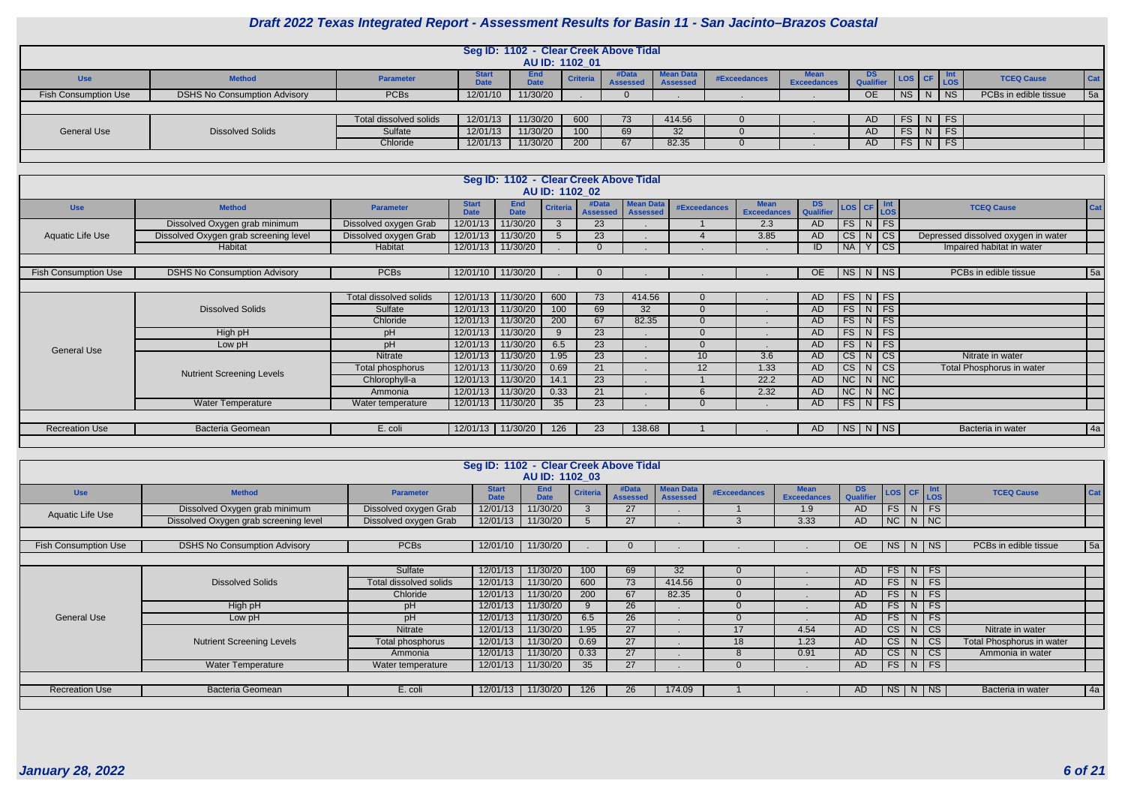

|                             |                                     |                        |                             | Seg ID: 1102 - Clear Creek Above Tidal |                  |                                |                                     |                                                                                                                                                                                                                                                                                                                                                                                                              |                                   |                 |               |               |                       |            |
|-----------------------------|-------------------------------------|------------------------|-----------------------------|----------------------------------------|------------------|--------------------------------|-------------------------------------|--------------------------------------------------------------------------------------------------------------------------------------------------------------------------------------------------------------------------------------------------------------------------------------------------------------------------------------------------------------------------------------------------------------|-----------------------------------|-----------------|---------------|---------------|-----------------------|------------|
|                             |                                     |                        |                             |                                        | AU ID: 1102 01   |                                |                                     |                                                                                                                                                                                                                                                                                                                                                                                                              |                                   |                 |               |               |                       |            |
| <b>Use</b>                  | <b>Method</b>                       | <b>Parameter</b>       | <b>Start</b><br><b>Date</b> | <b>End</b><br><b>Date</b>              | <b>Criteria</b>  | #Data<br><b>Assessed</b>       | <b>Mean Data</b><br><b>Assessed</b> | #Exceedances                                                                                                                                                                                                                                                                                                                                                                                                 | <b>Mean</b><br><b>Exceedances</b> | DS<br>Qualifier | LOS CF Int    |               | <b>TCEQ Cause</b>     | <b>Cat</b> |
| <b>Fish Consumption Use</b> | <b>DSHS No Consumption Advisory</b> | <b>PCBs</b>            | 12/01/10                    | 11/30/20                               |                  |                                |                                     |                                                                                                                                                                                                                                                                                                                                                                                                              |                                   | <b>OE</b>       |               | NS   N   NS   | PCBs in edible tissue | 5a         |
|                             |                                     |                        |                             |                                        |                  |                                |                                     |                                                                                                                                                                                                                                                                                                                                                                                                              |                                   |                 |               |               |                       |            |
|                             |                                     | Total dissolved solids | 12/01/13                    | 11/30/20                               | 600              | 73                             | 414.56                              |                                                                                                                                                                                                                                                                                                                                                                                                              |                                   | AD.             |               | $FS$ $N$ $FS$ |                       |            |
| <b>General Use</b>          | <b>Dissolved Solids</b>             | Sulfate                | 12/01/13                    | 11/30/20                               | 100 <sup>°</sup> | 69                             | 32                                  |                                                                                                                                                                                                                                                                                                                                                                                                              |                                   | AD.             | $FS$ $N$ $FS$ |               |                       |            |
|                             |                                     | Chloride               | 12/01/13                    | 11/30/20                               | 200              | 67                             | 82.35                               |                                                                                                                                                                                                                                                                                                                                                                                                              |                                   | AD              |               | $FS$ $N$ $FS$ |                       |            |
|                             |                                     |                        |                             |                                        |                  |                                |                                     |                                                                                                                                                                                                                                                                                                                                                                                                              |                                   |                 |               |               |                       |            |
|                             |                                     |                        |                             |                                        |                  |                                |                                     |                                                                                                                                                                                                                                                                                                                                                                                                              |                                   |                 |               |               |                       |            |
|                             |                                     |                        |                             | Seg ID: 1102 - Clear Creek Above Tidal |                  |                                |                                     |                                                                                                                                                                                                                                                                                                                                                                                                              |                                   |                 |               |               |                       |            |
|                             |                                     |                        |                             |                                        | AU ID: 1102 02   |                                |                                     |                                                                                                                                                                                                                                                                                                                                                                                                              |                                   |                 |               |               |                       |            |
| <b>Use</b>                  | <b>Method</b>                       | <b>Parameter</b>       | <b>Start</b><br>Date        | End<br>Criteria<br><b>Date</b>         | #Data            | Mean Data<br>Assessed Assessed |                                     | #Exceedances Mean DS LOS CF $\begin{array}{ c c c c c c }\n\hline\n& \text{Mean} & \text{DS} & \text{LOS} & \text{CFT} & \text{Int} \\ & \text{Exceedances} & \text{Qualifier} & \text{LOS} & \text{LOS} & \text{LOS} & \text{LOS} & \text{LOS} & \text{LOS} & \text{LOS} & \text{LOS} & \text{LOS} & \text{LOS} & \text{LOS} & \text{LOS} & \text{LOS} & \text{LOS} & \text{LOS} & \text{LOS} & \text{LOS}$ |                                   |                 |               |               | <b>TCEQ Cause</b>     | Cat        |

|                             |                                       |                        |                             |                           | AU ID: 1102 02  |                          |                                     |                     |                                   |                        |         |                        |                                     |            |
|-----------------------------|---------------------------------------|------------------------|-----------------------------|---------------------------|-----------------|--------------------------|-------------------------------------|---------------------|-----------------------------------|------------------------|---------|------------------------|-------------------------------------|------------|
| <b>Use</b>                  | <b>Method</b>                         | <b>Parameter</b>       | <b>Start</b><br><b>Date</b> | <b>End</b><br><b>Date</b> | <b>Criteria</b> | #Data<br><b>Assessed</b> | <b>Mean Data</b><br><b>Assessed</b> | <b>#Exceedances</b> | <b>Mean</b><br><b>Exceedances</b> | <b>DS</b><br>Qualifier |         | LOS CF LOS             | <b>TCEQ Cause</b>                   | <b>Cat</b> |
|                             | Dissolved Oxygen grab minimum         | Dissolved oxygen Grab  | 12/01/13                    | 1/30/20                   | $\mathcal{S}$   | 23                       |                                     |                     | 2.3                               | AD.                    |         | $FS\mid N\mid FS \mid$ |                                     |            |
| Aquatic Life Use            | Dissolved Oxygen grab screening level | Dissolved oxygen Grab  | 12/01/13                    | 11/30/20                  |                 | 23                       |                                     |                     | 3.85                              | AD                     | CS N    | <b>CS</b>              | Depressed dissolved oxygen in water |            |
|                             | Habitat                               | Habitat                |                             | 12/01/13 11/30/20         |                 |                          |                                     |                     |                                   | ID                     | $N_A Y$ | $\overline{\text{cs}}$ | Impaired habitat in water           |            |
|                             |                                       |                        |                             |                           |                 |                          |                                     |                     |                                   |                        |         |                        |                                     |            |
| <b>Fish Consumption Use</b> | <b>DSHS No Consumption Advisory</b>   | <b>PCBs</b>            |                             | 12/01/10   11/30/20       |                 |                          |                                     |                     |                                   | OE                     |         | NS N NS                | PCBs in edible tissue               | 5a         |
|                             |                                       |                        |                             |                           |                 |                          |                                     |                     |                                   |                        |         |                        |                                     |            |
|                             |                                       | Total dissolved solids |                             | 12/01/13 11/30/20         | 600             | 73                       | 414.56                              | $\Omega$            |                                   | AD                     |         | $FS$ N FS              |                                     |            |
|                             | <b>Dissolved Solids</b>               | Sulfate                | 12/01/13                    | 11/30/20                  | 100             | 69                       | 32                                  | $\Omega$            |                                   | AD                     |         | $FS$ N FS              |                                     |            |
|                             |                                       | Chloride               | 12/01/13                    | 11/30/20                  | 200             | 67                       | 82.35                               | $\Omega$            |                                   | AD.                    |         | $FS$ N FS              |                                     |            |
|                             | High pH                               | pH                     | 12/01/13                    | 11/30/20                  | 9               | 23                       |                                     | $\Omega$            |                                   | AD                     |         | $FS$ N FS              |                                     |            |
| <b>General Use</b>          | Low pH                                | pH                     | 12/01/13                    | 11/30/20                  | 6.5             | 23                       |                                     | $\Omega$            |                                   | AD                     |         | $FS\mid N \mid FS$     |                                     |            |
|                             |                                       | Nitrate                | 12/01/13                    | 11/30/20                  | 1.95            | 23                       |                                     | 10 <sup>1</sup>     | 3.6                               | AD                     |         | CS N CS                | Nitrate in water                    |            |
|                             | <b>Nutrient Screening Levels</b>      | Total phosphorus       | 12/01/13                    | 11/30/20                  | 0.69            | 21                       |                                     | 12 <sup>2</sup>     | 1.33                              | AD                     |         | $CS$ N $CS$            | Total Phosphorus in water           |            |
|                             |                                       | Chlorophyll-a          | 12/01/13                    | 11/30/20                  | 14.1            | 23                       |                                     |                     | 22.2                              | AD                     |         | NCNNC                  |                                     |            |
|                             |                                       | Ammonia                | 12/01/13                    | 11/30/20                  | 0.33            | 21                       |                                     | 6                   | 2.32                              | AD.                    |         | NCNNC                  |                                     |            |
|                             | <b>Water Temperature</b>              | Water temperature      |                             | 12/01/13 11/30/20         | 35              | 23                       |                                     | $\Omega$            |                                   | AD                     |         | FS N FS                |                                     |            |
|                             |                                       |                        |                             |                           |                 |                          |                                     |                     |                                   |                        |         |                        |                                     |            |
| <b>Recreation Use</b>       | <b>Bacteria Geomean</b>               | E. coli                |                             | 12/01/13   11/30/20       | 126             | 23                       | 138.68                              |                     |                                   | AD.                    |         | NS N NS                | Bacteria in water                   | 4a         |
|                             |                                       |                        |                             |                           |                 |                          |                                     |                     |                                   |                        |         |                        |                                     |            |

|                             |                                       |                        | Seg ID: 1102 - Clear Creek Above Tidal | AU ID: 1102 03            |                 |                          |                                     |                     |                                   |                        |    |                                                            |                           |         |
|-----------------------------|---------------------------------------|------------------------|----------------------------------------|---------------------------|-----------------|--------------------------|-------------------------------------|---------------------|-----------------------------------|------------------------|----|------------------------------------------------------------|---------------------------|---------|
| <b>Use</b>                  | <b>Method</b>                         | <b>Parameter</b>       | <b>Start</b><br><b>Date</b>            | <b>End</b><br><b>Date</b> | <b>Criteria</b> | #Data<br><b>Assessed</b> | <b>Mean Data</b><br><b>Assessed</b> | <b>#Exceedances</b> | <b>Mean</b><br><b>Exceedances</b> | <b>DS</b><br>Qualifier |    | $\textsf{Los}$ $\textsf{cf}$ $\textsf{Int}$ $\textsf{Los}$ | <b>TCEQ Cause</b>         | $ $ Cat |
| Aquatic Life Use            | Dissolved Oxygen grab minimum         | Dissolved oxygen Grab  | 12/01/13                               | 11/30/20                  |                 | 27                       |                                     |                     | 1.9                               | AD.                    |    | $FS$ N FS                                                  |                           |         |
|                             | Dissolved Oxygen grab screening level | Dissolved oxygen Grab  | 12/01/13                               | 11/30/20                  | $\overline{5}$  | 27                       |                                     | 3                   | 3.33                              | AD                     |    | $NC$ $N$ $NC$                                              |                           |         |
|                             |                                       |                        |                                        |                           |                 |                          |                                     |                     |                                   |                        |    |                                                            |                           |         |
| <b>Fish Consumption Use</b> | <b>DSHS No Consumption Advisory</b>   | <b>PCBs</b>            | 12/01/10                               | 11/30/20                  |                 |                          |                                     |                     |                                   | OE.                    | NS | N NS                                                       | PCBs in edible tissue     | 5a      |
|                             |                                       |                        |                                        |                           |                 |                          |                                     |                     |                                   |                        |    |                                                            |                           |         |
|                             |                                       | Sulfate                | 12/01/13                               | 11/30/20                  | 100             | 69                       | 32                                  | $\overline{0}$      |                                   | AD                     |    | $FS$ N FS                                                  |                           |         |
|                             | <b>Dissolved Solids</b>               | Total dissolved solids | 12/01/13                               | 11/30/20                  | 600             | 73                       | 414.56                              | $\Omega$            |                                   | AD                     |    | $FS$ N FS                                                  |                           |         |
|                             |                                       | Chloride               | 12/01/13                               | 11/30/20                  | 200             | 67                       | 82.35                               | $\overline{0}$      |                                   | AD                     |    | $FS$ N FS                                                  |                           |         |
|                             | High pH                               | pH                     | 12/01/13                               | 11/30/20                  | 9               | 26                       |                                     | $\Omega$            |                                   | AD                     | FS | $N$ FS                                                     |                           |         |
| <b>General Use</b>          | Low pH                                | pH                     | 12/01/13                               | 11/30/20                  | 6.5             | 26                       |                                     | $\Omega$            |                                   | AD.                    | FS | $N$ FS                                                     |                           |         |
|                             |                                       | Nitrate                | 12/01/13                               | 11/30/20                  | 1.95            | 27                       |                                     | 17                  | 4.54                              | AD                     | CS | $N$ $CS$                                                   | Nitrate in water          |         |
|                             | <b>Nutrient Screening Levels</b>      | Total phosphorus       | 12/01/13                               | 11/30/20                  | 0.69            | 27                       |                                     | 18                  | 1.23                              | AD                     | CS | $N \mid CS$                                                | Total Phosphorus in water |         |
|                             |                                       | Ammonia                | 12/01/13                               | 11/30/20                  | 0.33            | 27                       |                                     | 8                   | 0.91                              | AD.                    |    | $CS$ N $CS$                                                | Ammonia in water          |         |
|                             | <b>Water Temperature</b>              | Water temperature      | 12/01/13                               | 11/30/20                  | 35              | 27                       |                                     | $\overline{0}$      |                                   | AD                     |    | $FS$ N FS                                                  |                           |         |
|                             |                                       |                        |                                        |                           |                 |                          |                                     |                     |                                   |                        |    |                                                            |                           |         |
| <b>Recreation Use</b>       | <b>Bacteria Geomean</b>               | E. coli                | 12/01/13                               | 11/30/20                  | 126             | 26                       | 174.09                              |                     |                                   | AD.                    | NS | N   NS                                                     | Bacteria in water         | 4a      |
|                             |                                       |                        |                                        |                           |                 |                          |                                     |                     |                                   |                        |    |                                                            |                           |         |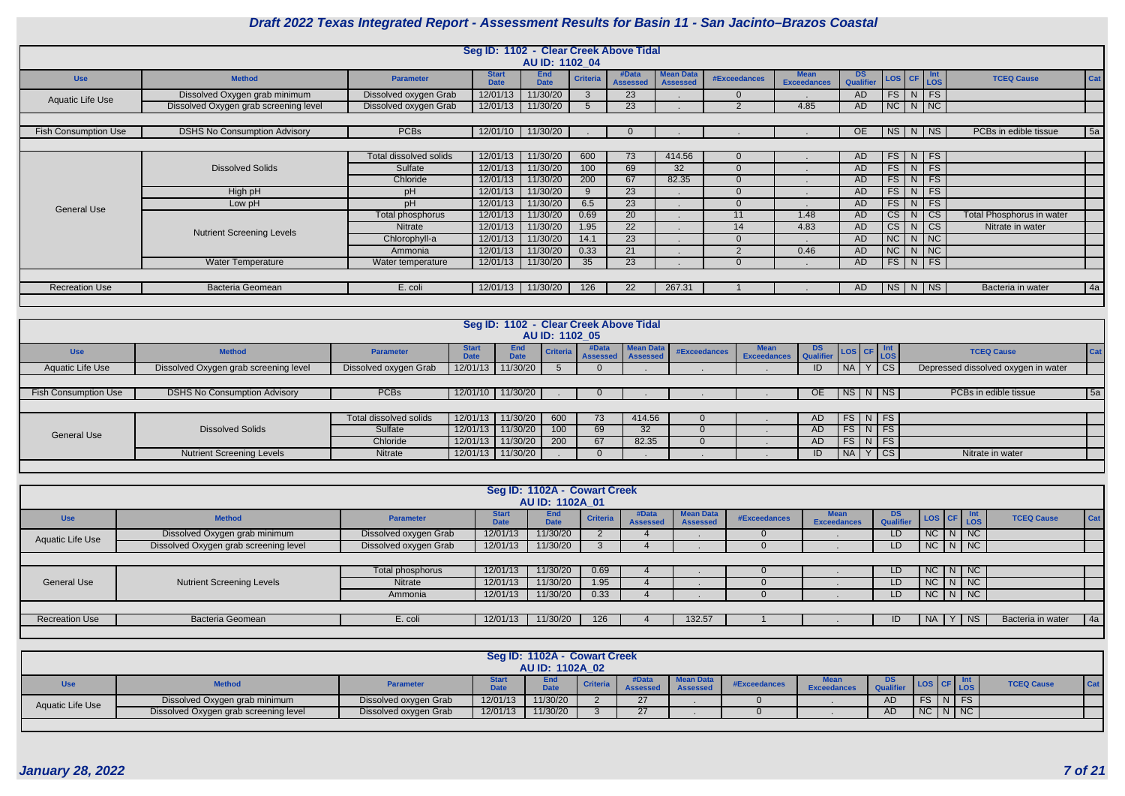

|                             |                                       |                               |                             | Seg ID: 1102 - Clear Creek Above Tidal |                 |                          |                                     |                     |                                   |                        |                        |                                  |                           |     |
|-----------------------------|---------------------------------------|-------------------------------|-----------------------------|----------------------------------------|-----------------|--------------------------|-------------------------------------|---------------------|-----------------------------------|------------------------|------------------------|----------------------------------|---------------------------|-----|
|                             |                                       |                               |                             | AU ID: 1102 04                         |                 |                          |                                     |                     |                                   |                        |                        |                                  |                           |     |
| <b>Use</b>                  | <b>Method</b>                         | <b>Parameter</b>              | <b>Start</b><br><b>Date</b> | <b>End</b><br><b>Date</b>              | <b>Criteria</b> | #Data<br><b>Assessed</b> | <b>Mean Data</b><br><b>Assessed</b> | <b>#Exceedances</b> | <b>Mean</b><br><b>Exceedances</b> | <b>DS</b><br>Qualifier | LOS CF                 | Int<br>LOS                       | <b>TCEQ Cause</b>         | Cat |
| Aquatic Life Use            | Dissolved Oxygen grab minimum         | Dissolved oxygen Grab         | 12/01/13                    | 11/30/20                               | $\mathbf{3}$    | 23                       |                                     |                     |                                   | AD                     |                        | $FS$ N FS                        |                           |     |
|                             | Dissolved Oxygen grab screening level | Dissolved oxygen Grab         | 12/01/13                    | 11/30/20                               |                 | 23                       |                                     | 2                   | 4.85                              | AD                     |                        | $NC$   N   NC                    |                           |     |
|                             |                                       |                               |                             |                                        |                 |                          |                                     |                     |                                   |                        |                        |                                  |                           |     |
| <b>Fish Consumption Use</b> | <b>DSHS No Consumption Advisory</b>   | <b>PCBs</b>                   | 12/01/10                    | 11/30/20                               |                 |                          |                                     |                     |                                   | <b>OE</b>              |                        | $NS$ $N$ $NS$                    | PCBs in edible tissue     | 5a  |
|                             |                                       |                               |                             |                                        |                 |                          |                                     |                     |                                   |                        |                        |                                  |                           |     |
|                             |                                       | <b>Total dissolved solids</b> | 12/01/13                    | 11/30/20                               | 600             | 73                       | 414.56                              | $\Omega$            |                                   | AD                     |                        | $FS$ N FS                        |                           |     |
|                             | <b>Dissolved Solids</b>               | Sulfate                       | 12/01/13                    | 11/30/20                               | 100             | 69                       | 32                                  |                     |                                   | AD                     | FS                     | $N$ FS                           |                           |     |
|                             |                                       | Chloride                      | 12/01/13                    | 11/30/20                               | 200             | 67                       | 82.35                               |                     |                                   | AD.                    | FS                     | $N$ FS                           |                           |     |
|                             | High pH                               | pH                            | 12/01/13                    | 11/30/20                               | 9               | 23                       |                                     | $\Omega$            |                                   | AD                     | FS                     | $N$ FS                           |                           |     |
| <b>General Use</b>          | Low pH                                | pH                            | 12/01/13                    | 11/30/20                               | 6.5             | 23                       |                                     | $\Omega$            |                                   | AD                     | FS                     | $N$ FS                           |                           |     |
|                             |                                       | Total phosphorus              | 12/01/13                    | 11/30/20                               | 0.69            | 20                       |                                     | 11                  | 1.48                              | AD                     | CS                     | $\overline{c}$<br>N              | Total Phosphorus in water |     |
|                             | <b>Nutrient Screening Levels</b>      | Nitrate                       | 12/01/13                    | 11/30/20                               | 1.95            | 22                       |                                     | 14                  | 4.83                              | AD                     | $\overline{\text{cs}}$ | $\overline{\phantom{a}}$ CS<br>N | Nitrate in water          |     |
|                             |                                       | Chlorophyll-a                 | 12/01/13                    | 11/30/20                               | 14.1            | 23                       |                                     |                     |                                   | AD                     | NC                     | $\overline{\phantom{a}}$ NC<br>N |                           |     |
|                             |                                       | Ammonia                       | 12/01/13                    | 11/30/20                               | 0.33            | 21                       |                                     | $\overline{2}$      | 0.46                              | AD                     | NC                     | $N$ NC                           |                           |     |
|                             | <b>Water Temperature</b>              | Water temperature             | 12/01/13                    | 11/30/20                               | 35              | 23                       | . .                                 |                     |                                   | AD                     |                        | $FS$ N FS                        |                           |     |
|                             |                                       |                               |                             |                                        |                 |                          |                                     |                     |                                   |                        |                        |                                  |                           |     |
| <b>Recreation Use</b>       | <b>Bacteria Geomean</b>               | E. coli                       | 12/01/13                    | 11/30/20                               | 126             | 22                       | 267.31                              |                     |                                   | AD                     |                        | NS N NS                          | Bacteria in water         | 4a  |
|                             |                                       |                               |                             |                                        |                 |                          |                                     |                     |                                   |                        |                        |                                  |                           |     |

|                      |                                       |                        |                      | Seg ID: 1102 - Clear Creek Above Tidal | AU ID: 1102 05  |                            |           |              |                                   |                                       |           |                         |                                           |            |
|----------------------|---------------------------------------|------------------------|----------------------|----------------------------------------|-----------------|----------------------------|-----------|--------------|-----------------------------------|---------------------------------------|-----------|-------------------------|-------------------------------------------|------------|
| <b>Use</b>           | <b>Method</b>                         | <b>Parameter</b>       | <b>Start</b><br>Date | <b>End</b><br><b>Date</b>              | <b>Criteria</b> | #Data<br>Assessed Assesser | Mean Data | #Exceedances | <b>Mean</b><br><b>Exceedances</b> | DS LOS CF Int<br>Qualifier LOS CF LOS |           |                         | <b>TCEQ Cause</b>                         | <b>Cat</b> |
| Aquatic Life Use     | Dissolved Oxygen grab screening level | Dissolved oxygen Grab  | 12/01/13             | 11/30/20                               |                 |                            |           |              |                                   | ID                                    | <b>NA</b> |                         | CS<br>Depressed dissolved oxygen in water |            |
|                      |                                       |                        |                      |                                        |                 |                            |           |              |                                   |                                       |           |                         |                                           |            |
| Fish Consumption Use | <b>DSHS No Consumption Advisory</b>   | <b>PCBs</b>            |                      | 12/01/10 11/30/20                      |                 |                            |           |              |                                   | <b>OE</b>                             |           | NS N NS                 | PCBs in edible tissue                     | 5a         |
|                      |                                       |                        |                      |                                        |                 |                            |           |              |                                   |                                       |           |                         |                                           |            |
|                      |                                       | Total dissolved solids | 12/01/13             | 11/30/20                               | 600             | 73                         | 414.56    |              |                                   | <b>AD</b>                             |           | FS N FS                 |                                           |            |
| <b>General Use</b>   | <b>Dissolved Solids</b>               | Sulfate                | 12/01/13             | 11/30/20                               | 100             | 69                         | 32        |              |                                   | <b>AD</b>                             |           | $FS\mid N \mid FS \mid$ |                                           |            |
|                      |                                       | Chloride               | 12/01/13             | 11/30/20                               | 200             | 67                         | 82.35     |              |                                   | <b>AD</b>                             |           | $FS\mid N \mid FS \mid$ |                                           |            |
|                      | <b>Nutrient Screening Levels</b>      | Nitrate                | 12/01/13             | 11/30/20                               |                 |                            |           |              |                                   | ID                                    | <b>NA</b> | $\overline{\text{CS}}$  | Nitrate in water                          |            |
|                      |                                       |                        |                      |                                        |                 |                            |           |              |                                   |                                       |           |                         |                                           |            |

|                       |                                       |                       |                             | Seg ID: 1102A - Cowart Creek |                 |                          |                                     |              |                            |                  |           |                          |                   |         |
|-----------------------|---------------------------------------|-----------------------|-----------------------------|------------------------------|-----------------|--------------------------|-------------------------------------|--------------|----------------------------|------------------|-----------|--------------------------|-------------------|---------|
|                       |                                       |                       |                             | AU ID: 1102A 01              |                 |                          |                                     |              |                            |                  |           |                          |                   |         |
| <b>Use</b>            | <b>Method</b>                         | <b>Parameter</b>      | <b>Start</b><br><b>Date</b> | <b>End</b><br><b>Date</b>    | <b>Criteria</b> | #Data<br><b>Assessed</b> | <b>Mean Data</b><br><b>Assessed</b> | #Exceedances | Mean<br><b>Exceedances</b> | DS.<br>Qualifier |           | LOS CF Int               | <b>TCEQ Cause</b> | $ $ Cat |
| Aquatic Life Use      | Dissolved Oxygen grab minimum         | Dissolved oxygen Grab | 12/01/13                    | 11/30/20                     |                 |                          |                                     |              |                            | LD.              | NC        | $N$ NC                   |                   |         |
|                       | Dissolved Oxygen grab screening level | Dissolved oxygen Grab | 12/01/13                    | 11/30/20                     |                 |                          |                                     |              |                            | LD.              |           | $NC$ $N$ $NC$            |                   |         |
|                       |                                       |                       |                             |                              |                 |                          |                                     |              |                            |                  |           |                          |                   |         |
|                       |                                       | Total phosphorus      | 12/01/13                    | 11/30/20                     | 0.69            |                          |                                     |              |                            | LD.              |           | $NC \mid N \mid NC \mid$ |                   |         |
| <b>General Use</b>    | <b>Nutrient Screening Levels</b>      | Nitrate               | 12/01/13                    | 11/30/20                     | 1.95            |                          |                                     |              |                            | LD.              |           | NC N NC                  |                   |         |
|                       |                                       | Ammonia               | 12/01/13                    | 11/30/20                     | 0.33            |                          |                                     |              |                            | LD.              |           | $NC$ $N$ $NC$            |                   |         |
|                       |                                       |                       |                             |                              |                 |                          |                                     |              |                            |                  |           |                          |                   |         |
| <b>Recreation Use</b> | <b>Bacteria Geomean</b>               | E. coli               | 12/01/13                    | 11/30/20                     | 126             |                          | 132.57                              |              |                            |                  | <b>NA</b> | NS                       | Bacteria in water | $4a$    |
|                       |                                       |                       |                             |                              |                 |                          |                                     |              |                            |                  |           |                          |                   |         |

|                  |                                       |                       |          | Seg ID: 1102A - Cowart Creek<br><b>AU ID: 1102A 02</b> |                 |       |                                     |              |                    |                 |                                                    |                   |       |
|------------------|---------------------------------------|-----------------------|----------|--------------------------------------------------------|-----------------|-------|-------------------------------------|--------------|--------------------|-----------------|----------------------------------------------------|-------------------|-------|
| <b>Use</b>       | <b>Method</b>                         | <b>Parameter</b>      |          | End<br><b>Date</b>                                     | <b>Criteria</b> | #Data | <b>Mean Data</b><br><b>Assessed</b> | #Exceedances | <b>Exceedances</b> | DS<br>Qualifier | $\left  \cos \left  \text{CF} \right  \right $ LOS | <b>TCEQ Cause</b> | Cat i |
| Aquatic Life Use | Dissolved Oxygen grab minimum         | Dissolved oxygen Grab | 12/01/13 | 11/30/20                                               |                 | 27    |                                     |              |                    | AD              | FS<br>$N$ FS                                       |                   |       |
|                  | Dissolved Oxygen grab screening level | Dissolved oxygen Grab | 12/01/13 | 11/30/20                                               |                 | 27    |                                     |              |                    | AD              | NC<br>$\lfloor N \rfloor$ NC                       |                   |       |
|                  |                                       |                       |          |                                                        |                 |       |                                     |              |                    |                 |                                                    |                   |       |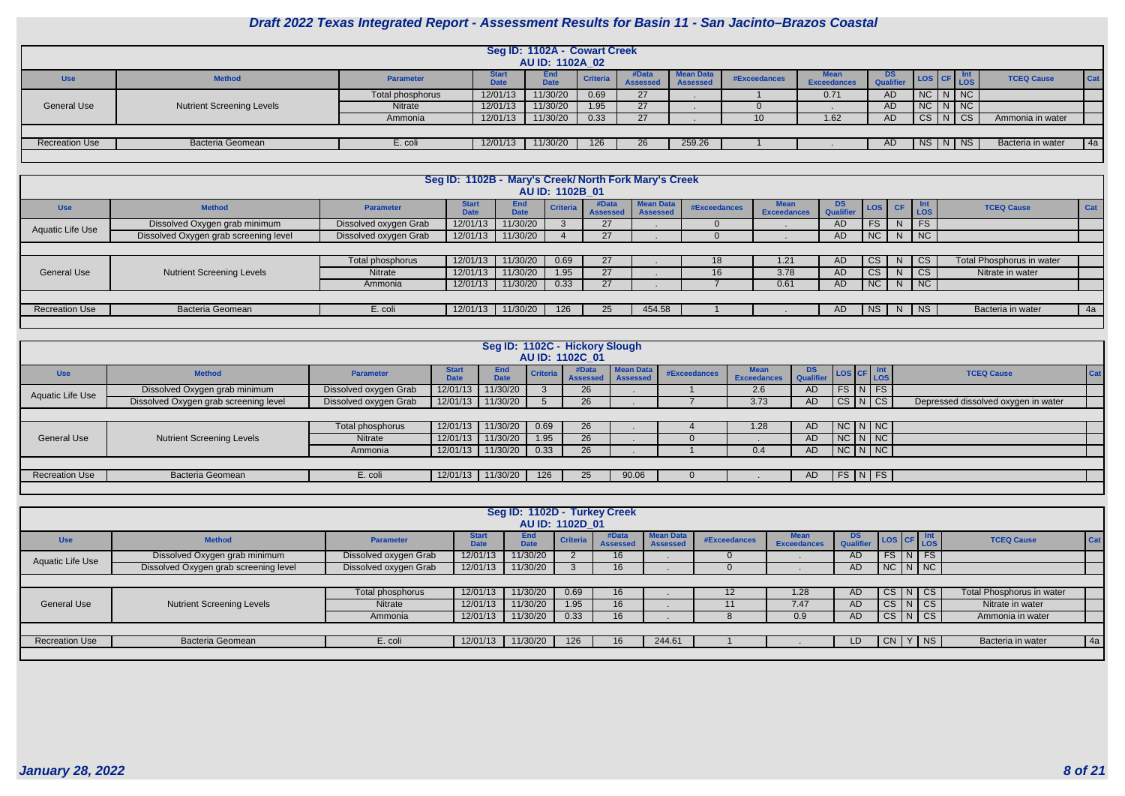

|                       |                                  |                  |                             | Seg ID: 1102A - Cowart Creek<br>AU ID: 1102A_02 |                 |                          |                                     |              |                                   |                               |  |                          |                   |             |
|-----------------------|----------------------------------|------------------|-----------------------------|-------------------------------------------------|-----------------|--------------------------|-------------------------------------|--------------|-----------------------------------|-------------------------------|--|--------------------------|-------------------|-------------|
|                       |                                  |                  |                             |                                                 |                 |                          |                                     |              |                                   |                               |  |                          |                   |             |
| <b>Use</b>            | <b>Method</b>                    | <b>Parameter</b> | <b>Start</b><br><b>Date</b> | <b>End</b><br><b>Date</b>                       | <b>Criteria</b> | #Data<br><b>Assessed</b> | <b>Mean Data</b><br><b>Assessed</b> | #Exceedances | <b>Mean</b><br><b>Exceedances</b> | <b>DS</b><br><b>Qualifier</b> |  | <b>Int</b><br>LOS CF LOS | <b>TCEQ Cause</b> | <b>Cat</b>  |
|                       |                                  | Total phosphorus | 12/01/13                    | 11/30/20                                        | 0.69            | 27                       |                                     |              | 0.71                              | AD                            |  | $NC$ $N$ $NC$            |                   |             |
| General Use           | <b>Nutrient Screening Levels</b> | Nitrate          | 12/01/13                    | 11/30/20                                        | 1.95            | 27                       |                                     |              |                                   | AD                            |  | $NC$ $N$ $NC$            |                   |             |
|                       |                                  | Ammonia          | 12/01/13                    | 11/30/20                                        | 0.33            | 27                       |                                     |              | 1.62                              | AD                            |  | $CS$ $N$ $CS$            | Ammonia in water  |             |
|                       |                                  |                  |                             |                                                 |                 |                          |                                     |              |                                   |                               |  |                          |                   |             |
| <b>Recreation Use</b> | <b>Bacteria Geomean</b>          | E. coli          | 12/01/13                    | 11/30/20                                        | 126             | 26                       | 259.26                              |              |                                   | AD.                           |  | $NS$ $N$ $NS$            | Bacteria in water | $\sqrt{4a}$ |
|                       |                                  |                  |                             |                                                 |                 |                          |                                     |              |                                   |                               |  |                          |                   |             |

|                       |                                       |                       | Seg ID: 1102B - Mary's Creek/ North Fork Mary's Creek |                    |                 |                          |                                     |              |                                   |                 |        |    |                             |                           |     |
|-----------------------|---------------------------------------|-----------------------|-------------------------------------------------------|--------------------|-----------------|--------------------------|-------------------------------------|--------------|-----------------------------------|-----------------|--------|----|-----------------------------|---------------------------|-----|
|                       |                                       |                       |                                                       |                    | AU ID: 1102B 01 |                          |                                     |              |                                   |                 |        |    |                             |                           |     |
| <b>Use</b>            | <b>Method</b>                         | <b>Parameter</b>      | <b>Start</b><br>Date                                  | End<br><b>Date</b> | Criteria        | #Data<br><b>Assessed</b> | <b>Mean Data</b><br><b>Assessed</b> | #Exceedances | <b>Mean</b><br><b>Exceedances</b> | DS<br>Qualifier | LOG CF |    | <b>Int</b><br>LOS           | <b>TCEQ Cause</b>         | Cat |
| Aquatic Life Use      | Dissolved Oxygen grab minimum         | Dissolved oxygen Grab | 12/01/13                                              | 11/30/20           |                 | 27                       |                                     |              |                                   | AD              | FS     |    | $\overline{\phantom{a}}$ FS |                           |     |
|                       | Dissolved Oxygen grab screening level | Dissolved oxygen Grab | 12/01/13                                              | 11/30/20           |                 | 27                       |                                     |              |                                   | AD              | NC     | N  | $\overline{\phantom{a}}$ NC |                           |     |
|                       |                                       |                       |                                                       |                    |                 |                          |                                     |              |                                   |                 |        |    |                             |                           |     |
|                       |                                       | Total phosphorus      | 12/01/13                                              | 11/30/20           | 0.69            | 27                       |                                     |              | 1.21                              | AD.             | CS.    |    | $\vert$ CS                  | Total Phosphorus in water |     |
| <b>General Use</b>    | <b>Nutrient Screening Levels</b>      | Nitrate               | 12/01/13                                              | 11/30/20           | 1.95            | 27                       |                                     | 10.          | 3.78                              | AD              | CS     |    | <b>CS</b>                   | Nitrate in water          |     |
|                       |                                       | Ammonia               | 12/01/13                                              | 11/30/20           | 0.33            | 27                       |                                     |              | 0.61                              | AD              | NC     |    | $\overline{\phantom{a}}$ NC |                           |     |
|                       |                                       |                       |                                                       |                    |                 |                          |                                     |              |                                   |                 |        |    |                             |                           |     |
| <b>Recreation Use</b> | <b>Bacteria Geomean</b>               | E. coli               | 12/01/13                                              | 11/30/20           | 126             | 25                       | 454.58                              |              |                                   | AD.             | NS I   | N. | $ $ NS                      | Bacteria in water         | 4a  |
|                       |                                       |                       |                                                       |                    |                 |                          |                                     |              |                                   |                 |        |    |                             |                           |     |

|                       |                                       |                       |                             |                           |      | Seg ID: 1102C - Hickory Slough<br>AU ID: 1102C 01 |                  |              |                                   |                      |                          |                                     |     |
|-----------------------|---------------------------------------|-----------------------|-----------------------------|---------------------------|------|---------------------------------------------------|------------------|--------------|-----------------------------------|----------------------|--------------------------|-------------------------------------|-----|
| <b>Use</b>            | <b>Method</b>                         | <b>Parameter</b>      | <b>Start</b><br><b>Date</b> | <b>End</b><br><b>Date</b> |      | #Data<br>Criteria Assessed Assessed               | <b>Mean Data</b> | #Exceedances | <b>Mean</b><br><b>Exceedances</b> | <b>DS</b> LOS CF Int |                          | <b>TCEQ Cause</b>                   | Cat |
| Aquatic Life Use      | Dissolved Oxygen grab minimum         | Dissolved oxygen Grab | 12/01/13                    | 11/30/20                  |      | 26                                                |                  |              | 2.6                               | AD.                  | FS N FS                  |                                     |     |
|                       | Dissolved Oxygen grab screening level | Dissolved oxygen Grab | 12/01/13                    | 11/30/20                  |      | 26                                                |                  |              | 3.73                              | AD.                  | CS N CS                  | Depressed dissolved oxygen in water |     |
|                       |                                       |                       |                             |                           |      |                                                   |                  |              |                                   |                      |                          |                                     |     |
|                       |                                       | Total phosphorus      | 12/01/13                    | 11/30/20                  | 0.69 | 26                                                |                  |              | 1.28                              | AD.                  | NCI N/NC                 |                                     |     |
| <b>General Use</b>    | <b>Nutrient Screening Levels</b>      | Nitrate               | 12/01/13                    | 11/30/20                  | 1.95 | 26                                                |                  |              |                                   | AD                   | $NC\vert N\vert NC\vert$ |                                     |     |
|                       |                                       | Ammonia               | 12/01/13                    | 11/30/20                  | 0.33 | 26                                                |                  |              | 0.4                               | AD.                  | $NC\ N\ N$               |                                     |     |
|                       |                                       |                       |                             |                           |      |                                                   |                  |              |                                   |                      |                          |                                     |     |
| <b>Recreation Use</b> | <b>Bacteria Geomean</b>               | E. coli               | 12/01/13                    | 11/30/20                  | 126  | 25                                                | 90.06            |              |                                   | AD.                  | FS N FS                  |                                     |     |
|                       |                                       |                       |                             |                           |      |                                                   |                  |              |                                   |                      |                          |                                     |     |

|                       |                                       |                       |                             | Seg ID: 1102D - Turkey Creek | AU ID: 1102D 01 |                          |                                     |              |                                   |                        |               |                    |                           |            |
|-----------------------|---------------------------------------|-----------------------|-----------------------------|------------------------------|-----------------|--------------------------|-------------------------------------|--------------|-----------------------------------|------------------------|---------------|--------------------|---------------------------|------------|
| <b>Use</b>            | <b>Method</b>                         | <b>Parameter</b>      | <b>Start</b><br><b>Date</b> | End<br><b>Date</b>           | <b>Criteria</b> | #Data<br><b>Assessed</b> | <b>Mean Data</b><br><b>Assessed</b> | #Exceedances | <b>Mean</b><br><b>Exceedances</b> | <b>DS</b><br>Qualifier | LOS CF LOS    |                    | <b>TCEQ Cause</b>         | <b>Cat</b> |
| Aquatic Life Use      | Dissolved Oxygen grab minimum         | Dissolved oxygen Grab | 12/01/13                    | 11/30/20                     |                 | 16                       |                                     |              |                                   | <b>AD</b>              |               | $FS\mid N \mid FS$ |                           |            |
|                       | Dissolved Oxygen grab screening level | Dissolved oxygen Grab | 12/01/13                    | 11/30/20                     |                 | 16                       |                                     |              |                                   | AD                     | $NC$ $N$ $NC$ |                    |                           |            |
|                       |                                       |                       |                             |                              |                 |                          |                                     |              |                                   |                        |               |                    |                           |            |
|                       |                                       | Total phosphorus      | 12/01/13                    | 11/30/20                     | 0.69            | 16 <sup>°</sup>          |                                     |              | 1.28                              | AD.                    |               | CS N CS            | Total Phosphorus in water |            |
| <b>General Use</b>    | <b>Nutrient Screening Levels</b>      | <b>Nitrate</b>        | 12/01/13                    | 11/30/20                     | 1.95            | 16                       |                                     |              | 7.47                              | AD.                    | CS N CS       |                    | Nitrate in water          |            |
|                       |                                       | Ammonia               | 12/01/13                    | 11/30/20                     | 0.33            | 16                       |                                     |              | 0.9                               | AD                     |               | $CS$ $N$ $CS$      | Ammonia in water          |            |
|                       |                                       |                       |                             |                              |                 |                          |                                     |              |                                   |                        |               |                    |                           |            |
| <b>Recreation Use</b> | <b>Bacteria Geomean</b>               | E. coli               | 12/01/13                    | 11/30/20                     | 126             | 16                       | 244.61                              |              |                                   | LD                     | CN            | '   NS             | Bacteria in water         | 4a         |
|                       |                                       |                       |                             |                              |                 |                          |                                     |              |                                   |                        |               |                    |                           |            |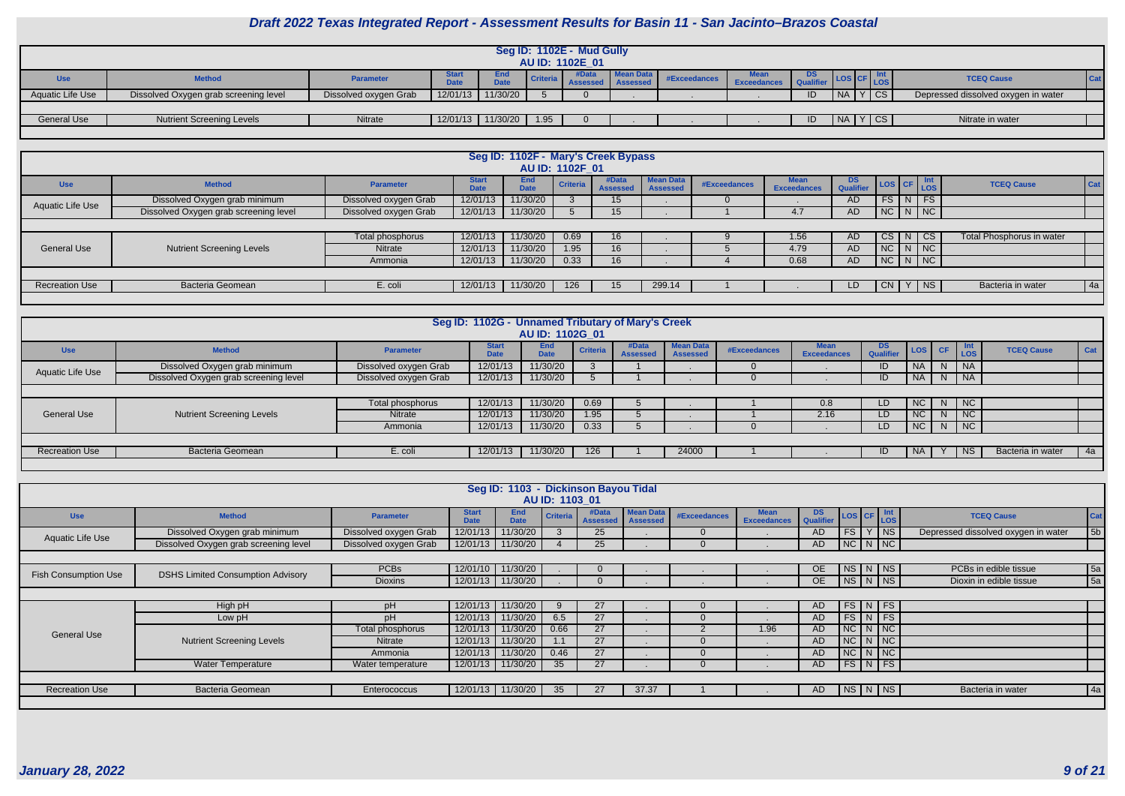|                  | Seg ID: 1102E - Mud Gully                                                                                                                                                                                            |                       |          |          |      |  |  |  |  |  |            |          |                                     |  |  |
|------------------|----------------------------------------------------------------------------------------------------------------------------------------------------------------------------------------------------------------------|-----------------------|----------|----------|------|--|--|--|--|--|------------|----------|-------------------------------------|--|--|
|                  | AU ID: 1102E 01                                                                                                                                                                                                      |                       |          |          |      |  |  |  |  |  |            |          |                                     |  |  |
| <b>Use</b>       | <b>Mean Data</b><br><b>Start</b><br><b>End</b><br>ັບຮ<br>#Exceedances<br><b>TCEQ Cause</b><br>$ $ Cat<br><b>Method</b><br>Criteria<br><b>Parameter</b><br><b>LOS</b><br>$P = 1$<br><b>DAL-</b><br><b>Exceedances</b> |                       |          |          |      |  |  |  |  |  |            |          |                                     |  |  |
| Aquatic Life Use | Dissolved Oxygen grab screening level                                                                                                                                                                                | Dissolved oxygen Grab | 12/01/13 | 11/30/20 |      |  |  |  |  |  | $\n  NA\n$ | CS       | Depressed dissolved oxygen in water |  |  |
|                  |                                                                                                                                                                                                                      |                       |          |          |      |  |  |  |  |  |            |          |                                     |  |  |
| General Use      | <b>Nutrient Screening Levels</b>                                                                                                                                                                                     | Nitrate               | 12/01/13 | 11/30/20 | 1.95 |  |  |  |  |  | NA         | $ Y $ CS | Nitrate in water                    |  |  |
|                  |                                                                                                                                                                                                                      |                       |          |          |      |  |  |  |  |  |            |          |                                     |  |  |

|                       |                                       |                       |                             | Seg ID: 1102F - Mary's Creek Bypass | AU ID: 1102F 01 |                          |                                     |              |                     |                        |                                                            |  |                           |            |
|-----------------------|---------------------------------------|-----------------------|-----------------------------|-------------------------------------|-----------------|--------------------------|-------------------------------------|--------------|---------------------|------------------------|------------------------------------------------------------|--|---------------------------|------------|
| <b>Use</b>            | <b>Method</b>                         | <b>Parameter</b>      | <b>Start</b><br><b>Date</b> | <b>End</b><br><b>Date</b>           | <b>Criteria</b> | #Data<br><b>Assessed</b> | <b>Mean Data</b><br><b>Assessed</b> | #Exceedances | Mean<br>Exceedances | <b>DS</b><br>Qualifier | $\left  \text{Los} \right $ CF $\left  \text{Int} \right $ |  | <b>TCEQ Cause</b>         | <b>Cat</b> |
| Aquatic Life Use      | Dissolved Oxygen grab minimum         | Dissolved oxygen Grab | 12/01/13                    | 11/30/20                            |                 | 15                       |                                     |              |                     | <b>AD</b>              | $FS$ N FS                                                  |  |                           |            |
|                       | Dissolved Oxygen grab screening level | Dissolved oxygen Grab | 12/01/13                    | 11/30/20                            |                 | 15                       |                                     |              | 4.7                 | <b>AD</b>              | $N$ C $N$ $N$                                              |  |                           |            |
|                       |                                       |                       |                             |                                     |                 |                          |                                     |              |                     |                        |                                                            |  |                           |            |
|                       |                                       | Total phosphorus      | 12/01/13                    | 11/30/20                            | 0.69            | 16                       |                                     |              | 1.56                | <b>AD</b>              | CS N CS                                                    |  | Total Phosphorus in water |            |
| <b>General Use</b>    | <b>Nutrient Screening Levels</b>      | Nitrate               | 12/01/13                    | 11/30/20                            | 1.95            | 16 <sup>°</sup>          |                                     |              | 4.79                | <b>AD</b>              | $NC$ $N$ $NC$                                              |  |                           |            |
|                       |                                       | Ammonia               | 12/01/13                    | 11/30/20                            | 0.33            | 16 <sup>°</sup>          |                                     |              | 0.68                | <b>AD</b>              | $N$ C $N$ $N$                                              |  |                           |            |
|                       |                                       |                       |                             |                                     |                 |                          |                                     |              |                     |                        |                                                            |  |                           |            |
| <b>Recreation Use</b> | <b>Bacteria Geomean</b>               | E. coli               | 12/01/13                    | 11/30/20                            | 126             | 15 <sup>1</sup>          | 299.14                              |              |                     | LD.                    | CN Y NS                                                    |  | Bacteria in water         | 4a         |
|                       |                                       |                       |                             |                                     |                 |                          |                                     |              |                     |                        |                                                            |  |                           |            |

|                       |                                       |                       | Seg ID: 1102G - Unnamed Tributary of Mary's Creek | AU ID: 1102G 01           |                 |                          |                                     |              |                                   |                               |           |    |                             |                   |     |
|-----------------------|---------------------------------------|-----------------------|---------------------------------------------------|---------------------------|-----------------|--------------------------|-------------------------------------|--------------|-----------------------------------|-------------------------------|-----------|----|-----------------------------|-------------------|-----|
| <b>Use</b>            | <b>Method</b>                         | <b>Parameter</b>      | <b>Start</b><br><b>Date</b>                       | <b>End</b><br><b>Date</b> | <b>Criteria</b> | #Data<br><b>Assessed</b> | <b>Mean Data</b><br><b>Assessed</b> | #Exceedances | <b>Mean</b><br><b>Exceedances</b> | <b>DS</b><br><b>Qualifier</b> | LOS CF    |    | Int<br>LOS                  | <b>TCEQ Cause</b> | Cat |
| Aquatic Life Use      | Dissolved Oxygen grab minimum         | Dissolved oxygen Grab | 12/01/13                                          | 11/30/20                  |                 |                          |                                     |              |                                   | ID                            | <b>NA</b> | N  | <b>NA</b>                   |                   |     |
|                       | Dissolved Oxygen grab screening level | Dissolved oxygen Grab | 12/01/13                                          | 11/30/20                  |                 |                          |                                     |              |                                   |                               | <b>NA</b> | N  | NA                          |                   |     |
|                       |                                       |                       |                                                   |                           |                 |                          |                                     |              |                                   |                               |           |    |                             |                   |     |
|                       |                                       | Total phosphorus      | 12/01/13                                          | 11/30/20                  | 0.69            |                          |                                     |              | 0.8                               | LD                            | NC        |    | N   NC                      |                   |     |
| <b>General Use</b>    | <b>Nutrient Screening Levels</b>      | Nitrate               | 12/01/13                                          | 11/30/20                  | 1.95            |                          |                                     |              | 2.16                              | LD.                           | NC        | N. | <b>NC</b>                   |                   |     |
|                       |                                       | Ammonia               | 12/01/13                                          | 11/30/20                  | 0.33            |                          |                                     | <b>U</b>     |                                   | LD                            | NC        | N  | $\overline{\phantom{a}}$ NC |                   |     |
|                       |                                       |                       |                                                   |                           |                 |                          |                                     |              |                                   |                               |           |    |                             |                   |     |
| <b>Recreation Use</b> | Bacteria Geomean                      | E. coli               | 12/01/13                                          | 11/30/20                  | 126             |                          | 24000                               |              |                                   | ΙU                            | -NA       |    | NS.                         | Bacteria in water | 4a  |
|                       |                                       |                       |                                                   |                           |                 |                          |                                     |              |                                   |                               |           |    |                             |                   |     |

|                             |                                          |                       |                             | Seg ID: 1103 - Dickinson Bayou Tidal |                 |                          |                                     |              |                                   |                         |    |                             |                                     |            |
|-----------------------------|------------------------------------------|-----------------------|-----------------------------|--------------------------------------|-----------------|--------------------------|-------------------------------------|--------------|-----------------------------------|-------------------------|----|-----------------------------|-------------------------------------|------------|
|                             |                                          |                       |                             |                                      | AU ID: 1103 01  |                          |                                     |              |                                   |                         |    |                             |                                     |            |
| <b>Use</b>                  | <b>Method</b>                            | <b>Parameter</b>      | <b>Start</b><br><b>Date</b> | <b>End</b><br><b>Date</b>            | <b>Criteria</b> | #Data<br><b>Assessed</b> | <b>Mean Data</b><br><b>Assessed</b> | #Exceedances | <b>Mean</b><br><b>Exceedances</b> | DS Qualifier LOS CF LOS |    |                             | <b>TCEQ Cause</b>                   | <b>Cat</b> |
| <b>Aquatic Life Use</b>     | Dissolved Oxygen grab minimum            | Dissolved oxygen Grab | 12/01/13                    | 11/30/20                             |                 | 25                       |                                     |              |                                   | AD                      | FS | Y <sub>1</sub><br><b>NS</b> | Depressed dissolved oxygen in water | 5b         |
|                             | Dissolved Oxygen grab screening level    | Dissolved oxygen Grab |                             | 12/01/13 11/30/20                    |                 | 25                       |                                     |              |                                   | AD                      |    | NC N NC                     |                                     |            |
|                             |                                          |                       |                             |                                      |                 |                          |                                     |              |                                   |                         |    |                             |                                     |            |
| <b>Fish Consumption Use</b> | <b>DSHS Limited Consumption Advisory</b> | <b>PCBs</b>           |                             | 12/01/10 11/30/20                    |                 |                          |                                     |              |                                   | <b>OE</b>               |    | NSNNS                       | PCBs in edible tissue               | 5a         |
|                             |                                          | <b>Dioxins</b>        |                             | 12/01/13 11/30/20                    |                 |                          |                                     |              |                                   | <b>OE</b>               |    | $N$ S $N$ $N$               | Dioxin in edible tissue             | 5a         |
|                             |                                          |                       |                             |                                      |                 |                          |                                     |              |                                   |                         |    |                             |                                     |            |
|                             | High pH                                  | pH                    |                             | 12/01/13 11/30/20                    | 9               | 27                       |                                     | $\mathbf{U}$ |                                   | AD                      |    | $FS\mid N \mid FS \mid$     |                                     |            |
|                             | Low pH                                   | pH                    | 12/01/13                    | 11/30/20                             | 6.5             | 27                       |                                     |              |                                   | AD.                     |    | $FS\mid N \mid FS$          |                                     |            |
| <b>General Use</b>          |                                          | Total phosphorus      | 12/01/13                    | 11/30/20                             | 0.66            | 27                       |                                     |              | 1.96                              | AD.                     |    | $NC$ $N$ $NC$               |                                     |            |
|                             | <b>Nutrient Screening Levels</b>         | Nitrate               | 12/01/13                    | 11/30/20                             | 1.1             | 27                       |                                     |              |                                   | AD.                     |    | $NC$ $N$ $NC$               |                                     |            |
|                             |                                          | Ammonia               | 12/01/13                    | 11/30/20                             | 0.46            | 27                       |                                     |              |                                   | AD.                     |    | $NC$ $N$ $NC$               |                                     |            |
|                             | <b>Water Temperature</b>                 | Water temperature     |                             | 12/01/13 11/30/20                    | 35              | 27                       |                                     |              |                                   | AD                      |    | $FS\mid N \mid FS \mid$     |                                     |            |
|                             |                                          |                       |                             |                                      |                 |                          |                                     |              |                                   |                         |    |                             |                                     |            |
| <b>Recreation Use</b>       | Bacteria Geomean                         | Enterococcus          |                             | 12/01/13 11/30/20                    | 35              | 27                       | 37.37                               |              |                                   | AD.                     |    | NS N NS                     | Bacteria in water                   | 4a         |
|                             |                                          |                       |                             |                                      |                 |                          |                                     |              |                                   |                         |    |                             |                                     |            |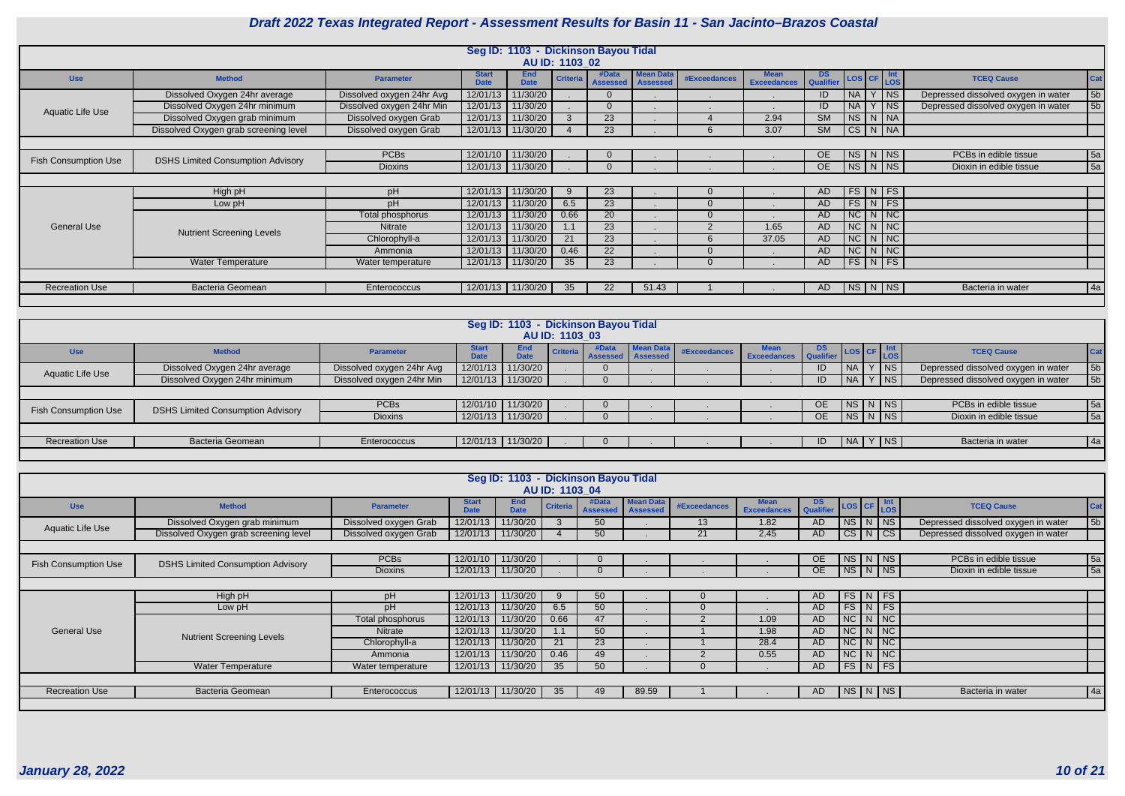

|                             |                                          |                           |                             |                           |                 | Seg ID: 1103 - Dickinson Bayou Tidal |                                     |                     |                                   |                               |                        |                         |                                     |                |
|-----------------------------|------------------------------------------|---------------------------|-----------------------------|---------------------------|-----------------|--------------------------------------|-------------------------------------|---------------------|-----------------------------------|-------------------------------|------------------------|-------------------------|-------------------------------------|----------------|
|                             |                                          |                           |                             |                           | AU ID: 1103 02  |                                      |                                     |                     |                                   |                               |                        |                         |                                     |                |
| <b>Use</b>                  | <b>Method</b>                            | <b>Parameter</b>          | <b>Start</b><br><b>Date</b> | <b>End</b><br><b>Date</b> | <b>Criteria</b> | #Data<br><b>Assessed</b>             | <b>Mean Data</b><br><b>Assessed</b> | <b>#Exceedances</b> | <b>Mean</b><br><b>Exceedances</b> | <b>DS</b><br><b>Qualifier</b> |                        | LOS CF Int<br>LOS       | <b>TCEQ Cause</b>                   | Cat            |
|                             | Dissolved Oxygen 24hr average            | Dissolved oxygen 24hr Avg | 12/01/13                    | 11/30/20                  |                 | $\Omega$                             |                                     | . .                 |                                   | ID                            | <b>NA</b>              | <b>NS</b>               | Depressed dissolved oxygen in water | 5 <sub>b</sub> |
| Aquatic Life Use            | Dissolved Oxygen 24hr minimum            | Dissolved oxygen 24hr Min |                             | 12/01/13 11/30/20         |                 | $\Omega$                             |                                     |                     |                                   | ID                            | <b>NA</b>              | $ $ NS                  | Depressed dissolved oxygen in water | 5b             |
|                             | Dissolved Oxygen grab minimum            | Dissolved oxygen Grab     | 12/01/13                    | 11/30/20                  |                 | 23                                   |                                     |                     | 2.94                              | <b>SM</b>                     |                        | NS N NA                 |                                     |                |
|                             | Dissolved Oxygen grab screening level    | Dissolved oxygen Grab     | 12/01/13                    | 11/30/20                  |                 | 23                                   |                                     | 6                   | 3.07                              | $\overline{\text{SM}}$        |                        | CS N NA                 |                                     |                |
|                             |                                          |                           |                             |                           |                 |                                      |                                     |                     |                                   |                               |                        |                         |                                     |                |
| <b>Fish Consumption Use</b> | <b>DSHS Limited Consumption Advisory</b> | <b>PCBs</b>               |                             | 12/01/10 11/30/20         |                 | $\Omega$                             |                                     |                     |                                   | <b>OE</b>                     |                        | $NS$ $N$ $N$            | PCBs in edible tissue               | 5a             |
|                             |                                          | <b>Dioxins</b>            |                             | 12/01/13 11/30/20         |                 |                                      |                                     |                     |                                   | <b>OE</b>                     |                        | NS N NS                 | Dioxin in edible tissue             | 5a             |
|                             |                                          |                           |                             |                           |                 |                                      |                                     |                     |                                   |                               |                        |                         |                                     |                |
|                             | High pH                                  | pH                        | 12/01/13                    | 11/30/20                  | 9               | 23                                   |                                     | $\Omega$            |                                   | AD                            |                        | $FS\mid N \mid FS$      |                                     |                |
|                             | Low pH                                   | pH                        | 12/01/13                    | 11/30/20                  | 6.5             | 23                                   |                                     | $\Omega$            |                                   | AD                            |                        | $FS\mid N \mid FS$      |                                     |                |
|                             |                                          | Total phosphorus          | 12/01/13                    | 11/30/20                  | 0.66            | 20                                   |                                     | $\mathbf{0}$        |                                   | <b>AD</b>                     | NC                     | $N$ NC                  |                                     |                |
| <b>General Use</b>          | <b>Nutrient Screening Levels</b>         | Nitrate                   | 12/01/13                    | 11/30/20                  | 1.1             | 23                                   |                                     | $\overline{2}$      | 1.65                              | AD                            |                        | $NC$ $N$ $NC$           |                                     |                |
|                             |                                          | Chlorophyll-a             | 12/01/13                    | 11/30/20                  | 21              | 23                                   |                                     | 6                   | 37.05                             | <b>AD</b>                     | $\overline{NC}$        | $N$ NC                  |                                     |                |
|                             |                                          | Ammonia                   | 12/01/13                    | 11/30/20                  | 0.46            | 22                                   |                                     | $\Omega$            |                                   | <b>AD</b>                     | $\overline{\text{NC}}$ | $N$ $NC$                |                                     |                |
|                             | <b>Water Temperature</b>                 | Water temperature         | 12/01/13                    | 11/30/20                  | 35              | 23                                   |                                     | $\Omega$            |                                   | AD                            |                        | $FS\mid N \mid FS \mid$ |                                     |                |
|                             |                                          |                           |                             |                           |                 |                                      |                                     |                     |                                   |                               |                        |                         |                                     |                |
| <b>Recreation Use</b>       | <b>Bacteria Geomean</b>                  | Enterococcus              |                             | 12/01/13 11/30/20         | 35              | 22                                   | 51.43                               |                     |                                   | AD                            |                        | NS N NS                 | Bacteria in water                   | 4a             |
|                             |                                          |                           |                             |                           |                 |                                      |                                     |                     |                                   |                               |                        |                         |                                     |                |

|                                                                                                                                     |                                          |                  |                             | Seg ID: 1103 - Dickinson Bayou Tidal |                |       |                            |              |             |                  |                                                                               |                                     |                                     |                         |     |
|-------------------------------------------------------------------------------------------------------------------------------------|------------------------------------------|------------------|-----------------------------|--------------------------------------|----------------|-------|----------------------------|--------------|-------------|------------------|-------------------------------------------------------------------------------|-------------------------------------|-------------------------------------|-------------------------|-----|
|                                                                                                                                     |                                          |                  |                             |                                      | AU ID: 1103 03 |       |                            |              |             |                  |                                                                               |                                     |                                     |                         |     |
| <b>Use</b>                                                                                                                          | <b>Method</b>                            | <b>Parameter</b> | <b>Start</b><br><b>Date</b> | <b>End</b><br><b>Date</b>            |                | #Data | Criteria Assessed Assessed | #Exceedances | Exceedances | DS.<br>Qualifier | $\left  \text{Los} \right $ CF $\left  \frac{\text{Int}}{\text{Los}} \right $ |                                     |                                     | <b>TCEQ Cause</b>       | Cat |
| 11/30/20<br><b>NA</b><br>$ $ NS<br>Dissolved Oxygen 24hr average<br>12/01/13<br>Dissolved oxygen 24hr Avg<br>ID<br>Aquatic Life Use |                                          |                  |                             |                                      |                |       |                            |              |             |                  |                                                                               |                                     | Depressed dissolved oxygen in water | 5b                      |     |
| Dissolved Oxygen 24hr minimum<br>$ $ NS<br>Dissolved oxygen 24hr Min<br>12/01/13 11/30/20<br><b>NA</b><br>ID                        |                                          |                  |                             |                                      |                |       |                            |              |             |                  |                                                                               | Depressed dissolved oxygen in water | 5b                                  |                         |     |
|                                                                                                                                     |                                          |                  |                             |                                      |                |       |                            |              |             |                  |                                                                               |                                     |                                     |                         |     |
| <b>Fish Consumption Use</b>                                                                                                         | <b>DSHS Limited Consumption Advisory</b> | <b>PCBs</b>      |                             | 12/01/10 11/30/20                    |                |       |                            |              |             | OE.              |                                                                               |                                     | $N_S N NS$                          | PCBs in edible tissue   | 5a  |
|                                                                                                                                     |                                          | <b>Dioxins</b>   |                             | 12/01/13 11/30/20                    |                |       |                            |              |             | OE.              |                                                                               |                                     | NS N NS                             | Dioxin in edible tissue | 5a  |
|                                                                                                                                     |                                          |                  |                             |                                      |                |       |                            |              |             |                  |                                                                               |                                     |                                     |                         |     |
| <b>Recreation Use</b>                                                                                                               | <b>Bacteria Geomean</b>                  | Enterococcus     |                             | 12/01/13 11/30/20                    |                |       |                            |              |             | ID               |                                                                               |                                     | $NA$   $Y$   $NS$                   | Bacteria in water       | 4a  |
|                                                                                                                                     |                                          |                  |                             |                                      |                |       |                            |              |             |                  |                                                                               |                                     |                                     |                         |     |

|                             |                                          |                       |                             |                           | AU ID: 1103 04  | Seg ID: 1103 - Dickinson Bayou Tidal |                                     |                     |                                   |               |                       |                                     |            |
|-----------------------------|------------------------------------------|-----------------------|-----------------------------|---------------------------|-----------------|--------------------------------------|-------------------------------------|---------------------|-----------------------------------|---------------|-----------------------|-------------------------------------|------------|
| <b>Use</b>                  | <b>Method</b>                            | <b>Parameter</b>      | <b>Start</b><br><b>Date</b> | <b>End</b><br><b>Date</b> | <b>Criteria</b> | #Data<br><b>Assessed</b>             | <b>Mean Data</b><br><b>Assessed</b> | <b>#Exceedances</b> | <b>Mean</b><br><b>Exceedances</b> | DS LOS CF Int |                       | <b>TCEQ Cause</b>                   | <b>Cat</b> |
| Aquatic Life Use            | Dissolved Oxygen grab minimum            | Dissolved oxygen Grab | 12/01/13                    | 11/30/20                  |                 | 50                                   |                                     | 13                  | 1.82                              | AD            | $NS$ $N$<br><b>NS</b> | Depressed dissolved oxygen in water | 5b         |
|                             | Dissolved Oxygen grab screening level    | Dissolved oxygen Grab | 12/01/13                    | 11/30/20                  |                 | 50                                   |                                     | 21                  | 2.45                              | AD.           | $CS[N]$ CS            | Depressed dissolved oxygen in water |            |
|                             |                                          |                       |                             |                           |                 |                                      |                                     |                     |                                   |               |                       |                                     |            |
| <b>Fish Consumption Use</b> | <b>DSHS Limited Consumption Advisory</b> | <b>PCBs</b>           | 12/01/10                    | 11/30/20                  |                 |                                      |                                     |                     |                                   | <b>OE</b>     | NS N N                | PCBs in edible tissue               | 5a         |
|                             |                                          | <b>Dioxins</b>        | 12/01/13                    | 11/30/20                  |                 |                                      |                                     |                     |                                   | OE            | NS N NS               | Dioxin in edible tissue             | 5a         |
|                             |                                          |                       |                             |                           |                 |                                      |                                     |                     |                                   |               |                       |                                     |            |
|                             | High pH                                  | pH                    | 12/01/13                    | 11/30/20                  | 9               | 50                                   |                                     | $\Omega$            |                                   | <b>AD</b>     | $FS\mid N \mid FS$    |                                     |            |
|                             | Low pH                                   | рH                    | 12/01/13                    | 11/30/20                  | 6.5             | 50                                   |                                     | $\Omega$            |                                   | AD.           | $FS\mid N \mid FS$    |                                     |            |
|                             |                                          | Total phosphorus      | 12/01/13                    | 11/30/20                  | 0.66            | 47                                   |                                     |                     | 1.09                              | AD            | $NC$ $N$ $NC$         |                                     |            |
| <b>General Use</b>          | <b>Nutrient Screening Levels</b>         | <b>Nitrate</b>        | 12/01/13                    | 11/30/20                  |                 | 50                                   |                                     |                     | 1.98                              | <b>AD</b>     | $NC$   $N$   $NC$     |                                     |            |
|                             |                                          | Chlorophyll-a         | 12/01/13                    | 11/30/20                  | 21              | 23                                   |                                     |                     | 28.4                              | AD            | $NC$   $N$   $NC$     |                                     |            |
|                             |                                          | Ammonia               | 12/01/13                    | 11/30/20                  | 0.46            | 49                                   |                                     |                     | 0.55                              | AD.           | $NC$ $N$ $NC$         |                                     |            |
|                             | <b>Water Temperature</b>                 | Water temperature     | 12/01/13                    | 11/30/20                  | 35              | 50                                   |                                     |                     |                                   | AD.           | $FS\mid N \mid FS$    |                                     |            |
|                             |                                          |                       |                             |                           |                 |                                      |                                     |                     |                                   |               |                       |                                     |            |
| <b>Recreation Use</b>       | Bacteria Geomean                         | Enterococcus          | 12/01/13                    | 11/30/20                  | 35              | 49                                   | 89.59                               |                     |                                   | AD            | NS   N   NS           | Bacteria in water                   | 4a         |
|                             |                                          |                       |                             |                           |                 |                                      |                                     |                     |                                   |               |                       |                                     |            |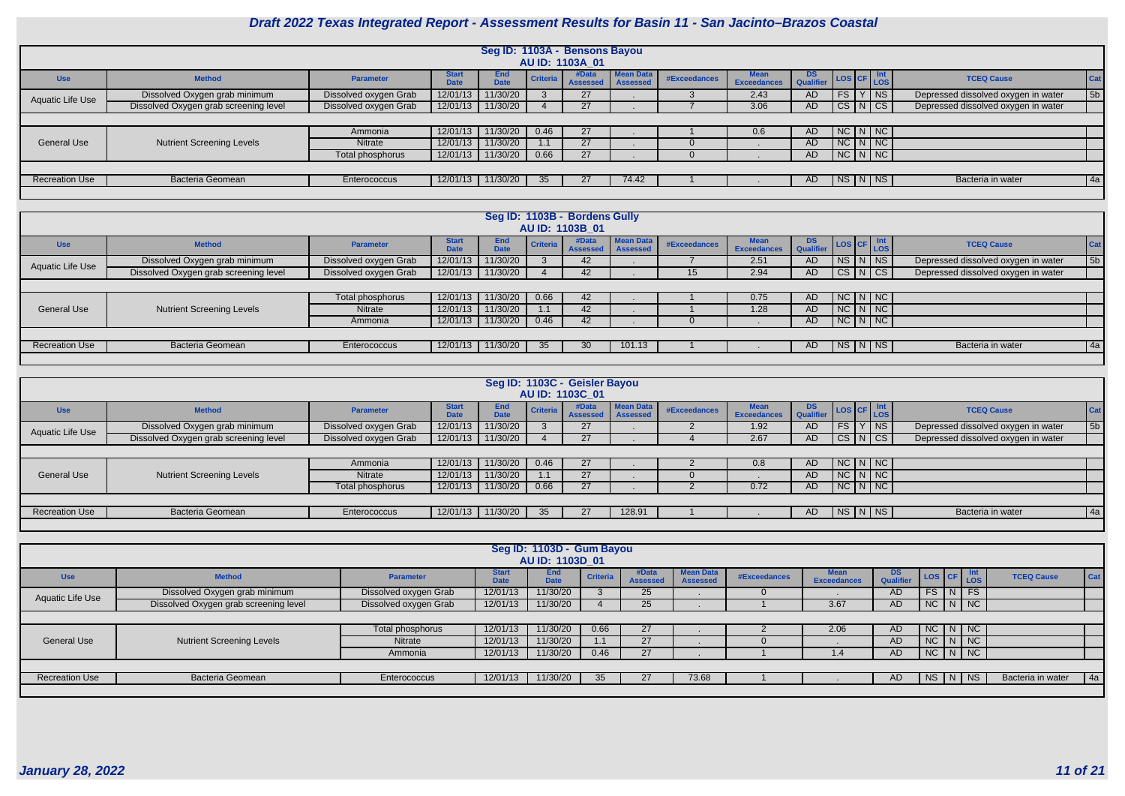

|                       |                                       |                       |                      | Seg ID: 1103A - Bensons Bayou |          | AU ID: 1103A 01          |                              |              |                                   |                        |               |                                     |            |
|-----------------------|---------------------------------------|-----------------------|----------------------|-------------------------------|----------|--------------------------|------------------------------|--------------|-----------------------------------|------------------------|---------------|-------------------------------------|------------|
| <b>Use</b>            | <b>Method</b>                         | <b>Parameter</b>      | <b>Start</b><br>Dota | <b>End</b><br><b>Date</b>     | Criteria | #Data<br><b>Assessed</b> | Mean Data<br><b>Assessed</b> | #Exceedances | <b>Mean</b><br><b>Exceedances</b> | <b>DS</b><br>Qualifier | LOS CF Int    | <b>TCEQ Cause</b>                   | <b>Cat</b> |
| Aquatic Life Use      | Dissolved Oxygen grab minimum         | Dissolved oxygen Grab | 12/01/13             | 11/30/20                      |          | 27                       |                              |              | 2.43                              | <b>AD</b>              | FS Y NS       | Depressed dissolved oxygen in water | 5b         |
|                       | Dissolved Oxygen grab screening level | Dissolved oxygen Grab | 12/01/13             | 11/30/20                      |          | 27                       |                              |              | 3.06                              | AD                     | CS N CS       | Depressed dissolved oxygen in water |            |
|                       |                                       |                       |                      |                               |          |                          |                              |              |                                   |                        |               |                                     |            |
|                       |                                       | Ammonia               | 12/01/13             | 11/30/20                      | 0.46     | 27                       |                              |              | 0.6                               | AD.                    | $NC$ $N$ $NC$ |                                     |            |
| <b>General Use</b>    | <b>Nutrient Screening Levels</b>      | <b>Nitrate</b>        | 12/01/13             | 11/30/20                      |          | 27                       |                              |              |                                   | AD.                    | $NC$ $N$ $NC$ |                                     |            |
|                       |                                       | Total phosphorus      | 12/01/13             | 11/30/20                      | 0.66     | 27                       |                              |              |                                   | <b>AD</b>              | $NC$ $N$ $NC$ |                                     |            |
|                       |                                       |                       |                      |                               |          |                          |                              |              |                                   |                        |               |                                     |            |
| <b>Recreation Use</b> | <b>Bacteria Geomean</b>               | Enterococcus          | 12/01/13             | 11/30/20                      | 35       | 27                       | 74.42                        |              |                                   | AD.                    | $N$ S $N$ $N$ | Bacteria in water                   | 4a         |
|                       |                                       |                       |                      |                               |          |                          |                              |              |                                   |                        |               |                                     |            |

|                       |                                       |                       |                             |                           |                 | Seg ID: 1103B - Bordens Gully |                              |                 |                                   |                 |               |               |                                     |            |
|-----------------------|---------------------------------------|-----------------------|-----------------------------|---------------------------|-----------------|-------------------------------|------------------------------|-----------------|-----------------------------------|-----------------|---------------|---------------|-------------------------------------|------------|
|                       |                                       |                       |                             |                           |                 | AU ID: 1103B 01               |                              |                 |                                   |                 |               |               |                                     |            |
| <b>Use</b>            | <b>Method</b>                         | Parameter             | <b>Start</b><br><b>Date</b> | <b>End</b><br><b>Date</b> | <b>Criteria</b> | #Data<br><b>Assessed</b>      | Mean Data<br><b>Assessed</b> | #Exceedances    | <b>Mean</b><br><b>Exceedances</b> | DS<br>Qualifier | LOS CF Int    |               | <b>TCEQ Cause</b>                   | <b>Cat</b> |
| Aquatic Life Use      | Dissolved Oxygen grab minimum         | Dissolved oxygen Grab | 12/01/13                    | 11/30/20                  |                 | 42                            |                              |                 | 2.51                              | <b>AD</b>       |               | $NS$ $N$ $NS$ | Depressed dissolved oxygen in water | 5b         |
|                       | Dissolved Oxygen grab screening level | Dissolved oxygen Grab | 12/01/13                    | 11/30/20                  |                 | 42                            |                              | 15 <sup>1</sup> | 2.94                              | AD              |               | CS N CS       | Depressed dissolved oxygen in water |            |
|                       |                                       |                       |                             |                           |                 |                               |                              |                 |                                   |                 |               |               |                                     |            |
|                       |                                       | Total phosphorus      | 12/01/13                    | 11/30/20                  | 0.66            | 42                            |                              |                 | 0.75                              | AD.             |               | $NC$ $N$ $NC$ |                                     |            |
| <b>General Use</b>    | <b>Nutrient Screening Levels</b>      | <b>Nitrate</b>        | 12/01/13                    | 11/30/20                  | 1.1             | 42                            |                              |                 | 1.28                              | AD.             |               | $NC$ $N$ $NC$ |                                     |            |
|                       |                                       | Ammonia               | 12/01/13                    | 11/30/20                  | 0.46            | 42                            |                              |                 |                                   | AD.             | $NC$ $N$ $NC$ |               |                                     |            |
|                       |                                       |                       |                             |                           |                 |                               |                              |                 |                                   |                 |               |               |                                     |            |
| <b>Recreation Use</b> | Bacteria Geomean                      | Enterococcus          | 12/01/13                    | 11/30/20                  | 35              | 30                            | 101.13                       |                 |                                   | AD.             | $N_S/N$ $NS$  |               | Bacteria in water                   | 4a         |
|                       |                                       |                       |                             |                           |                 |                               |                              |                 |                                   |                 |               |               |                                     |            |

|                         |                                       |                       |                             |                    |                 | Seg ID: 1103C - Geisler Bayou<br>AU ID: 1103C 01 |                              |              |                                   |               |                   |                                     |            |
|-------------------------|---------------------------------------|-----------------------|-----------------------------|--------------------|-----------------|--------------------------------------------------|------------------------------|--------------|-----------------------------------|---------------|-------------------|-------------------------------------|------------|
| <b>Use</b>              | <b>Method</b>                         | Parameter             | <b>Start</b><br><b>Date</b> | End<br><b>Date</b> | Criteria        | #Data<br>Assessed                                | <b>Mean Data</b><br>Assessed | #Exceedances | <b>Mean</b><br><b>Exceedances</b> | DS LOS CF Int |                   | <b>TCEQ Cause</b>                   | <b>Cat</b> |
| <b>Aquatic Life Use</b> | Dissolved Oxygen grab minimum         | Dissolved oxygen Grab | 12/01/13                    | 11/30/20           |                 | 27                                               |                              |              | 1.92                              | <b>AD</b>     | FS Y NS           | Depressed dissolved oxygen in water | 5b         |
|                         | Dissolved Oxygen grab screening level | Dissolved oxygen Grab | 12/01/13                    | 11/30/20           |                 | 27                                               |                              |              | 2.67                              | <b>AD</b>     | CS N CS           | Depressed dissolved oxygen in water |            |
|                         |                                       |                       |                             |                    |                 |                                                  |                              |              |                                   |               |                   |                                     |            |
|                         |                                       | Ammonia               | 12/01/13                    | 11/30/20           | 0.46            | 27                                               |                              |              | 0.8                               | <b>AD</b>     | $NC\ N\ N$        |                                     |            |
| <b>General Use</b>      | <b>Nutrient Screening Levels</b>      | Nitrate               | 12/01/13                    | 11/30/20           |                 | 27                                               |                              |              |                                   | AD            | $NC\mid N\mid NC$ |                                     |            |
|                         |                                       | Total phosphorus      | 12/01/13                    | 11/30/20           | 0.66            | 27                                               |                              |              | 0.72                              | <b>AD</b>     | NC N NC           |                                     |            |
|                         |                                       |                       |                             |                    |                 |                                                  |                              |              |                                   |               |                   |                                     |            |
| <b>Recreation Use</b>   | <b>Bacteria Geomean</b>               | Enterococcus          | 12/01/13                    | 11/30/20           | 35 <sub>1</sub> | 27                                               | 128.91                       |              |                                   | AD.           | $N_S N NS $       | Bacteria in water                   | 4a         |
|                         |                                       |                       |                             |                    |                 |                                                  |                              |              |                                   |               |                   |                                     |            |

|                       |                                       |                       |                      | Seg ID: 1103D - Gum Bayou<br>AU ID: 1103D 01 |                 |                    |                                     |              |                            |                         |               |                        |                   |     |
|-----------------------|---------------------------------------|-----------------------|----------------------|----------------------------------------------|-----------------|--------------------|-------------------------------------|--------------|----------------------------|-------------------------|---------------|------------------------|-------------------|-----|
| <b>Use</b>            | <b>Method</b>                         | <b>Parameter</b>      | Start<br><b>Jate</b> | <b>End</b><br><b>Date</b>                    | <b>Criteria</b> | #Data<br>Assesser' | <b>Mean Data</b><br><b>Assessed</b> | #Exceedances | <b>Mean</b><br>Exceedances | DS.<br><b>Qualifier</b> | LOS CF Int    |                        | <b>TCEQ Cause</b> | Cat |
| Aquatic Life Use      | Dissolved Oxygen grab minimum         | Dissolved oxygen Grab | 12/01/13             | 11/30/20                                     |                 | 25                 |                                     |              |                            | <b>AD</b>               | <b>FS</b>     | $\lfloor N \rfloor$ FS |                   |     |
|                       | Dissolved Oxygen grab screening level | Dissolved oxygen Grab | 12/01/13             | 11/30/20                                     |                 | 25                 |                                     |              | 3.67                       | <b>AD</b>               | NC N NC       |                        |                   |     |
|                       |                                       |                       |                      |                                              |                 |                    |                                     |              |                            |                         |               |                        |                   |     |
|                       |                                       | Total phosphorus      | 12/01/13             | 11/30/20                                     | 0.66            | 27                 |                                     |              | 2.06                       | <b>AD</b>               | NC N NC       |                        |                   |     |
| <b>General Use</b>    | <b>Nutrient Screening Levels</b>      | <b>Nitrate</b>        | 12/01/13             | 11/30/20                                     |                 | 27                 |                                     |              |                            | <b>AD</b>               | NC N NC       |                        |                   |     |
|                       |                                       | Ammonia               | 12/01/13             | 11/30/20                                     | 0.46            | 27                 |                                     |              | 1.4 <sup>7</sup>           | AD                      | $NC$ $N$ $NC$ |                        |                   |     |
|                       |                                       |                       |                      |                                              |                 |                    |                                     |              |                            |                         |               |                        |                   |     |
| <b>Recreation Use</b> | Bacteria Geomean                      | Enterococcus          | 12/01/13             | 11/30/20                                     | 35              | 27                 | 73.68                               |              |                            | <b>AD</b>               | <b>NS</b>     | $\vert N \vert$ NS     | Bacteria in water | 4a  |
|                       |                                       |                       |                      |                                              |                 |                    |                                     |              |                            |                         |               |                        |                   |     |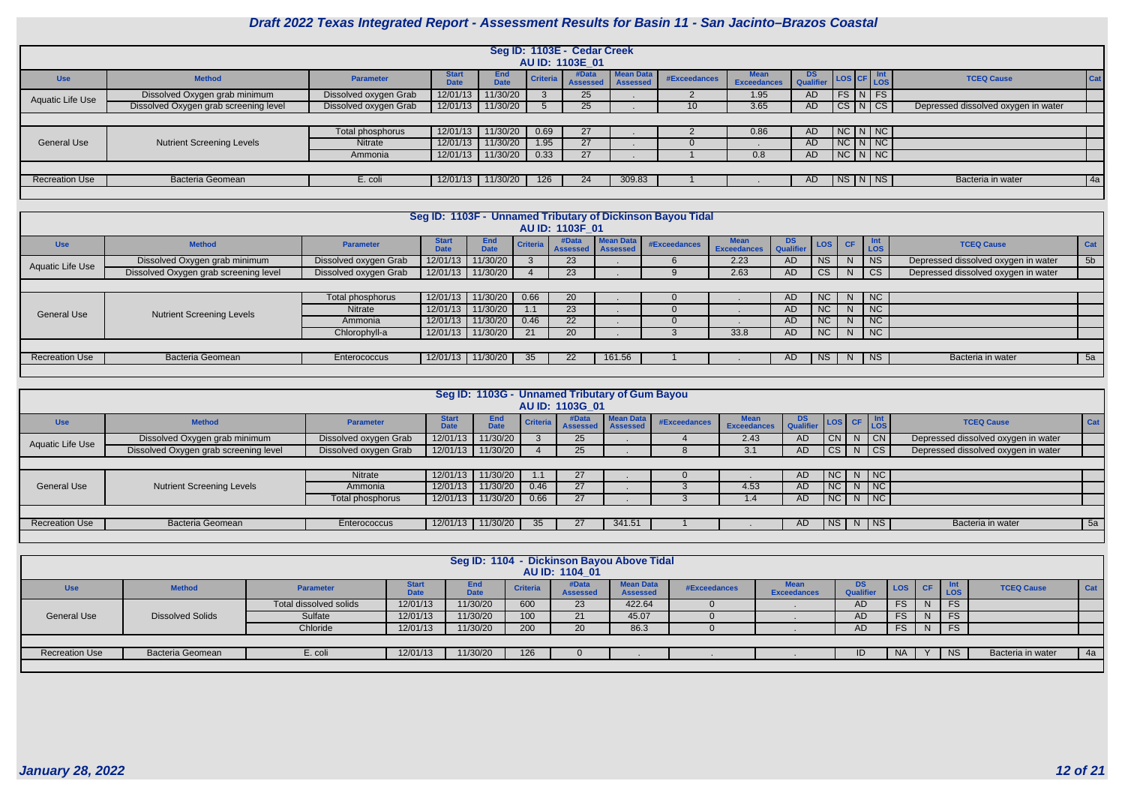

|                       |                                       |                       |                             |                           |                 | Seg ID: 1103E - Cedar Creek<br>AU ID: 1103E 01 |                              |                 |                                   |                 |               |                                     |            |
|-----------------------|---------------------------------------|-----------------------|-----------------------------|---------------------------|-----------------|------------------------------------------------|------------------------------|-----------------|-----------------------------------|-----------------|---------------|-------------------------------------|------------|
| <b>Use</b>            | <b>Method</b>                         | <b>Parameter</b>      | <b>Start</b><br><b>Date</b> | <b>End</b><br><b>Date</b> | <b>Criteria</b> | #Data<br><b>Assessed</b>                       | Mean Data<br><b>Assessed</b> | #Exceedances    | <b>Mean</b><br><b>Exceedances</b> | DS<br>Qualifier | LOS CF LOS    | <b>TCEQ Cause</b>                   | <b>Cat</b> |
| Aquatic Life Use      | Dissolved Oxygen grab minimum         | Dissolved oxygen Grab | 12/01/13                    | 11/30/20                  |                 | 25                                             |                              |                 | 1.95                              | AD.             | $FS$ $N$ $FS$ |                                     |            |
|                       | Dissolved Oxygen grab screening level | Dissolved oxygen Grab | 12/01/13                    | 11/30/20                  |                 | 25                                             |                              | 10 <sup>°</sup> | 3.65                              | AD              | CS N CS       | Depressed dissolved oxygen in water |            |
|                       |                                       |                       |                             |                           |                 |                                                |                              |                 |                                   |                 |               |                                     |            |
|                       |                                       | Total phosphorus      | 12/01/13                    | 11/30/20                  | 0.69            | 27                                             |                              |                 | 0.86                              | AD              | $N$ C $N$ $N$ |                                     |            |
| General Use           | <b>Nutrient Screening Levels</b>      | <b>Nitrate</b>        | 12/01/13                    | 11/30/20                  | 1.95            | 27                                             |                              |                 |                                   | AD.             | $NC$ $N$ $NC$ |                                     |            |
|                       |                                       | Ammonia               | 12/01/13                    | 11/30/20                  | 0.33            | 27                                             |                              |                 | 0.8                               | AD              | NCI N/NC      |                                     |            |
|                       |                                       |                       |                             |                           |                 |                                                |                              |                 |                                   |                 |               |                                     |            |
| <b>Recreation Use</b> | Bacteria Geomean                      | E. coli               | 12/01/13                    | 11/30/20                  | 126             | 24                                             | 309.83                       |                 |                                   | AD.             | NS N NS       | Bacteria in water                   | 4a         |
|                       |                                       |                       |                             |                           |                 |                                                |                              |                 |                                   |                 |               |                                     |            |

|                       |                                       |                       |                             |                    |                 | AU ID: 1103F 01          |                                     | Seg ID: 1103F - Unnamed Tributary of Dickinson Bayou Tidal |                                   |                             |           |           |                          |                                     |                |
|-----------------------|---------------------------------------|-----------------------|-----------------------------|--------------------|-----------------|--------------------------|-------------------------------------|------------------------------------------------------------|-----------------------------------|-----------------------------|-----------|-----------|--------------------------|-------------------------------------|----------------|
| <b>Use</b>            | <b>Method</b>                         | <b>Parameter</b>      | <b>Start</b><br><b>Date</b> | End<br><b>Date</b> | <b>Criteria</b> | #Data<br><b>Assessed</b> | <b>Mean Data</b><br><b>Assessed</b> | <b>#Exceedances</b>                                        | <b>Mean</b><br><b>Exceedances</b> | D <sub>2</sub><br>Qualifier | LOS       | <b>CF</b> | <b>Int</b><br><b>LOS</b> | <b>TCEQ Cause</b>                   | Cat            |
|                       | Dissolved Oxygen grab minimum         | Dissolved oxygen Grab | 12/01/13                    | 11/30/20           |                 | 23 <sup>°</sup>          |                                     |                                                            | 2.23                              | AD                          | <b>NS</b> | N         | <b>NS</b>                | Depressed dissolved oxygen in water | 5 <sub>b</sub> |
| Aquatic Life Use      | Dissolved Oxygen grab screening level | Dissolved oxygen Grab | 12/01/13                    | 11/30/20           |                 | 23                       |                                     |                                                            | 2.63                              | AD                          | <b>CS</b> | N         | CS                       | Depressed dissolved oxygen in water |                |
|                       |                                       |                       |                             |                    |                 |                          |                                     |                                                            |                                   |                             |           |           |                          |                                     |                |
|                       |                                       | Total phosphorus      | 12/01/13                    | 11/30/20           | 0.66            | 20                       |                                     |                                                            |                                   | AD                          | NC        | N         | NC                       |                                     |                |
| <b>General Use</b>    | <b>Nutrient Screening Levels</b>      | <b>Nitrate</b>        | 12/01/13                    | 11/30/20           | 1.1             | 23                       |                                     |                                                            |                                   | AD.                         | NC        | N         | <b>NC</b>                |                                     |                |
|                       |                                       | Ammonia               | 12/01/13                    | 11/30/20           | 0.46            | 22 <sup>2</sup>          |                                     |                                                            |                                   | AD.                         | <b>NC</b> | N         | NC                       |                                     |                |
|                       |                                       | Chlorophyll-a         | 12/01/13                    | 11/30/20           | 21              | 20                       |                                     |                                                            | 33.8                              | AD                          | NC        | N         | NC                       |                                     |                |
|                       |                                       |                       |                             |                    |                 |                          |                                     |                                                            |                                   |                             |           |           |                          |                                     |                |
| <b>Recreation Use</b> | <b>Bacteria Geomean</b>               | <b>Enterococcus</b>   | 12/01/13                    | 11/30/20           | 35              | 22 <sub>2</sub>          | 161.56                              |                                                            |                                   | AD.                         | NS        | N         | <b>NS</b>                | Bacteria in water                   | 5a             |
|                       |                                       |                       |                             |                    |                 |                          |                                     |                                                            |                                   |                             |           |           |                          |                                     |                |

|                       | Seg ID: 1103G - Unnamed Tributary of Gum Bayou |                       |                      |                    |          |                     |                                     |              |                                   |                  |                                                            |    |                             |                                     |            |
|-----------------------|------------------------------------------------|-----------------------|----------------------|--------------------|----------|---------------------|-------------------------------------|--------------|-----------------------------------|------------------|------------------------------------------------------------|----|-----------------------------|-------------------------------------|------------|
|                       |                                                |                       |                      |                    |          |                     |                                     |              |                                   |                  |                                                            |    |                             |                                     |            |
|                       |                                                |                       |                      |                    |          | AU ID: 1103G 01     |                                     |              |                                   |                  |                                                            |    |                             |                                     |            |
| <b>Use</b>            | <b>Method</b>                                  | <b>Parameter</b>      | Start<br><b>Date</b> | End<br><b>Date</b> | Criteria | #Data<br>1 Assessed | <b>Mean Data</b><br><b>Assessed</b> | #Exceedances | <b>Mean</b><br><b>Exceedances</b> | DS.<br>Qualifier | $\left  \text{Los} \right $ CF $\left  \text{Int} \right $ |    |                             | <b>TCEQ Cause</b>                   | <b>Cat</b> |
| Aquatic Life Use      | Dissolved Oxygen grab minimum                  | Dissolved oxygen Grab | 12/01/13             | 11/30/20           |          | 25                  |                                     |              | 2.43                              | AD.              | CN                                                         |    | $ $ CN                      | Depressed dissolved oxygen in water |            |
|                       | Dissolved Oxygen grab screening level          | Dissolved oxygen Grab |                      |                    |          | 25                  |                                     |              | 3.1                               | AD               | CS                                                         | N. | $\overline{\phantom{a}}$ CS | Depressed dissolved oxygen in water |            |
|                       | 12/01/13 11/30/20                              |                       |                      |                    |          |                     |                                     |              |                                   |                  |                                                            |    |                             |                                     |            |
|                       |                                                | Nitrate               | 12/01/13             | 11/30/20           |          | 27                  |                                     |              |                                   | AD.              | NC                                                         |    | $N$   NC                    |                                     |            |
| <b>General Use</b>    | <b>Nutrient Screening Levels</b>               | Ammonia               | 12/01/13             | 11/30/20           | 0.46     | 27                  |                                     |              | 4.53                              | AD.              | NC                                                         | N. | $\overline{\phantom{a}}$ NC |                                     |            |
|                       |                                                | Total phosphorus      | 12/01/13             | 11/30/20           | 0.66     | 27                  |                                     |              | 1.4                               | AD.              | $\vert$ NC $\vert$                                         |    | $N$ NC                      |                                     |            |
|                       |                                                |                       |                      |                    |          |                     |                                     |              |                                   |                  |                                                            |    |                             |                                     |            |
| <b>Recreation Use</b> | <b>Bacteria Geomean</b>                        | Enterococcus          |                      | 12/01/13 11/30/20  | 35       | 27                  | 341.51                              |              |                                   | AD.              | ∣ NS ∣                                                     |    | $N$ NS                      | Bacteria in water                   | 5a         |
|                       |                                                |                       |                      |                    |          |                     |                                     |              |                                   |                  |                                                            |    |                             |                                     |            |

|                       |                         |                        |                       |                    |                 | AU ID: 1104_01           | Seg ID: 1104 - Dickinson Bayou Above Tidal |              |                            |                               |           |     |                   |                          |
|-----------------------|-------------------------|------------------------|-----------------------|--------------------|-----------------|--------------------------|--------------------------------------------|--------------|----------------------------|-------------------------------|-----------|-----|-------------------|--------------------------|
| <b>Use</b>            | <b>Method</b>           | <b>Parameter</b>       | <b>R</b> tari<br>Date | End<br><b>Date</b> | <b>Criteria</b> | #Data<br><b>Assessed</b> | <b>Mean Data</b><br><b>Assessed</b>        | #Exceedances | Mean<br><b>Exceedances</b> | <b>DS</b><br><b>Qualifier</b> | LOS CF    |     | <b>Int</b><br>LOS | <b>TCEQ Cause</b><br>Cat |
|                       |                         | Total dissolved solids | 12/01/13              | 11/30/20           | 600             | 23                       | 422.64                                     |              |                            | AD                            | FS        | - N | <b>FS</b>         |                          |
| <b>General Use</b>    | <b>Dissolved Solids</b> | Sulfate                | 12/01/13              | 11/30/20           | 100             | 21                       | 45.07                                      |              |                            | AD                            | FS        | -N  | <b>FS</b>         |                          |
|                       |                         | Chloride               | 12/01/13              | 11/30/20           | 200             | 20                       | 86.3                                       |              |                            | AD                            | FS        | - N | <b>FS</b>         |                          |
|                       |                         |                        |                       |                    |                 |                          |                                            |              |                            |                               |           |     |                   |                          |
| <b>Recreation Use</b> | <b>Bacteria Geomean</b> | E. coli                | 12/01/13              | 11/30/20           | 126             |                          |                                            |              |                            | ID.                           | <b>NA</b> |     | <b>NS</b>         | Bacteria in water<br>4a  |
|                       |                         |                        |                       |                    |                 |                          |                                            |              |                            |                               |           |     |                   |                          |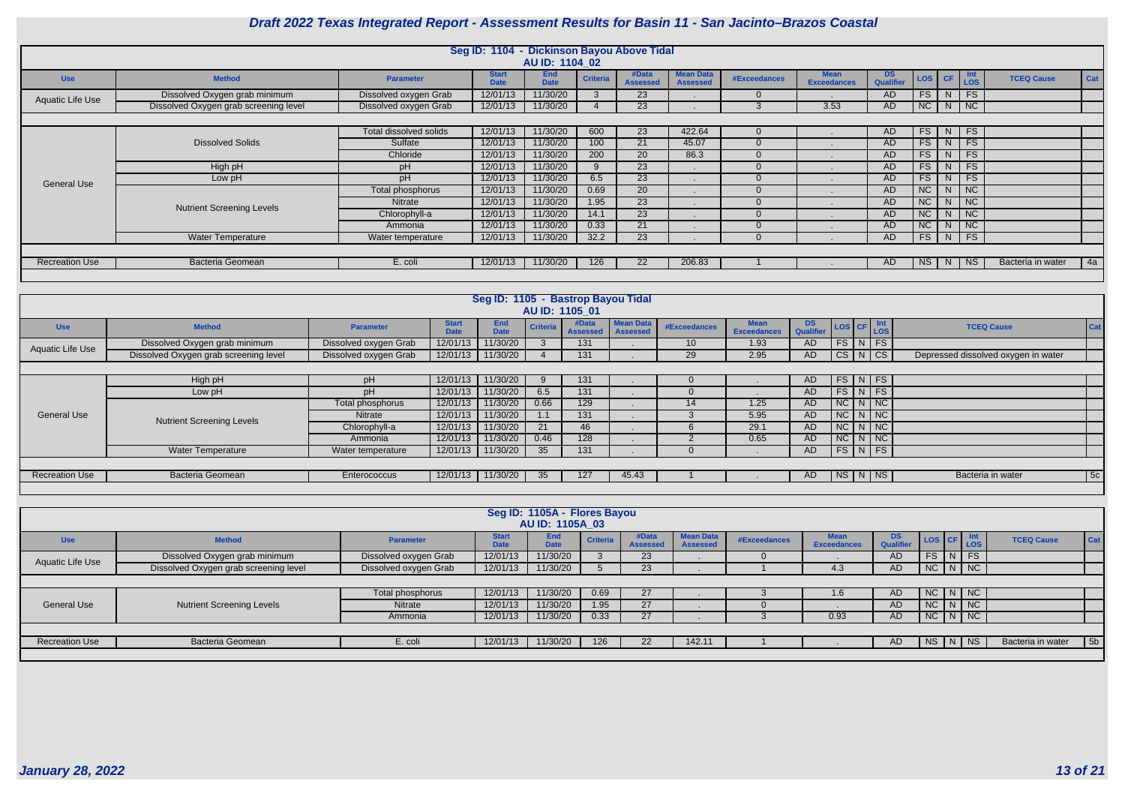

|                       |                                       |                        | Seg ID: 1104 - Dickinson Bayou Above Tidal |                           |                 |                          |                                     |                     |                                   |                               |                          |           |                             |                   |     |
|-----------------------|---------------------------------------|------------------------|--------------------------------------------|---------------------------|-----------------|--------------------------|-------------------------------------|---------------------|-----------------------------------|-------------------------------|--------------------------|-----------|-----------------------------|-------------------|-----|
|                       |                                       |                        |                                            | AU ID: 1104 02            |                 |                          |                                     |                     |                                   |                               |                          |           |                             |                   |     |
| <b>Use</b>            | <b>Method</b>                         | <b>Parameter</b>       | <b>Start</b><br><b>Date</b>                | <b>End</b><br><b>Date</b> | <b>Criteria</b> | #Data<br><b>Assessed</b> | <b>Mean Data</b><br><b>Assessed</b> | <b>#Exceedances</b> | <b>Mean</b><br><b>Exceedances</b> | <b>DS</b><br><b>Qualifier</b> | <b>LOS</b>               | <b>CF</b> | <b>Int</b><br>LOS           | <b>TCEQ Cause</b> | Cat |
| Aquatic Life Use      | Dissolved Oxygen grab minimum         | Dissolved oxygen Grab  | 12/01/13                                   | 11/30/20                  |                 | 23                       |                                     |                     |                                   | AD                            | <b>FS</b>                | N.        | FS                          |                   |     |
|                       | Dissolved Oxygen grab screening level | Dissolved oxygen Grab  | 12/01/13                                   | 11/30/20                  |                 | 23                       |                                     |                     | 3.53                              | AD                            | NC                       |           | $N$   NC                    |                   |     |
|                       |                                       |                        |                                            |                           |                 |                          |                                     |                     |                                   |                               |                          |           |                             |                   |     |
|                       |                                       | Total dissolved solids | 12/01/13                                   | 11/30/20                  | 600             | 23                       | 422.64                              |                     |                                   | AD                            | FS                       | N         | FS                          |                   |     |
|                       | <b>Dissolved Solids</b>               | Sulfate                | 12/01/13                                   | 11/30/20                  | 100             | 21                       | 45.07                               |                     |                                   | AD                            | <b>FS</b>                | N.        | FS                          |                   |     |
|                       |                                       | Chloride               | 12/01/13                                   | 11/30/20                  | 200             | 20                       | 86.3                                |                     |                                   | <b>AD</b>                     | FS                       | N.        | FS                          |                   |     |
|                       | High pH                               | pH                     | 12/01/13                                   | 11/30/20                  |                 | 23                       |                                     |                     |                                   | AD                            | $\overline{\mathsf{FS}}$ | N.        | FS                          |                   |     |
| <b>General Use</b>    | Low pH                                | pH                     | 12/01/13                                   | 11/30/20                  | 6.5             | 23                       |                                     |                     |                                   | AD                            | FS                       | N.        | FS                          |                   |     |
|                       |                                       | Total phosphorus       | 12/01/13                                   | 11/30/20                  | 0.69            | 20                       |                                     |                     |                                   | <b>AD</b>                     | <b>NC</b>                | N.        | $\overline{\phantom{a}}$ NC |                   |     |
|                       | <b>Nutrient Screening Levels</b>      | <b>Nitrate</b>         | 12/01/13                                   | 11/30/20                  | 1.95            | 23                       |                                     |                     |                                   | AD                            | NC                       | N.        | $\overline{\phantom{a}}$ NC |                   |     |
|                       |                                       | Chlorophyll-a          | 12/01/13                                   | 11/30/20                  | 14.1            | 23                       |                                     |                     |                                   | <b>AD</b>                     | $\overline{\text{NC}}$   | N.        | $\overline{\big }$ NC       |                   |     |
|                       |                                       | Ammonia                | 12/01/13                                   | 11/30/20                  | 0.33            | 21                       |                                     |                     |                                   | AD                            | <b>NC</b>                | N.        | $\overline{\phantom{a}}$ NC |                   |     |
|                       | <b>Water Temperature</b>              | Water temperature      | 12/01/13                                   | 11/30/20                  | 32.2            | 23                       |                                     |                     |                                   | AD                            | FS                       | N         | F                           |                   |     |
|                       |                                       |                        |                                            |                           |                 |                          |                                     |                     |                                   |                               |                          |           |                             |                   |     |
| <b>Recreation Use</b> | <b>Bacteria Geomean</b>               | E. coli                | 12/01/13                                   | 11/30/20                  | 126             | 22                       | 206.83                              |                     |                                   | <b>AD</b>                     | <b>NS</b>                | N         | <b>NS</b>                   | Bacteria in water | 4a  |
|                       |                                       |                        |                                            |                           |                 |                          |                                     |                     |                                   |                               |                          |           |                             |                   |     |

|                       |                                       |                       |                             | Seg ID: 1105 - Bastrop Bayou Tidal |                 | AU ID: 1105 01           |                                     |                 |                                   |               |                         |                                     |
|-----------------------|---------------------------------------|-----------------------|-----------------------------|------------------------------------|-----------------|--------------------------|-------------------------------------|-----------------|-----------------------------------|---------------|-------------------------|-------------------------------------|
| <b>Use</b>            | <b>Method</b>                         | <b>Parameter</b>      | <b>Start</b><br><b>Date</b> | <b>End</b><br><b>Date</b>          | <b>Criteria</b> | #Data<br><b>Assessed</b> | <b>Mean Data</b><br><b>Assessed</b> | #Exceedances    | <b>Mean</b><br><b>Exceedances</b> | DS LOS CF Int |                         | Cat<br><b>TCEQ Cause</b>            |
| Aquatic Life Use      | Dissolved Oxygen grab minimum         | Dissolved oxygen Grab | 12/01/13                    | 1/30/20                            |                 | 131                      |                                     | 10 <sup>°</sup> | 1.93                              | <b>AD</b>     | $FS$ $N$ $FS$           |                                     |
|                       | Dissolved Oxygen grab screening level | Dissolved oxygen Grab | 12/01/13                    | 11/30/20                           |                 | 131                      |                                     | 29              | 2.95                              | <b>AD</b>     | $CS$ $N$ $CS$           | Depressed dissolved oxygen in water |
|                       |                                       |                       |                             |                                    |                 |                          |                                     |                 |                                   |               |                         |                                     |
|                       | High pH                               | pH                    | 12/01/13                    | 11/30/20                           | -9              | 131                      |                                     | $\mathbf{U}$    |                                   | <b>AD</b>     | $FS$ N FS               |                                     |
|                       | Low pH                                | рH                    | 12/01/13                    | 11/30/20                           | 6.5             | 131                      |                                     |                 |                                   | <b>AD</b>     | $FS$ N FS               |                                     |
|                       |                                       | Total phosphorus      | 12/01/13                    | 1/30/20                            | 0.66            | 129                      |                                     | 14              | 1.25                              | <b>AD</b>     | $NC \mid N \mid NC$     |                                     |
| <b>General Use</b>    | <b>Nutrient Screening Levels</b>      | Nitrate               | 12/01/13                    | 11/30/20                           | 1.1             | 131                      |                                     |                 | 5.95                              | <b>AD</b>     | $NC$ $N$ $NC$           |                                     |
|                       |                                       | Chlorophyll-a         | 12/01/13                    | 11/30/20                           | 21              | 46                       |                                     | n               | 29.1                              | <b>AD</b>     | $NC$ $N$ $NC$           |                                     |
|                       |                                       | Ammonia               | 12/01/13                    | 11/30/20                           | 0.46            | 128                      |                                     |                 | 0.65                              | <b>AD</b>     | $NC$ $N$ $NC$           |                                     |
|                       | <b>Water Temperature</b>              | Water temperature     | 12/01/13                    | 11/30/20                           | 35              | 131                      |                                     |                 |                                   | <b>AD</b>     | $FS\mid N \mid FS \mid$ |                                     |
|                       |                                       |                       |                             |                                    |                 |                          |                                     |                 |                                   |               |                         |                                     |
| <b>Recreation Use</b> | <b>Bacteria Geomean</b>               | <b>Enterococcus</b>   | 12/01/13                    | 11/30/20                           | 35              | 127                      | 45.43                               |                 |                                   | AD            | $NS/N$ NS               | 5c <br>Bacteria in water            |

|                    |                                       |                       |                             | Seg ID: 1105A - Flores Bayou<br>AU ID: 1105A_03 |                 |                          |                                     |              |                                   |                         |               |                               |                   |                |
|--------------------|---------------------------------------|-----------------------|-----------------------------|-------------------------------------------------|-----------------|--------------------------|-------------------------------------|--------------|-----------------------------------|-------------------------|---------------|-------------------------------|-------------------|----------------|
| <b>Use</b>         | <b>Method</b>                         | <b>Parameter</b>      | <b>Start</b><br><b>Date</b> | <b>End</b><br><b>Date</b>                       | <b>Criteria</b> | #Data<br><b>Assessed</b> | <b>Mean Data</b><br><b>Assessed</b> | #Exceedances | <b>Mean</b><br><b>Exceedances</b> | DS.<br><b>Qualifier</b> | LOS CF Int    |                               | <b>TCEQ Cause</b> | Cat            |
| Aquatic Life Use   | Dissolved Oxygen grab minimum         | Dissolved oxygen Grab | 12/01/13                    | 11/30/20                                        |                 | 23                       |                                     |              |                                   | <b>AD</b>               | <b>FS</b>     | $\overline{\vert N \vert}$ FS |                   |                |
|                    | Dissolved Oxygen grab screening level | Dissolved oxygen Grab | 12/01/13                    | 11/30/20                                        |                 | 23                       |                                     |              | 4.3                               | <b>AD</b>               | $NC$ $N$ $NC$ |                               |                   |                |
|                    |                                       |                       |                             |                                                 |                 |                          |                                     |              |                                   |                         |               |                               |                   |                |
|                    |                                       | Total phosphorus      | 12/01/13                    | 11/30/20                                        | 0.69            | 27                       |                                     |              | 1.6                               | <b>AD</b>               | $NC$ $N$ $NC$ |                               |                   |                |
| <b>General Use</b> | <b>Nutrient Screening Levels</b>      | Nitrate               | 12/01/13                    | 11/30/20                                        | 1.95            | 27                       |                                     |              |                                   | <b>AD</b>               | $NC$ $N$ $NC$ |                               |                   |                |
|                    |                                       | Ammonia               | 12/01/13                    | 11/30/20                                        | 0.33            | 27                       |                                     |              | 0.93                              | <b>AD</b>               | NC N NC       |                               |                   |                |
|                    |                                       |                       |                             |                                                 |                 |                          |                                     |              |                                   |                         |               |                               |                   |                |
| Recreation Use     | Bacteria Geomean                      | E. coli               | 12/01/13                    | 11/30/20                                        | 126             | 22                       | 142.1'                              |              |                                   | <b>AD</b>               | NS   N   NS   |                               | Bacteria in water | 5 <sub>b</sub> |
|                    |                                       |                       |                             |                                                 |                 |                          |                                     |              |                                   |                         |               |                               |                   |                |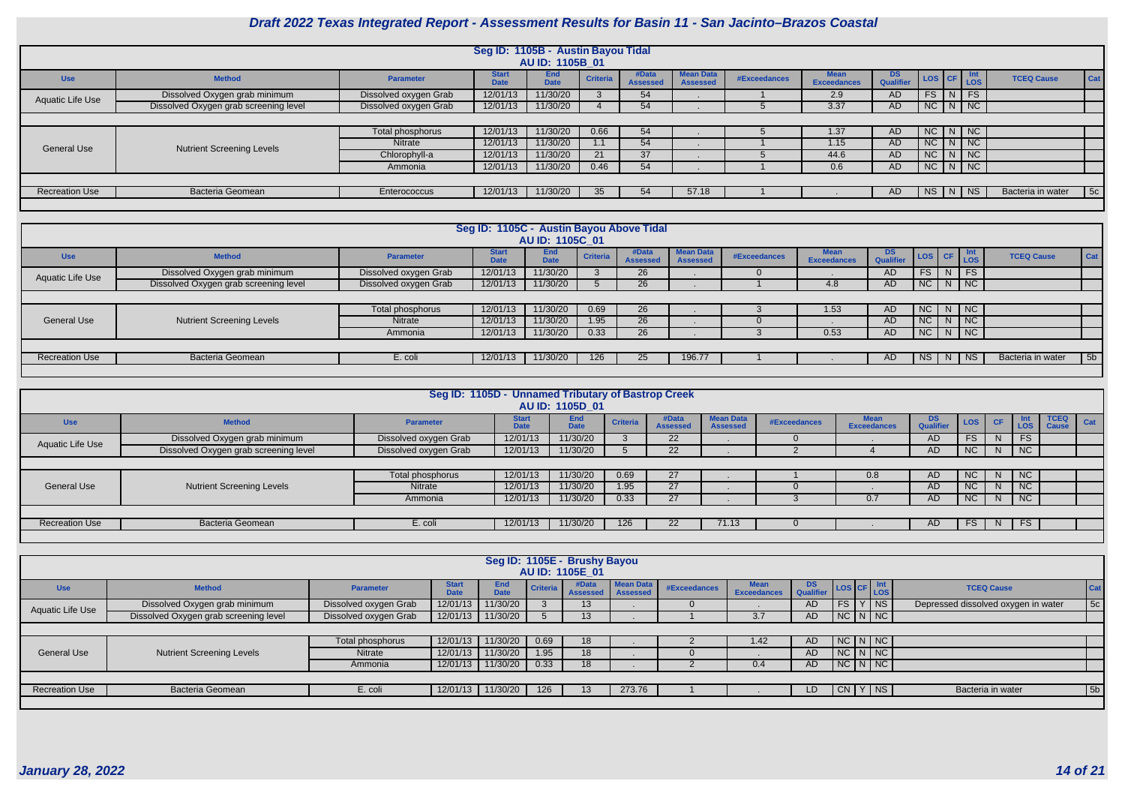

|                       |                                       |                       | Seg ID: 1105B - Austin Bayou Tidal |                           |                 |                          |                                     |              |                            |                  |                                                                                |                 |               |                   |     |
|-----------------------|---------------------------------------|-----------------------|------------------------------------|---------------------------|-----------------|--------------------------|-------------------------------------|--------------|----------------------------|------------------|--------------------------------------------------------------------------------|-----------------|---------------|-------------------|-----|
|                       |                                       |                       |                                    | AU ID: 1105B 01           |                 |                          |                                     |              |                            |                  |                                                                                |                 |               |                   |     |
| <b>Use</b>            | <b>Method</b>                         | <b>Parameter</b>      | <b>Start</b><br>Date               | <b>End</b><br><b>Date</b> | <b>Criteria</b> | #Data<br><b>Assessed</b> | <b>Mean Data</b><br><b>Assessed</b> | #Exceedances | Mean<br><b>Exceedances</b> | DS.<br>Qualifier | $\left  \cos \left  \text{CF} \right  \right $ $\frac{\text{Int}}{\text{LOS}}$ |                 | Int           | <b>TCEQ Cause</b> | Cat |
| Aquatic Life Use      | Dissolved Oxygen grab minimum         | Dissolved oxygen Grab | 12/01/13                           | 11/30/20                  |                 | 54                       |                                     |              | 2.9                        | <b>AD</b>        | FS.                                                                            | N               | <b>FS</b>     |                   |     |
|                       | Dissolved Oxygen grab screening level | Dissolved oxygen Grab | 12/01/13                           | 11/30/20                  |                 | 54                       |                                     |              | 3.37                       | <b>AD</b>        |                                                                                |                 | $NC$ $N$ $NC$ |                   |     |
|                       | $NC$ $N$ $NC$                         |                       |                                    |                           |                 |                          |                                     |              |                            |                  |                                                                                |                 |               |                   |     |
|                       |                                       | Total phosphorus      | 12/01/13                           | 11/30/20                  | 0.66            | 54                       |                                     |              | 1.37                       | <b>AD</b>        |                                                                                |                 |               |                   |     |
| <b>General Use</b>    | <b>Nutrient Screening Levels</b>      | <b>Nitrate</b>        | 12/01/13                           | 11/30/20                  | 1.1             | 54                       |                                     |              | 1.15                       | AD.              | NC                                                                             | N I             | NC            |                   |     |
|                       |                                       | Chlorophyll-a         | 12/01/13                           | 11/30/20                  | 21              | 37                       |                                     |              | 44.6                       | <b>AD</b>        | <b>NC</b>                                                                      | N               | NC            |                   |     |
|                       |                                       | Ammonia               | 12/01/13                           | 11/30/20                  | 0.46            | 54                       |                                     |              | 0.6                        | <b>AD</b>        |                                                                                |                 | $NC$ $N$ $NC$ |                   |     |
|                       |                                       |                       |                                    |                           |                 |                          |                                     |              |                            |                  |                                                                                |                 |               |                   |     |
| <b>Recreation Use</b> | <b>Bacteria Geomean</b>               | Enterococcus          | 12/01/13                           | 11/30/20                  | 35              | 54                       | 57.18                               |              |                            | AD.              | NS                                                                             | $\vert N \vert$ | NS.           | Bacteria in water | 5c  |
|                       |                                       |                       |                                    |                           |                 |                          |                                     |              |                            |                  |                                                                                |                 |               |                   |     |

|                       |                                       |                       | Seg ID: 1105C - Austin Bayou Above Tidal | AU ID: 1105C 01           |                 |                         |                                     |              |                                   |                         |                                                                                               |             |          |                   |            |
|-----------------------|---------------------------------------|-----------------------|------------------------------------------|---------------------------|-----------------|-------------------------|-------------------------------------|--------------|-----------------------------------|-------------------------|-----------------------------------------------------------------------------------------------|-------------|----------|-------------------|------------|
| <b>Use</b>            | <b>Method</b>                         | <b>Parameter</b>      | <b>Start</b>                             | <b>End</b><br><b>Date</b> | <b>Criteria</b> | #Data<br><b>Assesse</b> | <b>Mean Data</b><br><b>Assessed</b> | #Exceedances | <b>Mean</b><br><b>Exceedances</b> | DS.<br><b>Qualifier</b> | $\begin{array}{ c c c c c } \hline \text{LoS} & \text{CF} & \text{Int} \\ \hline \end{array}$ |             |          | <b>TCEQ Cause</b> | <b>Cat</b> |
| Aquatic Life Use      | Dissolved Oxygen grab minimum         | Dissolved oxygen Grab | 12/01/13                                 | 11/30/20                  |                 | 26                      |                                     |              |                                   | <b>AD</b>               | FS                                                                                            | $N$ FS      |          |                   |            |
|                       | Dissolved Oxygen grab screening level | Dissolved oxygen Grab | 12/01/13                                 | 11/30/20                  |                 | 26                      |                                     |              | 4.8                               | AD                      | NC                                                                                            |             |          |                   |            |
|                       | $N$ $NC$                              |                       |                                          |                           |                 |                         |                                     |              |                                   |                         |                                                                                               |             |          |                   |            |
|                       |                                       | Total phosphorus      | 12/01/13                                 | 11/30/20                  | 0.69            | 26                      |                                     |              | 1.53                              | AD                      | NC                                                                                            | $N \mid NC$ |          |                   |            |
| <b>General Use</b>    | <b>Nutrient Screening Levels</b>      | <b>Nitrate</b>        | 12/01/13                                 | 11/30/20                  | 1.95            | 26                      |                                     |              |                                   | AD                      | NC                                                                                            | $N$ NC      |          |                   |            |
|                       |                                       | Ammonia               | 12/01/13                                 | 11/30/20                  | 0.33            | 26                      |                                     |              | 0.53                              | AD                      | NC                                                                                            |             | $N$ $NC$ |                   |            |
|                       |                                       |                       |                                          |                           |                 |                         |                                     |              |                                   |                         |                                                                                               |             |          |                   |            |
| <b>Recreation Use</b> | Bacteria Geomean                      | E. coli               | 12/01/13                                 | 11/30/20                  | 126             | 25                      | 196.77                              |              |                                   | AD.                     | NS                                                                                            | N   NS      |          | Bacteria in water | 5b         |
|                       |                                       |                       |                                          |                           |                 |                         |                                     |              |                                   |                         |                                                                                               |             |          |                   |            |

|                       |                                       | Seg ID: 1105D - Unnamed Tributary of Bastrop Creek |                             | AU ID: 1105D 01           |                 |                          |                                     |              |                                   |                               |           |    |                   |                             |     |
|-----------------------|---------------------------------------|----------------------------------------------------|-----------------------------|---------------------------|-----------------|--------------------------|-------------------------------------|--------------|-----------------------------------|-------------------------------|-----------|----|-------------------|-----------------------------|-----|
| <b>Use</b>            | <b>Method</b>                         | <b>Parameter</b>                                   | <b>Start</b><br><b>Date</b> | <b>End</b><br><b>Date</b> | <b>Criteria</b> | #Data<br><b>Assessed</b> | <b>Mean Data</b><br><b>Assessed</b> | #Exceedances | <b>Mean</b><br><b>Exceedances</b> | <b>DS</b><br><b>Qualifier</b> | LOS CF    |    | Int<br><b>LOS</b> | <b>TCEQ</b><br><b>Cause</b> | Cat |
| Aquatic Life Use      | Dissolved Oxygen grab minimum         | Dissolved oxygen Grab                              | 12/01/13                    | 11/30/20                  |                 | 22                       |                                     |              |                                   | <b>AD</b>                     | <b>FS</b> | N. | <b>FS</b>         |                             |     |
|                       | Dissolved Oxygen grab screening level | Dissolved oxygen Grab                              | 12/01/13                    | 11/30/20                  |                 | 22                       |                                     |              |                                   | <b>AD</b>                     | <b>NC</b> | N. | NC                |                             |     |
|                       |                                       |                                                    |                             |                           |                 |                          |                                     |              |                                   |                               |           |    |                   |                             |     |
|                       |                                       | Total phosphorus                                   | 12/01/13                    | 11/30/20                  | 0.69            | 27                       |                                     |              | 0.8                               | AD                            | NC        | N. | <b>NC</b>         |                             |     |
| <b>General Use</b>    | <b>Nutrient Screening Levels</b>      | Nitrate                                            | 12/01/13                    | 11/30/20                  | 1.95            | 27                       |                                     |              |                                   | <b>AD</b>                     | NC        |    | N <sub>C</sub>    |                             |     |
|                       |                                       | Ammonia                                            | 12/01/13                    | 11/30/20                  | 0.33            | 27                       |                                     |              | 0.7                               | <b>AD</b>                     | <b>NC</b> | N. | NC                |                             |     |
|                       |                                       |                                                    |                             |                           |                 |                          |                                     |              |                                   |                               |           |    |                   |                             |     |
| <b>Recreation Use</b> | <b>Bacteria Geomean</b>               | E. coli                                            | 12/01/13                    | 11/30/20                  | 126             | 22                       | 71.13                               |              |                                   | AD                            | FS.       | N  | <b>FS</b>         |                             |     |
|                       |                                       |                                                    |                             |                           |                 |                          |                                     |              |                                   |                               |           |    |                   |                             |     |

|                         |                                       |                       |                             |                           |          | Seg ID: 1105E - Brushy Bayou<br>AU ID: 1105E 01 |                              |              |                                   |               |                       |  |                                     |            |  |
|-------------------------|---------------------------------------|-----------------------|-----------------------------|---------------------------|----------|-------------------------------------------------|------------------------------|--------------|-----------------------------------|---------------|-----------------------|--|-------------------------------------|------------|--|
| <b>Use</b>              | <b>Method</b>                         | <b>Parameter</b>      | <b>Start</b><br><b>Date</b> | <b>End</b><br><b>Date</b> | Criteria | #Data<br><b>Assessed</b>                        | Mean Data<br><b>Assessed</b> | #Exceedances | <b>Mean</b><br><b>Exceedances</b> | DS LOS CF Int |                       |  | <b>TCEQ Cause</b>                   | <b>Cat</b> |  |
| <b>Aquatic Life Use</b> | Dissolved Oxygen grab minimum         | Dissolved oxygen Grab | 12/01/13                    | 11/30/20                  |          | 13 <sup>1</sup>                                 |                              |              |                                   | AD.           | FS Y NS               |  | Depressed dissolved oxygen in water | 5c         |  |
|                         | Dissolved Oxygen grab screening level | Dissolved oxygen Grab | 12/01/13                    | 11/30/20                  |          | 13                                              |                              |              | 3.7                               | AD            | $NC\ N\ N$            |  |                                     |            |  |
|                         |                                       |                       |                             |                           |          |                                                 |                              |              |                                   |               |                       |  |                                     |            |  |
|                         |                                       | Total phosphorus      | 12/01/13                    | 11/30/20                  | 0.69     | 18                                              |                              |              | 1.42                              | AD            | $NC\mid N\mid NC\mid$ |  |                                     |            |  |
| <b>General Use</b>      | <b>Nutrient Screening Levels</b>      | Nitrate               | 12/01/13                    | 11/30/20                  | 1.95     | 18                                              |                              |              |                                   | <b>AD</b>     | $NC$ $N$ $NC$         |  |                                     |            |  |
|                         |                                       | Ammonia               | 12/01/13                    | 11/30/20                  | 0.33     | 18                                              |                              |              | 0.4                               | <b>AD</b>     | $NC\ N\ N$            |  |                                     |            |  |
|                         |                                       |                       |                             |                           |          |                                                 |                              |              |                                   |               |                       |  |                                     |            |  |
| <b>Recreation Use</b>   | Bacteria Geomean                      | E. coli               | 12/01/13                    | 11/30/20                  | 126      | 13                                              | 273.76                       |              |                                   | LD            | CN Y NS               |  | Bacteria in water                   | 5b         |  |
|                         |                                       |                       |                             |                           |          |                                                 |                              |              |                                   |               |                       |  |                                     |            |  |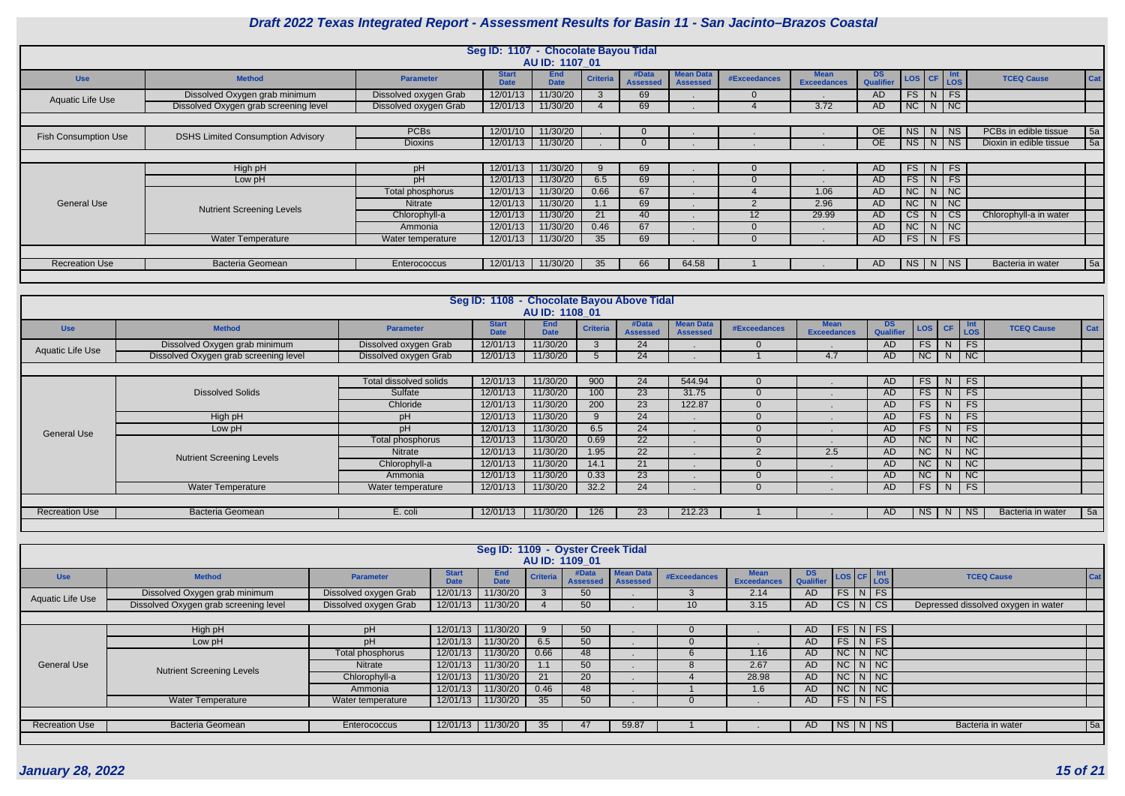

|                             |                                          |                       | Seg ID: 1107 - Chocolate Bayou Tidal |                           |                 |                          |                                     |              |                                   |                         |                        |               |                             |                         |            |
|-----------------------------|------------------------------------------|-----------------------|--------------------------------------|---------------------------|-----------------|--------------------------|-------------------------------------|--------------|-----------------------------------|-------------------------|------------------------|---------------|-----------------------------|-------------------------|------------|
|                             |                                          |                       |                                      | AU ID: 1107 01            |                 |                          |                                     |              |                                   |                         |                        |               |                             |                         |            |
| <b>Use</b>                  | <b>Method</b>                            | <b>Parameter</b>      | <b>Start</b><br><b>Date</b>          | <b>End</b><br><b>Date</b> | <b>Criteria</b> | #Data<br><b>Assessed</b> | <b>Mean Data</b><br><b>Assessed</b> | #Exceedances | <b>Mean</b><br><b>Exceedances</b> | DS.<br><b>Qualifier</b> |                        |               | LOS CF LOS                  | <b>TCEQ Cause</b>       | Cat        |
| Aquatic Life Use            | Dissolved Oxygen grab minimum            | Dissolved oxygen Grab | 12/01/13                             | 11/30/20                  |                 | 69                       |                                     |              |                                   | AD                      | FS                     | $\mid N \mid$ | $\overline{\phantom{a}}$ FS |                         |            |
|                             | Dissolved Oxygen grab screening level    | Dissolved oxygen Grab | 12/01/13                             | 11/30/20                  |                 | 69                       |                                     |              | 3.72                              | AD                      | $NC$ $N$ $NC$          |               |                             |                         |            |
|                             |                                          |                       |                                      |                           |                 |                          |                                     |              |                                   |                         |                        |               |                             |                         |            |
|                             | <b>DSHS Limited Consumption Advisory</b> | <b>PCBs</b>           | 12/01/10                             | 11/30/20                  |                 | $\Omega$                 |                                     |              |                                   | OE.                     | <b>NS</b>              | N             | $ $ NS                      | PCBs in edible tissue   | $\vert$ 5a |
| <b>Fish Consumption Use</b> |                                          | <b>Dioxins</b>        | 12/01/13                             | 11/30/20                  |                 |                          |                                     |              |                                   | OE.                     | <b>NS</b>              |               | $\mid N \mid NS$            | Dioxin in edible tissue | 5a         |
|                             |                                          |                       |                                      |                           |                 |                          |                                     |              |                                   |                         |                        |               |                             |                         |            |
|                             | High pH                                  | pH                    | 12/01/13                             | 11/30/20                  | 9               | 69                       |                                     |              |                                   | AD.                     | FS                     |               | $\vert N \vert$ FS          |                         |            |
|                             | Low pH                                   | pH                    | 12/01/13                             | 11/30/20                  | 6.5             | 69                       |                                     |              |                                   | <b>AD</b>               | FS                     |               | $N$ FS                      |                         |            |
|                             |                                          | Total phosphorus      | 12/01/13                             | 11/30/20                  | 0.66            | 67                       |                                     |              | 1.06                              | AD                      | NC                     | N             | $\overline{\phantom{a}}$ NC |                         |            |
| <b>General Use</b>          | <b>Nutrient Screening Levels</b>         | <b>Nitrate</b>        | 12/01/13                             | 11/30/20                  | 1.1             | 69                       |                                     |              | 2.96                              | AD.                     | NC                     | N             | $\overline{\phantom{a}}$ NC |                         |            |
|                             |                                          | Chlorophyll-a         | 12/01/13                             | 11/30/20                  | 21              | 40                       |                                     | 12           | 29.99                             | <b>AD</b>               | $\overline{\text{CS}}$ | N             | $\overline{\phantom{a}}$ CS | Chlorophyll-a in water  |            |
|                             |                                          | Ammonia               | 12/01/13                             | 11/30/20                  | 0.46            | 67                       |                                     |              |                                   | AD                      | NC                     |               | $N$ NC                      |                         |            |
|                             | <b>Water Temperature</b>                 | Water temperature     | 12/01/13                             | 11/30/20                  | 35              | 69                       |                                     |              |                                   | AD                      | $FS$ N FS              |               |                             |                         |            |
|                             |                                          |                       |                                      |                           |                 |                          |                                     |              |                                   |                         |                        |               |                             |                         |            |
| <b>Recreation Use</b>       | <b>Bacteria Geomean</b>                  | Enterococcus          | 12/01/13                             | 11/30/20                  | 35              | 66                       | 64.58                               |              |                                   | AD.                     | NS   N                 |               | NS                          | Bacteria in water       | 5a         |
|                             |                                          |                       |                                      |                           |                 |                          |                                     |              |                                   |                         |                        |               |                             |                         |            |

|                       |                                       |                        | Seg ID: 1108 - Chocolate Bayou Above Tidal |                    |                 |                          |                                     |                     |                                   |                        |           |    |                             |                   |     |
|-----------------------|---------------------------------------|------------------------|--------------------------------------------|--------------------|-----------------|--------------------------|-------------------------------------|---------------------|-----------------------------------|------------------------|-----------|----|-----------------------------|-------------------|-----|
|                       |                                       |                        |                                            | AU ID: 1108 01     |                 |                          |                                     |                     |                                   |                        |           |    |                             |                   |     |
| <b>Use</b>            | <b>Method</b>                         | <b>Parameter</b>       | <b>Start</b><br><b>Date</b>                | End<br><b>Date</b> | <b>Criteria</b> | #Data<br><b>Assessed</b> | <b>Mean Data</b><br><b>Assessed</b> | <b>#Exceedances</b> | <b>Mean</b><br><b>Exceedances</b> | <b>DS</b><br>Qualifier | LOS CF    |    | <b>Int</b><br>Los           | <b>TCEQ Cause</b> | Cat |
| Aquatic Life Use      | Dissolved Oxygen grab minimum         | Dissolved oxygen Grab  | 12/01/13                                   | 11/30/20           |                 | 24                       |                                     |                     |                                   | AD                     | <b>FS</b> | N. | <b>FS</b>                   |                   |     |
|                       | Dissolved Oxygen grab screening level | Dissolved oxygen Grab  | 12/01/13                                   | 11/30/20           |                 | 24                       |                                     |                     | 4.7                               | AD                     | NC        |    | $N$   NC                    |                   |     |
|                       |                                       |                        |                                            |                    |                 |                          |                                     |                     |                                   |                        |           |    |                             |                   |     |
|                       |                                       | Total dissolved solids | 12/01/13                                   | 11/30/20           | 900             | 24                       | 544.94                              |                     |                                   | <b>AD</b>              | FS        | N  | FS                          |                   |     |
|                       | <b>Dissolved Solids</b>               | Sulfate                | 12/01/13                                   | 11/30/20           | 100             | 23                       | 31.75                               |                     |                                   | <b>AD</b>              | <b>FS</b> | N. | FS                          |                   |     |
|                       |                                       | Chloride               | 12/01/13                                   | 11/30/20           | 200             | 23                       | 122.87                              |                     |                                   | AD                     | <b>FS</b> | N. | FS                          |                   |     |
|                       | High pH                               | pH                     | 12/01/13                                   | 11/30/20           | $\mathsf{Q}$    | 24                       |                                     |                     |                                   | <b>AD</b>              | <b>FS</b> | N. | <b>FS</b>                   |                   |     |
| <b>General Use</b>    | Low pH                                | pH                     | 12/01/13                                   | 11/30/20           | 6.5             | 24                       |                                     |                     |                                   | <b>AD</b>              | <b>FS</b> | N. | FS                          |                   |     |
|                       |                                       | Total phosphorus       | 12/01/13                                   | 11/30/20           | 0.69            | 22                       |                                     |                     |                                   | <b>AD</b>              | NC        | N. | $\overline{\phantom{a}}$ NC |                   |     |
|                       | <b>Nutrient Screening Levels</b>      | Nitrate                | 12/01/13                                   | 11/30/20           | 1.95            | 22                       |                                     |                     | 2.5                               | AD                     | NC        | N. | NC                          |                   |     |
|                       |                                       | Chlorophyll-a          | 12/01/13                                   | 11/30/20           | 14.1            | 21                       |                                     |                     |                                   | <b>AD</b>              | NC        | N  | $\overline{\phantom{a}}$ NC |                   |     |
|                       |                                       | Ammonia                | 12/01/13                                   | 11/30/20           | 0.33            | 23                       |                                     |                     |                                   | <b>AD</b>              | NC        | N. | $\overline{\phantom{a}}$ NC |                   |     |
|                       | <b>Water Temperature</b>              | Water temperature      | 12/01/13                                   | 11/30/20           | 32.2            | 24                       |                                     |                     |                                   | <b>AD</b>              | FS        | N  | FS                          |                   |     |
|                       |                                       |                        |                                            |                    |                 |                          |                                     |                     |                                   |                        |           |    |                             |                   |     |
| <b>Recreation Use</b> | <b>Bacteria Geomean</b>               | E. coli                | 12/01/13                                   | 11/30/20           | 126             | 23                       | 212.23                              |                     |                                   | <b>AD</b>              | NS        | N  | <b>NS</b>                   | Bacteria in water | 5a  |
|                       |                                       |                        |                                            |                    |                 |                          |                                     |                     |                                   |                        |           |    |                             |                   |     |

|                       |                                       |                       |                             |                    |                 | Seg ID: 1109 - Oyster Creek Tidal<br>AU ID: 1109 01 |                                     |                 |                                   |                        |                                           |                      |                                     |  |  |
|-----------------------|---------------------------------------|-----------------------|-----------------------------|--------------------|-----------------|-----------------------------------------------------|-------------------------------------|-----------------|-----------------------------------|------------------------|-------------------------------------------|----------------------|-------------------------------------|--|--|
| <b>Use</b>            | <b>Method</b>                         | <b>Parameter</b>      | <b>Start</b><br><b>Date</b> | End<br><b>Date</b> | <b>Criteria</b> | #Data<br><b>Assessed</b>                            | <b>Mean Data</b><br><b>Assessed</b> | #Exceedances    | <b>Mean</b><br><b>Exceedances</b> | <b>DS</b><br>Qualifier | $\log$ CF $\frac{\text{Int}}{\text{LOS}}$ |                      | <b>TCEQ Cause</b><br>$ $ Cat        |  |  |
| Aquatic Life Use      | Dissolved Oxygen grab minimum         | Dissolved oxygen Grab | 12/01/13                    | 11/30/20           |                 | 50                                                  |                                     |                 | 2.14                              | <b>AD</b>              |                                           | $FS\vert N \vert FS$ |                                     |  |  |
|                       | Dissolved Oxygen grab screening level | Dissolved oxygen Grab | 12/01/13                    | 11/30/20           |                 |                                                     |                                     | 10 <sup>°</sup> | 3.15                              | <b>AD</b>              | CS N CS                                   |                      | Depressed dissolved oxygen in water |  |  |
|                       | $FS\mid N \mid FS$<br>9               |                       |                             |                    |                 |                                                     |                                     |                 |                                   |                        |                                           |                      |                                     |  |  |
|                       | High pH                               | рH                    | 12/01/13                    | 11/30/20           |                 | 50                                                  |                                     |                 |                                   | <b>AD</b>              |                                           |                      |                                     |  |  |
|                       | Low pH                                | рH                    | 12/01/13                    | 11/30/20           | 6.5             | 50                                                  |                                     |                 |                                   | <b>AD</b>              |                                           | $FS\mid N \mid FS$   |                                     |  |  |
|                       |                                       | Total phosphorus      | 12/01/13                    | 11/30/20           | 0.66            | 48                                                  |                                     |                 | 1.16                              | AD                     | $NC\mid N\mid NC$                         |                      |                                     |  |  |
| <b>General Use</b>    | <b>Nutrient Screening Levels</b>      | Nitrate               | 12/01/13                    | 11/30/20           | 1.1             | 50                                                  |                                     | $\Omega$        | 2.67                              | AD                     | $NC$ $N$ $NC$                             |                      |                                     |  |  |
|                       |                                       | Chlorophyll-a         | 12/01/13                    | 11/30/20           | 21              | 20                                                  |                                     |                 | 28.98                             | <b>AD</b>              | $NC \mid N \mid NC$                       |                      |                                     |  |  |
|                       |                                       | Ammonia               | 12/01/13                    | 11/30/20           | 0.46            | 48                                                  |                                     |                 | 1.6                               | <b>AD</b>              |                                           | $NC$ $N$ $NC$        |                                     |  |  |
|                       | Water Temperature                     | Water temperature     | 12/01/13                    | 11/30/20           | 35              | 50                                                  |                                     |                 |                                   | <b>AD</b>              |                                           | $FS\mid N \mid FS$   |                                     |  |  |
|                       |                                       |                       |                             |                    |                 |                                                     |                                     |                 |                                   |                        |                                           |                      |                                     |  |  |
| <b>Recreation Use</b> | <b>Bacteria Geomean</b>               | Enterococcus          | 12/01/13                    | 11/30/20           | 35              | 47                                                  | 59.87                               |                 |                                   | AD                     | $N_S/N$ $NS$                              |                      | $\vert$ 5a<br>Bacteria in water     |  |  |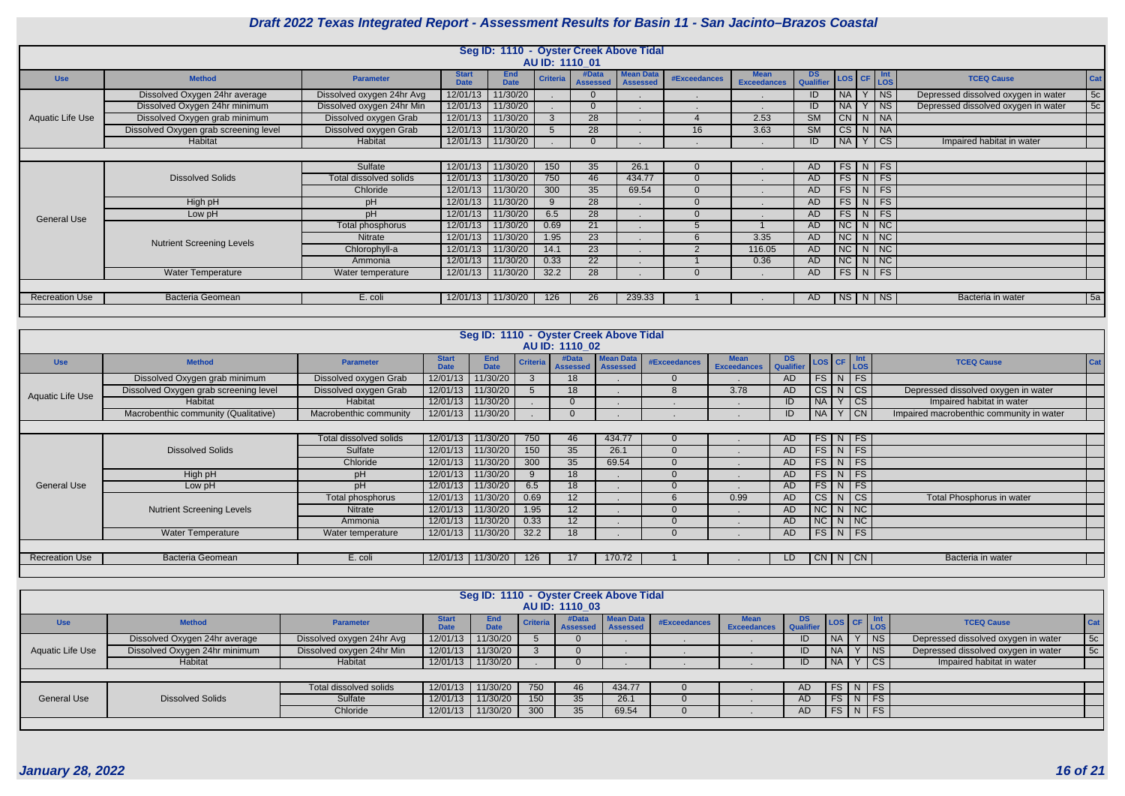

|                       |                                       |                           |                             | Seg ID: 1110 - Oyster Creek Above Tidal |                       |                          |                                     |              |                                   |                         |                 |                                  |                                          |                                     |     |
|-----------------------|---------------------------------------|---------------------------|-----------------------------|-----------------------------------------|-----------------------|--------------------------|-------------------------------------|--------------|-----------------------------------|-------------------------|-----------------|----------------------------------|------------------------------------------|-------------------------------------|-----|
|                       |                                       |                           |                             |                                         | <b>AU ID: 1110 01</b> |                          |                                     |              |                                   |                         |                 |                                  |                                          |                                     |     |
| <b>Use</b>            | <b>Method</b>                         | <b>Parameter</b>          | <b>Start</b><br><b>Date</b> | <b>End</b><br><b>Date</b>               | Criteri               | #Data<br><b>Assessed</b> | <b>Mean Data</b><br><b>Assessed</b> | #Exceedances | <b>Mean</b><br><b>Exceedances</b> | DS.<br><b>Qualifier</b> |                 | $\textsf{LOS}$ CF $\textsf{Int}$ |                                          | <b>TCEQ Cause</b>                   | Cat |
|                       | Dissolved Oxygen 24hr average         | Dissolved oxygen 24hr Avg | 12/01/13                    | 11/30/20                                |                       |                          |                                     |              |                                   | ID                      | <b>NA</b>       |                                  | $ $ NS                                   | Depressed dissolved oxygen in water | 5c  |
|                       | Dissolved Oxygen 24hr minimum         | Dissolved oxygen 24hr Min | 12/01/13                    | 11/30/20                                |                       |                          |                                     |              |                                   | ID                      | <b>NA</b>       |                                  | $ $ NS                                   | Depressed dissolved oxygen in water | 5c  |
| Aquatic Life Use      | Dissolved Oxygen grab minimum         | Dissolved oxygen Grab     | 12/01/13                    | 11/30/20                                |                       | 28                       |                                     |              | 2.53                              | SM                      |                 | $CN$ $N$ $NA$                    |                                          |                                     |     |
|                       | Dissolved Oxygen grab screening level | Dissolved oxygen Grab     | 12/01/13                    | 11/30/20                                |                       | 28                       |                                     | 16           | 3.63                              | <b>SM</b>               | CS              | $N$ $NA$                         |                                          |                                     |     |
|                       | Habitat                               | Habitat                   | 12/01/13                    | 11/30/20                                |                       |                          |                                     |              |                                   | ID                      | <b>NA</b>       |                                  | $\overline{\overline{\text{c}}\text{s}}$ | Impaired habitat in water           |     |
|                       | $FS$ N FS                             |                           |                             |                                         |                       |                          |                                     |              |                                   |                         |                 |                                  |                                          |                                     |     |
|                       |                                       | Sulfate                   | 12/01/13                    | 11/30/20                                | 150                   | 35                       | 26.1                                |              |                                   | AD.                     |                 |                                  |                                          |                                     |     |
|                       | <b>Dissolved Solids</b>               | Total dissolved solids    | 12/01/13                    | 11/30/20                                | 750                   | 46                       | 434.77                              |              |                                   | AD.                     |                 | FS N FS                          |                                          |                                     |     |
|                       |                                       | Chloride                  | 12/01/13                    | 11/30/20                                | 300                   | 35                       | 69.54                               |              |                                   | AD.                     |                 | $FS\mid N \mid FS$               |                                          |                                     |     |
|                       | High pH                               | pH                        | 12/01/13                    | 11/30/20                                |                       | 28                       |                                     |              | $\mathbf{r}$                      | AD                      |                 | $FS$ N FS                        |                                          |                                     |     |
| <b>General Use</b>    | Low pH                                | pH                        | 12/01/13                    | 11/30/20                                | 6.5                   | $\overline{28}$          |                                     |              |                                   | AD                      |                 | $FS$ N FS                        |                                          |                                     |     |
|                       |                                       | Total phosphorus          | 12/01/13                    | 11/30/20                                | 0.69                  | 21                       |                                     |              |                                   | AD                      |                 | $NC$ $N$ $NC$                    |                                          |                                     |     |
|                       | <b>Nutrient Screening Levels</b>      | Nitrate                   | 12/01/13                    | 11/30/20                                | 1.95                  | 23                       |                                     |              | 3.35                              | AD                      | NC              | $N$ NC                           |                                          |                                     |     |
|                       |                                       | Chlorophyll-a             | 12/01/13                    | 11/30/20                                | 14.1                  | 23                       |                                     |              | 116.05                            | AD                      | NC              | $N$ NC                           |                                          |                                     |     |
|                       |                                       | Ammonia                   | 12/01/13                    | 11/30/20                                | 0.33                  | 22                       |                                     |              | 0.36                              | AD                      | $\overline{AC}$ | $N$ NC                           |                                          |                                     |     |
|                       | <b>Water Temperature</b>              | Water temperature         | 12/01/13                    | 11/30/20                                | 32.2                  | 28                       |                                     |              |                                   | AD                      |                 | FS N FS                          |                                          |                                     |     |
|                       |                                       |                           |                             |                                         |                       |                          |                                     |              |                                   |                         |                 |                                  |                                          |                                     |     |
| <b>Recreation Use</b> | <b>Bacteria Geomean</b>               | E. coli                   | 12/01/13                    | 11/30/20                                | 126                   | 26                       | 239.33                              |              |                                   | AD.                     |                 | NS N NS                          |                                          | Bacteria in water                   | 5a  |
|                       |                                       |                           |                             |                                         |                       |                          |                                     |              |                                   |                         |                 |                                  |                                          |                                     |     |

|                         |                                       |                        |                             |                           |                 |                              | Seg ID: 1110 - Oyster Creek Above Tidal |                     |                            |                        |                         |             |           |                                          |            |
|-------------------------|---------------------------------------|------------------------|-----------------------------|---------------------------|-----------------|------------------------------|-----------------------------------------|---------------------|----------------------------|------------------------|-------------------------|-------------|-----------|------------------------------------------|------------|
|                         |                                       |                        |                             |                           |                 | AU ID: 1110 02               |                                         |                     |                            |                        |                         |             |           |                                          |            |
| <b>Use</b>              | <b>Method</b>                         | <b>Parameter</b>       | <b>Start</b><br><b>Date</b> | <b>End</b><br><b>Date</b> | <b>Criteria</b> | #Data<br>Assessed   Assessed | <b>Mean Data</b>                        | <b>#Exceedances</b> | Mean<br><b>Exceedances</b> | <b>DS</b><br>Qualifier | $LOSCF$ $\frac{1}{10}$  |             |           | <b>TCEQ Cause</b>                        | <b>Cat</b> |
|                         | Dissolved Oxygen grab minimum         | Dissolved oxygen Grab  |                             | 12/01/13 11/30/20         |                 | 18                           |                                         |                     |                            | AD                     | $FS$ N FS               |             |           |                                          |            |
| <b>Aquatic Life Use</b> | Dissolved Oxygen grab screening level | Dissolved oxygen Grab  |                             | 12/01/13   11/30/20       | $\overline{5}$  | 18                           |                                         |                     | 3.78                       | AD                     | CS N                    | $  \csc$    |           | Depressed dissolved oxygen in water      |            |
|                         | Habitat                               | Habitat                |                             | 12/01/13 11/30/20         |                 | $\Omega$                     |                                         |                     |                            | ID                     | NA                      | Y           | $  \csc$  | Impaired habitat in water                |            |
|                         | Macrobenthic community (Qualitative)  | Macrobenthic community |                             | 12/01/13 11/30/20         |                 |                              |                                         |                     |                            | ID.                    | NA                      | $ $ CN<br>Y |           | Impaired macrobenthic community in water |            |
|                         | FS N FS<br>$\Omega$                   |                        |                             |                           |                 |                              |                                         |                     |                            |                        |                         |             |           |                                          |            |
|                         |                                       | Total dissolved solids | 12/01/13                    | 11/30/20                  | 750             | 46                           | 434.77                                  |                     |                            | AD.                    |                         |             |           |                                          |            |
|                         | <b>Dissolved Solids</b>               | Sulfate                | 12/01/13                    | 11/30/20                  | 150             | 35                           | 26.1                                    |                     |                            | AD.                    | $FS\mid N \mid FS \mid$ |             |           |                                          |            |
|                         |                                       | Chloride               | 12/01/13                    | 11/30/20                  | 300             | 35                           | 69.54                                   |                     |                            | AD.                    | $FS\mid N \mid FS \mid$ |             |           |                                          |            |
|                         | High pH                               | pH                     | 12/01/13                    | 11/30/20                  | 9               | 18                           |                                         |                     |                            | AD.                    | $FS\mid N \mid FS \mid$ |             |           |                                          |            |
| <b>General Use</b>      | Low pH                                | рH                     | 12/01/13                    | 11/30/20                  | 6.5             | 18 <sup>°</sup>              |                                         |                     |                            | AD                     | FS N                    |             | <b>FS</b> |                                          |            |
|                         |                                       | Total phosphorus       | 12/01/13                    | 11/30/20                  | 0.69            | 12                           |                                         |                     | 0.99                       | AD                     | $CS$ N $CS$             |             |           | Total Phosphorus in water                |            |
|                         | <b>Nutrient Screening Levels</b>      | <b>Nitrate</b>         | 12/01/13                    | 11/30/20                  | 1.95            | 12 <sup>2</sup>              |                                         |                     |                            | AD.                    | $NC$ $N$ $NC$           |             |           |                                          |            |
|                         |                                       | Ammonia                | 12/01/13                    | 11/30/20                  | 0.33            | 12 <sup>2</sup>              |                                         |                     |                            | AD.                    | $NC$   N   NC           |             |           |                                          |            |
|                         | <b>Water Temperature</b>              | Water temperature      |                             | 12/01/13 11/30/20         | 32.2            | 18                           |                                         |                     |                            | AD                     | $FS\mid N \mid FS \mid$ |             |           |                                          |            |
|                         |                                       |                        |                             |                           |                 |                              |                                         |                     |                            |                        |                         |             |           |                                          |            |
| <b>Recreation Use</b>   | Bacteria Geomean                      | E. coli                |                             | 12/01/13 11/30/20         | 126             | 17                           | 170.72                                  |                     |                            | LD                     | $CN$   N   CN           |             |           | Bacteria in water                        |            |
|                         |                                       |                        |                             |                           |                 |                              |                                         |                     |                            |                        |                         |             |           |                                          |            |

|                    |                               |                           |                             |                           |     | Seg ID: 1110 - Oyster Creek Above Tidal<br>AU ID: 1110 03 |                  |              |                                   |                                              |           |   |        |                                     |             |
|--------------------|-------------------------------|---------------------------|-----------------------------|---------------------------|-----|-----------------------------------------------------------|------------------|--------------|-----------------------------------|----------------------------------------------|-----------|---|--------|-------------------------------------|-------------|
| <b>Use</b>         | <b>Method</b>                 | <b>Parameter</b>          | <b>Start</b><br><b>Date</b> | <b>End</b><br><b>Date</b> |     | #Data<br>Criteria Assessed Assessed                       | <b>Mean Data</b> | #Exceedances | <b>Mean</b><br><b>Exceedances</b> | <b>DS</b> LOS CF Int<br>Qualifier LOS CF LOS |           |   |        | <b>TCEQ Cause</b>                   | $ $ Cat     |
|                    | Dissolved Oxygen 24hr average | Dissolved oxygen 24hr Avg | 12/01/13                    | 11/30/20                  |     | U                                                         |                  |              |                                   |                                              | <b>NA</b> |   | N      | Depressed dissolved oxygen in water | 5c          |
| Aquatic Life Use   | Dissolved Oxygen 24hr minimum | Dissolved oxygen 24hr Min | 12/01/13                    | 11/30/20                  |     | O                                                         |                  |              |                                   |                                              | <b>NA</b> |   | N      | Depressed dissolved oxygen in water | $\sqrt{5c}$ |
|                    | Habitat                       | Habitat                   |                             | 12/01/13 11/30/20         |     |                                                           |                  |              |                                   |                                              | NA        |   | Y CS   | Impaired habitat in water           |             |
|                    |                               |                           |                             |                           |     |                                                           |                  |              |                                   |                                              |           |   |        |                                     |             |
|                    |                               | Total dissolved solids    | 12/01/13                    | 11/30/20                  | 750 | 46                                                        | 434.77           |              |                                   | AD.                                          | FS        |   | $N$ FS |                                     |             |
| <b>General Use</b> | <b>Dissolved Solids</b>       | Sulfate                   | 12/01/13                    | 11/30/20                  | 150 | 35                                                        | 26.1             |              |                                   | AD.                                          | / FS /    | N | FS     |                                     |             |
|                    |                               | Chloride                  | 12/01/13                    | 11/30/20                  | 300 | 35                                                        | 69.54            |              |                                   | AD                                           | FS        |   | NFS    |                                     |             |
|                    |                               |                           |                             |                           |     |                                                           |                  |              |                                   |                                              |           |   |        |                                     |             |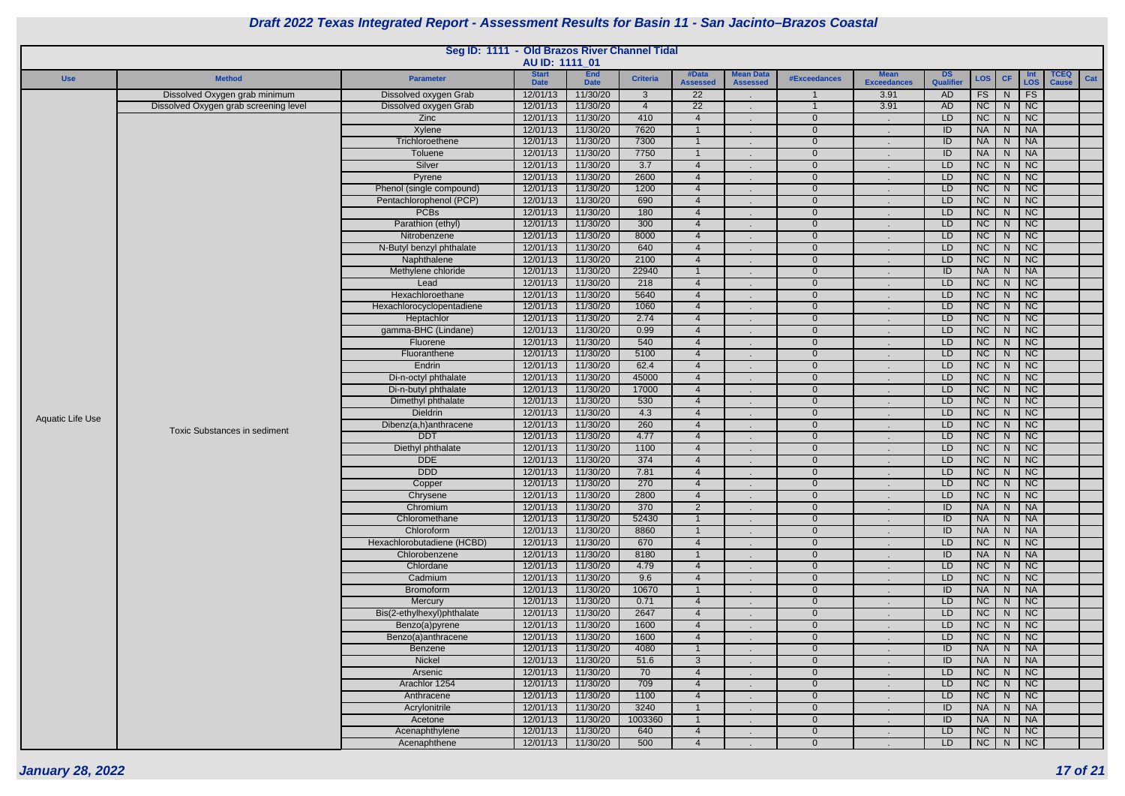

|                  |                                       | Seg ID: 1111 - Old Brazos River Channel Tidal | AU ID: 1111_01              |                           |                          |                                                   |                                     |                            |                                   |                        |                        |                         |                                                            |                             |     |
|------------------|---------------------------------------|-----------------------------------------------|-----------------------------|---------------------------|--------------------------|---------------------------------------------------|-------------------------------------|----------------------------|-----------------------------------|------------------------|------------------------|-------------------------|------------------------------------------------------------|-----------------------------|-----|
| <b>Use</b>       | <b>Method</b>                         | <b>Parameter</b>                              | <b>Start</b><br><b>Date</b> | <b>End</b><br><b>Date</b> | <b>Criteria</b>          | #Data<br><b>Assessed</b>                          | <b>Mean Data</b><br><b>Assessed</b> | #Exceedances               | <b>Mean</b><br><b>Exceedances</b> | <b>DS</b><br>Qualifier | LOS                    | <b>CF</b>               | Int<br>LOS                                                 | <b>TCEQ</b><br><b>Cause</b> | Cat |
|                  | Dissolved Oxygen grab minimum         | Dissolved oxygen Grab                         | 12/01/13                    | 11/30/20                  | $\mathbf{3}$             | $\overline{22}$                                   |                                     |                            | 3.91                              | AD                     | FS                     | N                       | FS                                                         |                             |     |
|                  | Dissolved Oxygen grab screening level | Dissolved oxygen Grab                         | 12/01/13                    | 11/30/20                  | $\overline{4}$           | $\overline{22}$                                   | $\sim$                              |                            | 3.91                              | <b>AD</b>              | NC                     | ${\sf N}$               | $\overline{\phantom{a}}$ NC                                |                             |     |
|                  |                                       | Zinc                                          | 12/01/13                    | 11/30/20                  | 410                      | $\overline{4}$                                    |                                     | $\Omega$                   |                                   | LD                     | NC                     | ${\sf N}$               | $\overline{\big }$ NC                                      |                             |     |
|                  |                                       | Xylene                                        | 12/01/13                    | 11/30/20                  | 7620                     |                                                   |                                     | $\Omega$                   |                                   | ID                     | <b>NA</b>              | $\overline{N}$          | $\overline{\phantom{a}}$ NA                                |                             |     |
|                  |                                       | Trichloroethene                               | 12/01/13                    | 11/30/20                  | 7300                     |                                                   |                                     | $\Omega$                   |                                   | ID                     | <b>NA</b>              | ${\sf N}$               | $\overline{\phantom{a}}$ NA                                |                             |     |
|                  |                                       | <b>Toluene</b>                                | 12/01/13                    | 11/30/20                  | 7750                     |                                                   |                                     | $\Omega$                   |                                   | ID                     | <b>NA</b>              | N                       | $\overline{\big }$ NA                                      |                             |     |
|                  |                                       | Silver<br>Pyrene                              | 12/01/13<br>12/01/13        | 11/30/20<br>11/30/20      | $\overline{3.7}$<br>2600 | $\overline{4}$<br>$\overline{4}$                  |                                     | $\overline{0}$<br>$\Omega$ |                                   | LD<br>LD               | NC<br><b>NC</b>        | $\mathsf{N}$            | $\overline{\phantom{a}}$ NC<br>$\overline{\phantom{a}}$ NC |                             |     |
|                  |                                       | Phenol (single compound)                      | 12/01/13                    | 11/30/20                  | 1200                     | $\overline{4}$                                    |                                     | $\Omega$                   |                                   | LD                     | NC                     | N<br>N                  | $\overline{\phantom{a}}$ NC                                |                             |     |
|                  |                                       | Pentachlorophenol (PCP)                       | 12/01/13                    | 11/30/20                  | 690                      | $\overline{4}$                                    |                                     | $\Omega$                   |                                   | LD                     | NC                     | ${\sf N}$               | $\overline{\phantom{a}}$ NC                                |                             |     |
|                  |                                       | <b>PCBs</b>                                   | 12/01/13                    | 11/30/20                  | 180                      | $\overline{4}$                                    |                                     | $\Omega$                   |                                   | LD                     | NC                     | ${\sf N}$               | $\overline{\phantom{a}}$ NC                                |                             |     |
|                  |                                       | Parathion (ethyl)                             | 12/01/13                    | 11/30/20                  | 300                      | $\overline{4}$                                    | $\sim$                              | $\Omega$                   |                                   | LD.                    | <b>NC</b>              | N.                      | $\overline{\phantom{a}}$ NC                                |                             |     |
|                  |                                       | Nitrobenzene                                  | 12/01/13                    | 11/30/20                  | 8000                     | $\overline{4}$                                    |                                     | $\Omega$                   |                                   | LD                     | NC                     | N                       | $\overline{\phantom{a}}$ NC                                |                             |     |
|                  |                                       | N-Butyl benzyl phthalate                      | 12/01/13                    | 11/30/20                  | 640                      | $\overline{4}$                                    |                                     | $\Omega$                   |                                   | LD                     | NC                     | $\mathsf{N}$            | $\overline{\phantom{a}}$ NC                                |                             |     |
|                  |                                       | Naphthalene                                   | 12/01/13                    | 11/30/20                  | 2100                     | $\overline{4}$                                    |                                     | $\Omega$                   |                                   | LD                     | NC                     | N                       | $\overline{\phantom{a}}$ NC                                |                             |     |
|                  |                                       | Methylene chloride                            | 12/01/13                    | 11/30/20                  | 22940                    |                                                   |                                     | $\Omega$                   |                                   | ID                     | <b>NA</b>              | $\overline{\mathsf{N}}$ | $\overline{\big }$ NA                                      |                             |     |
|                  |                                       | Lead                                          | 12/01/13                    | 11/30/20                  | 218                      | $\overline{4}$                                    |                                     | $\Omega$                   |                                   | LD                     | NC                     | ${\sf N}$               | $\overline{\big }$ NC                                      |                             |     |
|                  |                                       | Hexachloroethane                              | 12/01/13                    | 11/30/20                  | 5640                     | $\overline{4}$                                    |                                     | $\overline{0}$             |                                   | LD                     | NC                     | ${\sf N}$               | $\overline{\big }$ NC                                      |                             |     |
|                  |                                       | Hexachlorocyclopentadiene                     | 12/01/13                    | 11/30/20                  | 1060                     | $\overline{4}$                                    |                                     | $\Omega$                   |                                   | LD                     | <b>NC</b>              | N                       | $\overline{\phantom{a}}$ NC                                |                             |     |
|                  |                                       | Heptachlor                                    | 12/01/13                    | 11/30/20                  | 2.74                     | $\overline{4}$                                    |                                     | $\Omega$                   |                                   | LD                     | NC                     | $\mathsf{N}$            | $\overline{\phantom{a}}$ NC                                |                             |     |
|                  |                                       | gamma-BHC (Lindane)                           | 12/01/13                    | 11/30/20                  | 0.99                     | $\overline{4}$                                    |                                     | $\overline{0}$             |                                   | LD                     | NC                     | $\mathsf{N}$            | $\overline{\phantom{a}}$ NC                                |                             |     |
|                  |                                       | Fluorene                                      | 12/01/13                    | 11/30/20                  | 540                      | $\overline{4}$                                    |                                     | $\Omega$                   |                                   | LD                     | NC                     | ${\sf N}$               | $\overline{\phantom{a}}$ NC                                |                             |     |
|                  |                                       | Fluoranthene                                  | 12/01/13                    | 11/30/20                  | 5100                     | $\boldsymbol{\Delta}$<br>$\boldsymbol{\varDelta}$ |                                     | $\Omega$                   |                                   | LD                     | NC                     | ${\sf N}$               | $\overline{\phantom{a}}$ NC<br>$\overline{\phantom{a}}$ NC |                             |     |
|                  |                                       | Endrin<br>Di-n-octyl phthalate                | 12/01/13<br>12/01/13        | 11/30/20<br>11/30/20      | 62.4<br>45000            | $\overline{4}$                                    |                                     | $\overline{0}$<br>$\Omega$ |                                   | LD.<br>LD              | NC<br>NC               | N<br>N.                 | $\overline{\phantom{a}}$ NC                                |                             |     |
|                  |                                       | Di-n-butyl phthalate                          | 12/01/13                    | 11/30/20                  | 17000                    | $\overline{4}$                                    |                                     | $\Omega$                   |                                   | LD                     | NC                     | N                       | $\overline{\phantom{a}}$ NC                                |                             |     |
|                  |                                       | Dimethyl phthalate                            | 12/01/13                    | 11/30/20                  | 530                      | $\overline{4}$                                    |                                     | $\Omega$                   |                                   | LD                     | NC                     | N                       | $\overline{\phantom{a}}$ NC                                |                             |     |
|                  |                                       | <b>Dieldrin</b>                               | 12/01/13                    | 11/30/20                  | 4.3                      | $\overline{4}$                                    |                                     | $\Omega$                   |                                   | LD                     | NC                     | $\mathsf{N}$            | $\overline{\big }$ NC                                      |                             |     |
| Aquatic Life Use |                                       | Dibenz(a,h)anthracene                         | 12/01/13                    | 11/30/20                  | 260                      | $\overline{4}$                                    |                                     | $\Omega$                   |                                   | LD                     | NC                     | N                       | $\overline{\phantom{a}}$ NC                                |                             |     |
|                  | <b>Toxic Substances in sediment</b>   | <b>DDT</b>                                    | 12/01/13                    | 11/30/20                  | 4.77                     | $\overline{4}$                                    |                                     | $\mathbf 0$                |                                   | LD                     | NC                     | N                       | $\overline{\phantom{a}}$ NC                                |                             |     |
|                  |                                       | Diethyl phthalate                             | 12/01/13                    | 11/30/20                  | 1100                     | $\overline{4}$                                    |                                     | $\overline{0}$             |                                   | LD                     | <b>NC</b>              | N,                      | $\overline{\phantom{a}}$ NC                                |                             |     |
|                  |                                       | <b>DDE</b>                                    | 12/01/13                    | 11/30/20                  | 374                      | $\overline{4}$                                    |                                     | $\mathbf 0$                |                                   | LD                     | NC                     | N                       | $\overline{\phantom{a}}$ NC                                |                             |     |
|                  |                                       | <b>DDD</b>                                    |                             | 12/01/13 11/30/20         | 7.81                     |                                                   | $\sim$                              | $\mathbf 0$                | $\sim$                            | LD                     |                        |                         | NC N NC                                                    |                             |     |
|                  |                                       | Copper                                        | 12/01/13                    | 11/30/20                  | 270                      | $\overline{4}$                                    |                                     | $\overline{0}$             |                                   | LD.                    | NC                     | N                       | $\overline{\phantom{a}}$ NC                                |                             |     |
|                  |                                       | Chrysene                                      | 12/01/13                    | 11/30/20                  | 2800                     | $\overline{4}$                                    |                                     | $\Omega$                   |                                   | LD                     | NC                     |                         | $N$   NC                                                   |                             |     |
|                  |                                       | Chromium                                      | 12/01/13                    | 11/30/20                  | 370                      | $\overline{2}$                                    | $\sim$                              | $\Omega$                   |                                   | ID                     | <b>NA</b>              | ${\sf N}$               | $\overline{\big }$ NA                                      |                             |     |
|                  |                                       | Chloromethane                                 | 12/01/13                    | 11/30/20                  | 52430                    |                                                   |                                     | $\Omega$                   |                                   | ID                     | <b>NA</b>              | N                       | $\overline{\phantom{a}}$ NA                                |                             |     |
|                  |                                       | Chloroform                                    | 12/01/13                    | 11/30/20                  | 8860                     | $\overline{4}$                                    |                                     | $\overline{0}$             |                                   | ID                     | <b>NA</b>              | N                       | $\overline{\phantom{a}}$ NA                                |                             |     |
|                  |                                       | Hexachlorobutadiene (HCBD)<br>Chlorobenzene   | 12/01/13<br>12/01/13        | 11/30/20<br>11/30/20      | 670<br>8180              |                                                   |                                     | $\Omega$<br>$\Omega$       |                                   | LD<br>ID               | <b>NC</b><br><b>NA</b> | N                       | $\overline{\phantom{a}}$ NC<br>N NA                        |                             |     |
|                  |                                       | Chlordane                                     | 12/01/13                    | 11/30/20                  | 4.79                     | $\overline{4}$                                    |                                     | $\Omega$                   |                                   | LD                     | NC                     |                         | $N$   NC                                                   |                             |     |
|                  |                                       | Cadmium                                       | 12/01/13                    | 11/30/20                  | 9.6                      | $\overline{4}$                                    |                                     | $\Omega$                   |                                   | LD                     | NC                     |                         | $N$   NC                                                   |                             |     |
|                  |                                       | <b>Bromoform</b>                              | 12/01/13                    | 11/30/20                  | 10670                    |                                                   |                                     | $\overline{0}$             |                                   | ID                     | <b>NA</b>              |                         | N   NA                                                     |                             |     |
|                  |                                       | Mercury                                       | 12/01/13                    | 11/30/20                  | 0.71                     | $\overline{4}$                                    |                                     | $\Omega$                   |                                   | LD                     | NC                     |                         | $N$   NC                                                   |                             |     |
|                  |                                       | Bis(2-ethylhexyl)phthalate                    | 12/01/13                    | 11/30/20                  | 2647                     | $\overline{4}$                                    |                                     | $\Omega$                   |                                   | LD                     | NC                     |                         | N NC                                                       |                             |     |
|                  |                                       | Benzo(a)pyrene                                | 12/01/13                    | 11/30/20                  | 1600                     | $\overline{4}$                                    |                                     | $\overline{0}$             |                                   | LD                     | <b>NC</b>              | N                       | $\overline{\big }$ NC                                      |                             |     |
|                  |                                       | Benzo(a)anthracene                            | 12/01/13                    | 11/30/20                  | 1600                     | $\overline{4}$                                    |                                     | $\overline{0}$             |                                   | LD                     | NC                     | N                       | $\overline{\phantom{a}}$ NC                                |                             |     |
|                  |                                       | Benzene                                       | 12/01/13                    | 11/30/20                  | 4080                     |                                                   |                                     | $\Omega$                   |                                   | ID                     | <b>NA</b>              | ${\sf N}$               | $\overline{\phantom{a}}$ NA                                |                             |     |
|                  |                                       | Nickel                                        | 12/01/13                    | 11/30/20                  | 51.6                     | 3                                                 |                                     | $\Omega$                   |                                   | ID                     | <b>NA</b>              | N                       | $\overline{\phantom{a}}$ NA                                |                             |     |
|                  |                                       | Arsenic                                       | 12/01/13                    | 11/30/20                  | 70                       | $\overline{4}$                                    |                                     | $\Omega$                   |                                   | LD.                    | NC                     | N                       | $\overline{\phantom{a}}$ NC                                |                             |     |
|                  |                                       | Arachlor 1254                                 | 12/01/13                    | 11/30/20                  | 709                      | $\overline{4}$                                    |                                     | $\Omega$                   |                                   | LD                     | NC                     | N                       | $\overline{\phantom{a}}$ NC                                |                             |     |
|                  |                                       | Anthracene                                    | 12/01/13                    | 11/30/20                  | 1100                     | $\overline{4}$                                    |                                     | $\Omega$                   |                                   | LD                     | NC                     |                         | $N$   NC                                                   |                             |     |
|                  |                                       | Acrylonitrile                                 | 12/01/13                    | 11/30/20                  | 3240                     |                                                   |                                     | $\Omega$                   |                                   | ID                     | <b>NA</b>              |                         | N   NA                                                     |                             |     |
|                  |                                       | Acetone                                       | 12/01/13                    | 11/30/20                  | 1003360                  |                                                   |                                     | $\Omega$                   |                                   | ID                     | <b>NA</b>              |                         | $N$   $NA$                                                 |                             |     |
|                  |                                       | Acenaphthylene                                | 12/01/13                    | 11/30/20                  | 640                      | $\overline{4}$                                    |                                     | $\mathbf 0$                |                                   | LD.                    | NC                     |                         | $N$   NC                                                   |                             |     |
|                  |                                       | Acenaphthene                                  | 12/01/13                    | 11/30/20                  | 500                      | $\overline{4}$                                    | $\sim$                              | $\overline{0}$             |                                   | LD.                    | NC                     |                         | $N$   NC                                                   |                             |     |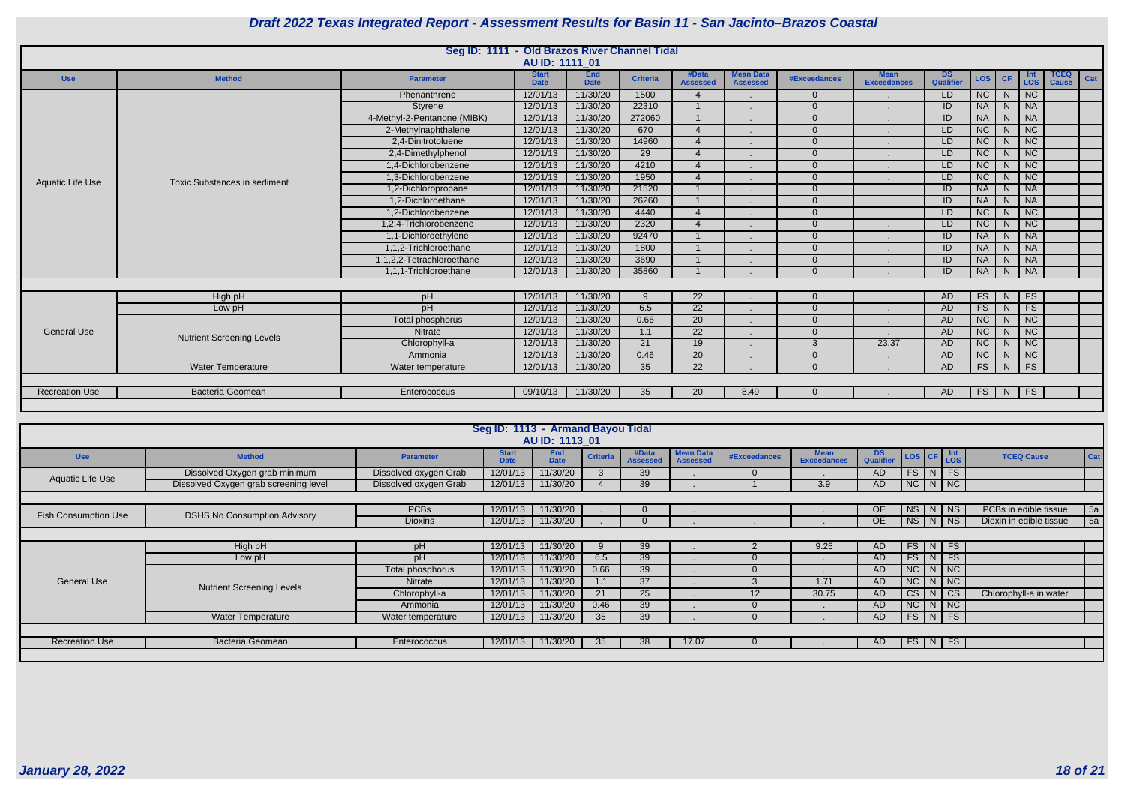

|                       |                                     | Seg ID: 1111 - Old Brazos River Channel Tidal |                             |                           |                 |                          |                                     |                     |                                   |                        |            |                |                             |                             |     |
|-----------------------|-------------------------------------|-----------------------------------------------|-----------------------------|---------------------------|-----------------|--------------------------|-------------------------------------|---------------------|-----------------------------------|------------------------|------------|----------------|-----------------------------|-----------------------------|-----|
|                       |                                     |                                               | AU ID: 1111 01              |                           |                 |                          |                                     |                     |                                   |                        |            |                |                             |                             |     |
| <b>Use</b>            | <b>Method</b>                       | <b>Parameter</b>                              | <b>Start</b><br><b>Date</b> | <b>End</b><br><b>Date</b> | <b>Criteria</b> | #Data<br><b>Assessed</b> | <b>Mean Data</b><br><b>Assessed</b> | <b>#Exceedances</b> | <b>Mean</b><br><b>Exceedances</b> | <b>DS</b><br>Qualifier | <b>LOS</b> | <b>CF</b>      | <b>LOS</b>                  | <b>TCEQ</b><br><b>Cause</b> | Cat |
|                       |                                     | Phenanthrene                                  | 12/01/13                    | 11/30/20                  | 1500            |                          |                                     | $\Omega$            |                                   | LD.                    | NC         | N.             | $\overline{\phantom{a}}$ NC |                             |     |
|                       |                                     | Styrene                                       | 12/01/13                    | 11/30/20                  | 22310           |                          |                                     | $\Omega$            |                                   | ID                     | <b>NA</b>  | N.             | <b>NA</b>                   |                             |     |
|                       |                                     | 4-Methyl-2-Pentanone (MIBK)                   | 12/01/13                    | 11/30/20                  | 272060          |                          |                                     | $\Omega$            |                                   | ID                     | <b>NA</b>  | N              | <b>NA</b>                   |                             |     |
|                       |                                     | 2-Methylnaphthalene                           | 12/01/13                    | 11/30/20                  | 670             | $\overline{4}$           |                                     | $\Omega$            |                                   | LD                     | NC         | N.             | NC                          |                             |     |
|                       |                                     | 2,4-Dinitrotoluene                            | 12/01/13                    | 11/30/20                  | 14960           | $\boldsymbol{\Delta}$    |                                     | $\Omega$            |                                   | LD                     | NC         | N <sub>1</sub> | NC                          |                             |     |
|                       |                                     | 2,4-Dimethylphenol                            | 12/01/13                    | 11/30/20                  | $\overline{29}$ | $\boldsymbol{\varDelta}$ |                                     | $\Omega$            |                                   | LD.                    | NC         | N <sub>1</sub> | NC                          |                             |     |
|                       |                                     | 1,4-Dichlorobenzene                           | 12/01/13                    | 11/30/20                  | 4210            |                          |                                     | $\Omega$            |                                   | LD                     | NC         | N.             | NC                          |                             |     |
| Aquatic Life Use      | <b>Toxic Substances in sediment</b> | 1,3-Dichlorobenzene                           | 12/01/13                    | 11/30/20                  | 1950            | $\boldsymbol{\Delta}$    |                                     | $\Omega$            |                                   | LD                     | <b>NC</b>  | N              | NC                          |                             |     |
|                       |                                     | 1,2-Dichloropropane                           | 12/01/13                    | 11/30/20                  | 21520           |                          |                                     | $\Omega$            |                                   | ID                     | <b>NA</b>  | N.             | <b>NA</b>                   |                             |     |
|                       |                                     | 1,2-Dichloroethane                            | 12/01/13                    | 11/30/20                  | 26260           |                          |                                     | $\Omega$            |                                   | ID                     | <b>NA</b>  | N <sub>1</sub> | <b>NA</b>                   |                             |     |
|                       |                                     | 1.2-Dichlorobenzene                           | 12/01/13                    | 11/30/20                  | 4440            | $\boldsymbol{\varDelta}$ |                                     | $\Omega$            |                                   | LD                     | NC         | N.             | NC                          |                             |     |
|                       |                                     | 1,2,4-Trichlorobenzene                        | 12/01/13                    | 11/30/20                  | 2320            | $\boldsymbol{\varDelta}$ |                                     | $\Omega$            |                                   | LD                     | <b>NC</b>  | N.             | NC                          |                             |     |
|                       |                                     | 1,1-Dichloroethylene                          | 12/01/13                    | 11/30/20                  | 92470           |                          |                                     | $\Omega$            |                                   | ID                     | <b>NA</b>  | N.             | <b>NA</b>                   |                             |     |
|                       |                                     | 1,1,2-Trichloroethane                         | 12/01/13                    | 11/30/20                  | 1800            |                          |                                     | $\Omega$            |                                   | ID                     | <b>NA</b>  | N.             | <b>NA</b>                   |                             |     |
|                       |                                     | 1,1,2,2-Tetrachloroethane                     | 12/01/13                    | 11/30/20                  | 3690            |                          |                                     | $\Omega$            |                                   | ID                     | <b>NA</b>  | N              | <b>NA</b>                   |                             |     |
|                       |                                     | 1,1,1-Trichloroethane                         | 12/01/13                    | 11/30/20                  | 35860           |                          |                                     | $\Omega$            |                                   | $\overline{ID}$        | <b>NA</b>  | N              | $\overline{\phantom{a}}$ NA |                             |     |
|                       |                                     |                                               |                             |                           |                 |                          |                                     |                     |                                   |                        |            |                |                             |                             |     |
|                       | High pH                             | pH                                            | 12/01/13                    | 11/30/20                  | 9               | 22                       |                                     | $\overline{0}$      |                                   | AD                     | <b>FS</b>  | N.             | FS                          |                             |     |
|                       | Low pH                              | pH                                            | 12/01/13                    | 11/30/20                  | 6.5             | 22                       |                                     | $\Omega$            |                                   | AD                     | <b>FS</b>  | N.             | <b>FS</b>                   |                             |     |
|                       |                                     | Total phosphorus                              | 12/01/13                    | 11/30/20                  | 0.66            | $\overline{20}$          |                                     | $\Omega$            |                                   | AD                     | NC         | N <sub>1</sub> | NC                          |                             |     |
| <b>General Use</b>    | <b>Nutrient Screening Levels</b>    | Nitrate                                       | 12/01/13                    | 11/30/20                  | 1.1             | $\overline{22}$          |                                     | $\Omega$            |                                   | AD                     | NC         | N <sub>1</sub> | NC                          |                             |     |
|                       |                                     | Chlorophyll-a                                 | 12/01/13                    | 11/30/20                  | $\overline{21}$ | 19                       |                                     | $\mathcal{S}$       | 23.37                             | AD                     | NC         | N <sub>1</sub> | NC                          |                             |     |
|                       |                                     | Ammonia                                       | 12/01/13                    | 11/30/20                  | 0.46            | 20                       |                                     | $\Omega$            |                                   | AD                     | NC         | N.             | NC                          |                             |     |
|                       | <b>Water Temperature</b>            | Water temperature                             | 12/01/13                    | 11/30/20                  | 35              | $\overline{22}$          |                                     | $\Omega$            |                                   | AD                     | FS         | N.             | FS                          |                             |     |
|                       |                                     |                                               |                             |                           |                 |                          |                                     |                     |                                   |                        |            |                |                             |                             |     |
| <b>Recreation Use</b> | <b>Bacteria Geomean</b>             | Enterococcus                                  | 09/10/13                    | 11/30/20                  | 35              | 20                       | 8.49                                | $\Omega$            |                                   | AD                     | FS         | N,             | FS                          |                             |     |
|                       |                                     |                                               |                             |                           |                 |                          |                                     |                     |                                   |                        |            |                |                             |                             |     |
|                       |                                     |                                               |                             |                           |                 |                          |                                     |                     |                                   |                        |            |                |                             |                             |     |

|                             |                                       |                       | Seg ID: 1113 - Armand Bayou Tidal |                           |                 |                          |                                     |                     |                                   |                         |                    |          |                         |            |  |
|-----------------------------|---------------------------------------|-----------------------|-----------------------------------|---------------------------|-----------------|--------------------------|-------------------------------------|---------------------|-----------------------------------|-------------------------|--------------------|----------|-------------------------|------------|--|
|                             |                                       |                       |                                   | AU ID: 1113 01            |                 |                          |                                     |                     |                                   |                         |                    |          |                         |            |  |
| <b>Use</b>                  | <b>Method</b>                         | <b>Parameter</b>      | <b>Start</b><br><b>Date</b>       | <b>End</b><br><b>Date</b> | <b>Criteria</b> | #Data<br><b>Assessed</b> | <b>Mean Data</b><br><b>Assessed</b> | <b>#Exceedances</b> | <b>Mean</b><br><b>Exceedances</b> | DS.<br><b>Qualifier</b> | LOS CF LOS         |          | <b>TCEQ Cause</b>       | Cat        |  |
| <b>Aquatic Life Use</b>     | Dissolved Oxygen grab minimum         | Dissolved oxygen Grab | 12/01/13                          | 11/30/20                  | $\mathcal{S}$   | 39                       |                                     |                     |                                   | AD                      | $FS\mid N \mid FS$ |          |                         |            |  |
|                             | Dissolved Oxygen grab screening level | Dissolved oxygen Grab | 12/01/13                          | 11/30/20                  |                 | 39                       |                                     |                     | 3.9                               | AD.                     | $N$ C $N$ $N$      |          |                         |            |  |
|                             |                                       |                       |                                   |                           |                 |                          |                                     |                     |                                   |                         |                    |          |                         |            |  |
| <b>Fish Consumption Use</b> | <b>DSHS No Consumption Advisory</b>   | <b>PCBs</b>           | 12/01/13                          | 11/30/20                  |                 | $\Omega$                 |                                     |                     |                                   | OE.                     | $NS$ $N$ $NS$      |          | PCBs in edible tissue   | 5a         |  |
|                             |                                       | <b>Dioxins</b>        | 12/01/13                          | 11/30/20                  |                 |                          |                                     |                     |                                   | OE.                     | NS N NS            |          | Dioxin in edible tissue | $\vert$ 5a |  |
|                             |                                       |                       |                                   |                           |                 |                          |                                     |                     |                                   |                         |                    |          |                         |            |  |
|                             | High pH                               | pH                    | 12/01/13                          | 11/30/20                  |                 | 39                       |                                     |                     | 9.25                              | AD.                     | $FS$ N FS          |          |                         |            |  |
|                             | Low pH                                | pH                    | 12/01/13                          | 11/30/20                  | 6.5             | 39                       |                                     |                     |                                   | AD.                     | $FS\mid N \mid FS$ |          |                         |            |  |
|                             |                                       | Total phosphorus      | 12/01/13                          | 11/30/20                  | 0.66            | 39                       |                                     |                     |                                   | AD.                     | $NC$ $N$ $NC$      |          |                         |            |  |
| <b>General Use</b>          | <b>Nutrient Screening Levels</b>      | Nitrate               | 12/01/13                          | 11/30/20                  | 1.1             | 37                       |                                     |                     | 1.71                              | AD.                     | NC                 | N   NC   |                         |            |  |
|                             |                                       | Chlorophyll-a         | 12/01/13                          | 11/30/20                  | 21              | 25                       |                                     | 12                  | 30.75                             | AD.                     | CS                 | $N$ $CS$ | Chlorophyll-a in water  |            |  |
|                             |                                       | Ammonia               | 12/01/13                          | 11/30/20                  | 0.46            | 39                       |                                     | $\Omega$            |                                   | AD.                     | $NC$ $N$ $NC$      |          |                         |            |  |
|                             | <b>Water Temperature</b>              | Water temperature     | 12/01/13                          | 11/30/20                  | 35 <sub>2</sub> | 39                       |                                     |                     |                                   | AD                      | $FS$ $N$ $FS$      |          |                         |            |  |
|                             |                                       |                       |                                   |                           |                 |                          |                                     |                     |                                   |                         |                    |          |                         |            |  |
| <b>Recreation Use</b>       | Bacteria Geomean                      | Enterococcus          | 12/01/13                          | 11/30/20                  | 35              | 38                       | 17.07                               |                     |                                   | AD.                     | $FS$ $N$ $FS$      |          |                         |            |  |
|                             |                                       |                       |                                   |                           |                 |                          |                                     |                     |                                   |                         |                    |          |                         |            |  |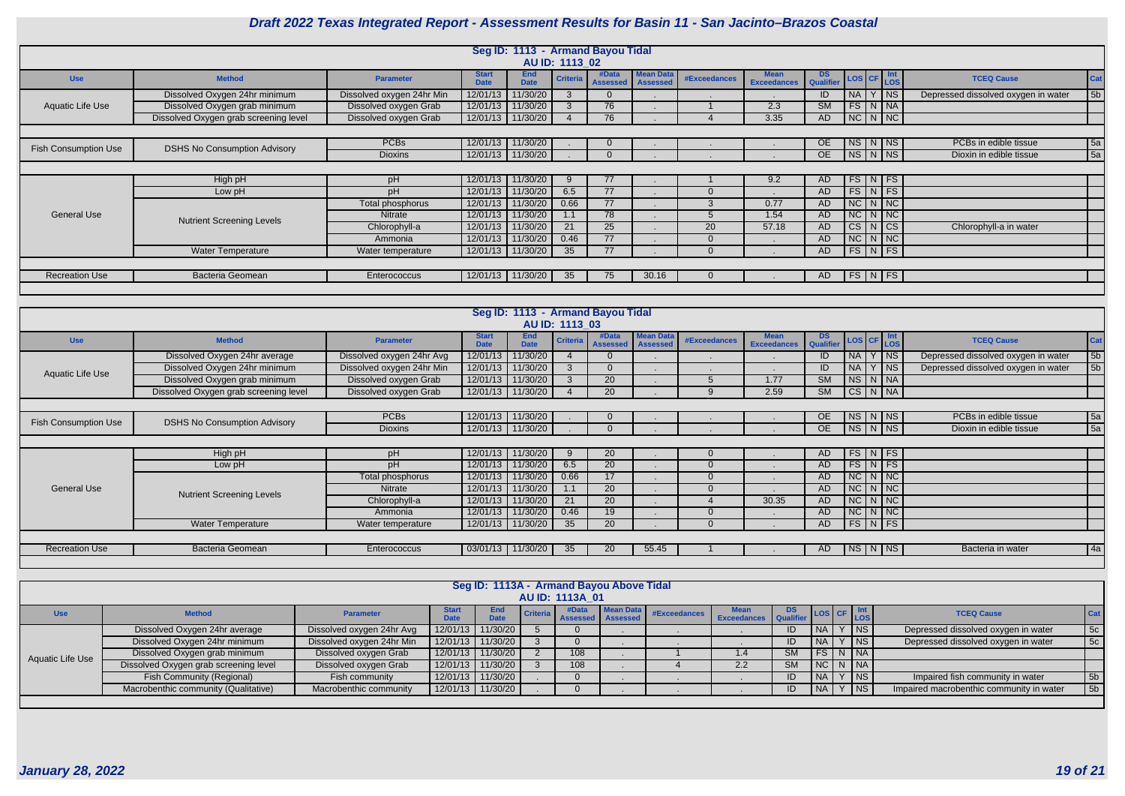

|                             | Seg ID: 1113 - Armand Bayou Tidal<br>AU ID: 1113 02 |                           |                             |                           |                 |                          |                                     |                     |                                   |                         |                 |  |                                                           |                                     |                |
|-----------------------------|-----------------------------------------------------|---------------------------|-----------------------------|---------------------------|-----------------|--------------------------|-------------------------------------|---------------------|-----------------------------------|-------------------------|-----------------|--|-----------------------------------------------------------|-------------------------------------|----------------|
|                             |                                                     |                           |                             |                           |                 |                          |                                     |                     |                                   |                         |                 |  |                                                           |                                     |                |
| <b>Use</b>                  | <b>Method</b>                                       | <b>Parameter</b>          | <b>Start</b><br><b>Date</b> | <b>End</b><br><b>Date</b> | <b>Criteria</b> | #Data<br><b>Assessed</b> | <b>Mean Data</b><br><b>Assessed</b> | <b>#Exceedances</b> | <b>Mean</b><br><b>Exceedances</b> | DS Qualifier LOS CF LOS |                 |  |                                                           | <b>TCEQ Cause</b>                   | Cat            |
|                             | Dissolved Oxygen 24hr minimum                       | Dissolved oxygen 24hr Min | 12/01/13                    | 11/30/20                  | $\mathcal{S}$   |                          |                                     |                     |                                   | ID                      | <b>NA</b>       |  | $ $ NS                                                    | Depressed dissolved oxygen in water | 5 <sub>b</sub> |
| Aquatic Life Use            | Dissolved Oxygen grab minimum                       | Dissolved oxygen Grab     |                             | 12/01/13 11/30/20         |                 | 76                       |                                     |                     | 2.3                               | <b>SM</b>               |                 |  | $FS$ $N$ $N$                                              |                                     |                |
|                             | Dissolved Oxygen grab screening level               | Dissolved oxygen Grab     |                             | 12/01/13 11/30/20         |                 | 76                       |                                     |                     | 3.35                              | AD.                     |                 |  | NCI N/NC                                                  |                                     |                |
|                             |                                                     |                           |                             |                           |                 |                          |                                     |                     |                                   |                         |                 |  |                                                           |                                     |                |
|                             | <b>DSHS No Consumption Advisory</b>                 | <b>PCBs</b>               |                             | 12/01/13 11/30/20         |                 |                          |                                     |                     |                                   | <b>OE</b>               | <b>NS</b>       |  | $N$ NS                                                    | PCBs in edible tissue               | 5a             |
| <b>Fish Consumption Use</b> |                                                     | <b>Dioxins</b>            |                             | 12/01/13 11/30/20         |                 |                          |                                     |                     |                                   | <b>OE</b>               |                 |  | $N_S/N$ $NS$                                              | Dioxin in edible tissue             | 5a             |
|                             |                                                     |                           |                             |                           |                 |                          |                                     |                     |                                   |                         |                 |  |                                                           |                                     |                |
|                             | High pH                                             | pH                        |                             | 12/01/13 11/30/20         | $\mathbf{Q}$    | 77                       |                                     |                     | 9.2                               | <b>AD</b>               |                 |  | $FS\mid N \mid FS$                                        |                                     |                |
|                             | Low pH                                              | pH                        | 12/01/13                    | 11/30/20                  | 6.5             | 77                       |                                     | $\Omega$            |                                   | <b>AD</b>               | FS <sub>1</sub> |  | $N$ FS                                                    |                                     |                |
|                             |                                                     | Total phosphorus          | 12/01/13                    | 11/30/20                  | 0.66            | 77                       |                                     | 3                   | 0.77                              | <b>AD</b>               | NC              |  | NNC                                                       |                                     |                |
| <b>General Use</b>          | <b>Nutrient Screening Levels</b>                    | <b>Nitrate</b>            | 12/01/13                    | 11/30/20                  | 1.1             | 78                       |                                     |                     | 1.54                              | <b>AD</b>               | NC              |  | NNC                                                       |                                     |                |
|                             |                                                     | Chlorophyll-a             | 12/01/13                    | 11/30/20                  | 21              | 25                       |                                     | 20                  | 57.18                             | <b>AD</b>               | CS              |  | N CS                                                      | Chlorophyll-a in water              |                |
|                             |                                                     | Ammonia                   | 12/01/13                    | 11/30/20                  | 0.46            | 77                       |                                     | $\Omega$            |                                   | <b>AD</b>               | NC              |  | NNC                                                       |                                     |                |
|                             | <b>Water Temperature</b>                            | Water temperature         |                             | 12/01/13 11/30/20         | 35              | 77                       |                                     | $\Omega$            |                                   | <b>AD</b>               | FS              |  | $\lfloor N \rfloor$ FS                                    |                                     |                |
|                             |                                                     |                           |                             |                           |                 |                          |                                     |                     |                                   |                         |                 |  |                                                           |                                     |                |
| <b>Recreation Use</b>       | Bacteria Geomean                                    | Enterococcus              |                             | 12/01/13 11/30/20         | 35              | 75                       | 30.16                               | $\Omega$            |                                   | AD.                     |                 |  | $\lceil \textsf{FS} \rceil$ N $\lceil \textsf{FS} \rceil$ |                                     |                |
|                             |                                                     |                           |                             |                           |                 |                          |                                     |                     |                                   |                         |                 |  |                                                           |                                     |                |
|                             |                                                     |                           |                             |                           |                 |                          |                                     |                     |                                   |                         |                 |  |                                                           |                                     |                |

|                             |                                       |                           |                             | Seg ID: 1113 - Armand Bayou Tidal |                 |                          |                                     |                     |                                   |                        |           |  |                         |                                     |                |
|-----------------------------|---------------------------------------|---------------------------|-----------------------------|-----------------------------------|-----------------|--------------------------|-------------------------------------|---------------------|-----------------------------------|------------------------|-----------|--|-------------------------|-------------------------------------|----------------|
|                             |                                       |                           |                             |                                   | AU ID: 1113 03  |                          |                                     |                     |                                   |                        |           |  |                         |                                     |                |
| <b>Use</b>                  | <b>Method</b>                         | <b>Parameter</b>          | <b>Start</b><br><b>Date</b> | <b>End</b><br><b>Date</b>         | <b>Criteria</b> | #Data<br><b>Assessed</b> | <b>Mean Data</b><br><b>Assessed</b> | <b>#Exceedances</b> | <b>Mean</b><br><b>Exceedances</b> | <b>DS</b><br>Qualifier | LOS CF    |  | Int<br><b>LOS</b>       | <b>TCEQ Cause</b>                   | <b>Cat</b>     |
|                             | Dissolved Oxygen 24hr average         | Dissolved oxygen 24hr Avg | 12/01/13                    | 1/30/20                           |                 |                          |                                     |                     |                                   | ID                     | <b>NA</b> |  | <b>NS</b>               | Depressed dissolved oxygen in water | 5 <sub>b</sub> |
| Aquatic Life Use            | Dissolved Oxygen 24hr minimum         | Dissolved oxygen 24hr Min | 12/01/13                    | 11/30/20                          |                 |                          |                                     |                     |                                   | ID                     | <b>NA</b> |  | N <sub>S</sub>          | Depressed dissolved oxygen in water | 5 <sub>b</sub> |
|                             | Dissolved Oxygen grab minimum         | Dissolved oxygen Grab     | 12/01/13                    | 11/30/20                          |                 | 20                       |                                     |                     | 1.77                              | $\overline{\text{SM}}$ | NS        |  | NNA                     |                                     |                |
|                             | Dissolved Oxygen grab screening level | Dissolved oxygen Grab     | 12/01/13                    | 11/30/20                          |                 | 20                       |                                     |                     | 2.59                              | $\overline{\text{SM}}$ |           |  | CS N NA                 |                                     |                |
|                             |                                       |                           |                             |                                   |                 |                          |                                     |                     |                                   |                        |           |  |                         |                                     |                |
| <b>Fish Consumption Use</b> | <b>DSHS No Consumption Advisory</b>   | <b>PCBs</b>               | 12/01/13                    | 11/30/20                          |                 |                          |                                     |                     |                                   | <b>OE</b>              | <b>NS</b> |  | N   NS                  | PCBs in edible tissue               | 5a             |
|                             |                                       | <b>Dioxins</b>            | 12/01/13                    | 11/30/20                          |                 |                          |                                     |                     |                                   | <b>OE</b>              |           |  | $NS$ $N$ $NS$           | Dioxin in edible tissue             | 5a             |
|                             |                                       |                           |                             |                                   |                 |                          |                                     |                     |                                   |                        |           |  |                         |                                     |                |
|                             | High pH                               | pH                        | 12/01/13                    | 11/30/20                          |                 | 20                       |                                     |                     |                                   | AD                     |           |  | $FS\mid N \mid FS \mid$ |                                     |                |
|                             | Low pH                                | pH                        | 12/01/13                    | 11/30/20                          | 6.5             | 20                       |                                     | $\Omega$            |                                   | <b>AD</b>              |           |  | $FS\mid N \mid FS$      |                                     |                |
|                             |                                       | Total phosphorus          | 12/01/13                    | 11/30/20                          | 0.66            | 17                       |                                     | $\Omega$            | $\sim$                            | <b>AD</b>              |           |  | NC N NC                 |                                     |                |
| <b>General Use</b>          | <b>Nutrient Screening Levels</b>      | Nitrate                   | 12/01/13                    | 11/30/20                          | 1.1             | 20                       |                                     | $\Omega$            |                                   | AD                     | NC        |  | NC                      |                                     |                |
|                             |                                       | Chlorophyll-a             | 12/01/13                    | 11/30/20                          | 21              | 20                       |                                     |                     | 30.35                             | <b>AD</b>              | NC        |  | $N$ $NC$                |                                     |                |
|                             |                                       | Ammonia                   | 12/01/13                    | 11/30/20                          | 0.46            | 19                       |                                     | $\Omega$            |                                   | <b>AD</b>              | NC        |  | NC                      |                                     |                |
|                             | Water Temperature                     | Water temperature         | 12/01/13                    | 11/30/20                          | 35 <sub>2</sub> | 20                       |                                     | $\Omega$            |                                   | <b>AD</b>              |           |  | $FS\mid N \mid FS \mid$ |                                     |                |
|                             |                                       |                           |                             |                                   |                 |                          |                                     |                     |                                   |                        |           |  |                         |                                     |                |
| <b>Recreation Use</b>       | <b>Bacteria Geomean</b>               | Enterococcus              | 03/01/13                    | 11/30/20                          | 35              | <b>20</b>                | 55.45                               |                     |                                   | AD.                    |           |  | NS   N   NS             | Bacteria in water                   | 4a             |
|                             |                                       |                           |                             |                                   |                 |                          |                                     |                     |                                   |                        |           |  |                         |                                     |                |

|                  |                                       |                           |              |                           | Seg ID: 1113A - Armand Bayou Above Tidal |                                                                                       |     |    |           |                                                                                                                 |                                                |
|------------------|---------------------------------------|---------------------------|--------------|---------------------------|------------------------------------------|---------------------------------------------------------------------------------------|-----|----|-----------|-----------------------------------------------------------------------------------------------------------------|------------------------------------------------|
|                  |                                       |                           |              |                           | <b>AU ID: 1113A 01</b>                   |                                                                                       |     |    |           |                                                                                                                 |                                                |
| <b>Use</b>       | <b>Method</b>                         | <b>Parameter</b>          | <b>Start</b> | <b>End</b><br><b>Date</b> | #Data<br>Criteria Assessed Assessed      | Mean Data   #Exceedances   Mean DS<br>d Assessed #Exceedances   Exceedances Qualifier |     |    |           | $\begin{array}{ c c c c c }\n\hline\n\hline\n\end{array}$ LOS $\begin{array}{ c c c }\n\hline\n\end{array}$ LOS | <b>Cat</b><br><b>TCEQ Cause</b>                |
|                  | Dissolved Oxygen 24hr average         | Dissolved oxygen 24hr Avg |              | 12/01/13 11/30/20         |                                          |                                                                                       |     | ID | <b>NA</b> | $\vert$ NS $\vert$                                                                                              | 5c <br>Depressed dissolved oxygen in water     |
|                  | Dissolved Oxygen 24hr minimum         | Dissolved oxygen 24hr Min |              | 12/01/13 11/30/20         |                                          |                                                                                       |     | ID | <b>NA</b> | $Y$ NS                                                                                                          | 5c <br>Depressed dissolved oxygen in water     |
| Aquatic Life Use | Dissolved Oxygen grab minimum         | Dissolved oxygen Grab     |              | 12/01/13 11/30/20         | 108                                      |                                                                                       | 1.4 | SM |           | FS N NA                                                                                                         |                                                |
|                  | Dissolved Oxygen grab screening level | Dissolved oxygen Grab     |              | 12/01/13 11/30/20         | 108                                      |                                                                                       | 2.2 | SM |           | NC N NA                                                                                                         |                                                |
|                  | <b>Fish Community (Regional)</b>      | Fish community            |              | 12/01/13 11/30/20         |                                          |                                                                                       |     | ID | <b>NA</b> | $Y$ NS                                                                                                          | 5b<br>Impaired fish community in water         |
|                  | Macrobenthic community (Qualitative)  | Macrobenthic community    |              | 12/01/13 11/30/20         |                                          |                                                                                       |     | ID | $N_A$     | $Y$ NS                                                                                                          | 5b<br>Impaired macrobenthic community in water |
|                  |                                       |                           |              |                           |                                          |                                                                                       |     |    |           |                                                                                                                 |                                                |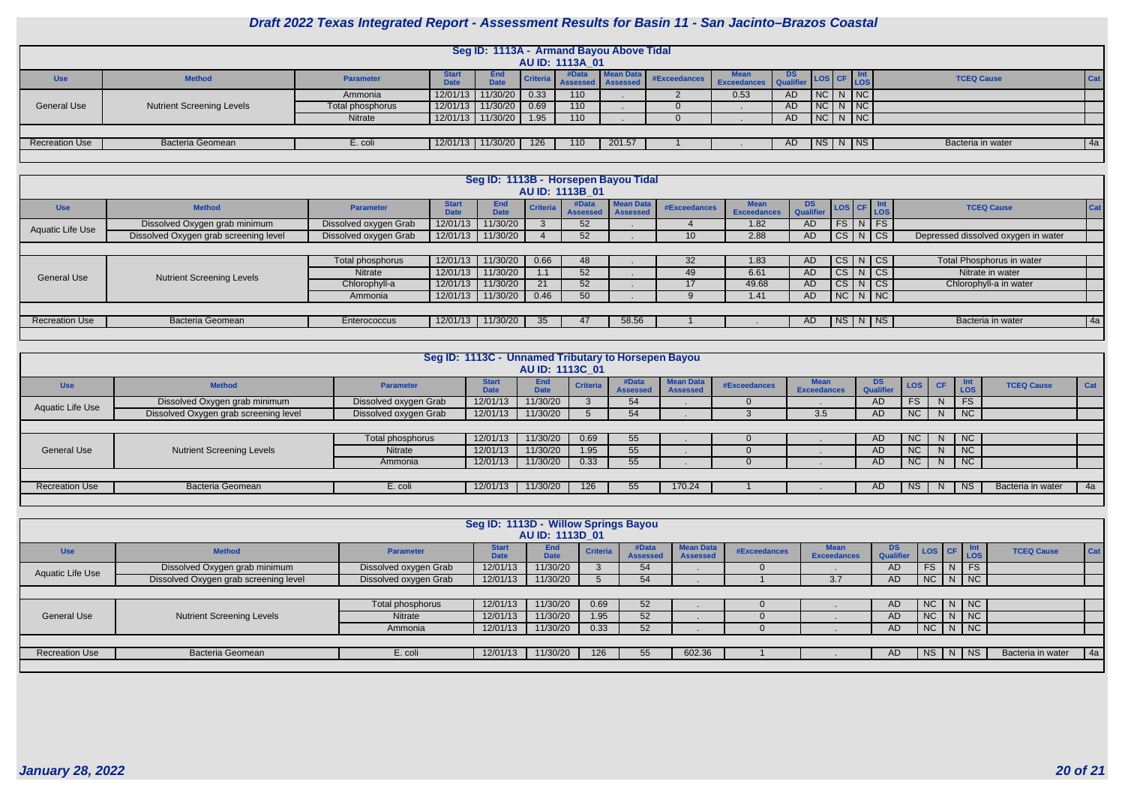

|                       |                                  |                  |             |                           |          |                              | Seg ID: 1113A - Armand Bayou Above Tidal |                                          |             |     |         |     |                   |            |
|-----------------------|----------------------------------|------------------|-------------|---------------------------|----------|------------------------------|------------------------------------------|------------------------------------------|-------------|-----|---------|-----|-------------------|------------|
|                       |                                  |                  |             |                           |          | <b>AU ID: 1113A 01</b>       |                                          |                                          |             |     |         |     |                   |            |
| <b>Use</b>            | <b>Method</b>                    | <b>Parameter</b> | <b>Date</b> | <b>End</b><br><b>Date</b> | Criteria | #Data<br>Assessed   Assessed | Mean Data                                | <b>Exceedances</b> Exceedances Qualifier | <b>Mean</b> |     | LOS CF  | LOS | <b>TCEQ Cause</b> | <b>Cat</b> |
|                       |                                  | Ammonia          |             | 12/01/13 11/30/20         | 0.33     | 110                          |                                          |                                          | 0.53        | AD  | NCNNC   |     |                   |            |
| <b>General Use</b>    | <b>Nutrient Screening Levels</b> | Total phosphorus |             | 12/01/13 11/30/20         | 0.69     | 110                          |                                          |                                          |             | AD  | NC      | NC  |                   |            |
|                       |                                  | Nitrate          |             | 12/01/13 11/30/20         | 1.95     | 110                          |                                          |                                          |             | AD  | NC N NC |     |                   |            |
|                       |                                  |                  |             |                           |          |                              |                                          |                                          |             |     |         |     |                   |            |
| <b>Recreation Use</b> | <b>Bacteria Geomean</b>          | E. coli          |             | 12/01/13 11/30/20         | 126      | 110                          | 201.57                                   |                                          |             | AD. | NS N NS |     | Bacteria in water | $4a$       |
|                       |                                  |                  |             |                           |          |                              |                                          |                                          |             |     |         |     |                   |            |

| Seg ID: 1113B - Horsepen Bayou Tidal                             |                                  |                       |                             |                    |                 |                          |                              |              |                                   |                                       |                    |                    |                                     |            |
|------------------------------------------------------------------|----------------------------------|-----------------------|-----------------------------|--------------------|-----------------|--------------------------|------------------------------|--------------|-----------------------------------|---------------------------------------|--------------------|--------------------|-------------------------------------|------------|
| <b>AU ID: 1113B 01</b>                                           |                                  |                       |                             |                    |                 |                          |                              |              |                                   |                                       |                    |                    |                                     |            |
| <b>Use</b>                                                       | <b>Method</b>                    | <b>Parameter</b>      | <b>Start</b><br><b>Date</b> | End<br><b>Date</b> | <b>Criteria</b> | #Data<br><b>Assessed</b> | Mean Data<br><b>Assessed</b> | #Exceedances | <b>Mean</b><br><b>Exceedances</b> | DS LOS CF Int<br>Qualifier LOS CF LOS |                    |                    | <b>TCEQ Cause</b>                   | <b>Cat</b> |
|                                                                  | Dissolved Oxygen grab minimum    | Dissolved oxygen Grab | 12/01/13                    | 11/30/20           |                 | 52                       |                              |              | 1.82                              | <b>AD</b>                             | $FS\mid N \mid FS$ |                    |                                     |            |
| <b>Aquatic Life Use</b><br>Dissolved Oxygen grab screening level |                                  | Dissolved oxygen Grab | 12/01/13                    | 11/30/20           |                 | 52                       |                              | 10           | 2.88                              | <b>AD</b>                             | $CS$ $N$ $CS$      |                    | Depressed dissolved oxygen in water |            |
|                                                                  |                                  |                       |                             |                    |                 |                          |                              |              |                                   |                                       |                    |                    |                                     |            |
|                                                                  | <b>Nutrient Screening Levels</b> | Total phosphorus      | 12/01/13                    | 11/30/20           | 0.66            | 48                       |                              | 32           | 1.83                              | <b>AD</b>                             | $CS$ N $CS$        |                    | Total Phosphorus in water           |            |
| <b>General Use</b>                                               |                                  | Nitrate               | 12/01/13                    | 11/30/20           |                 | 52 <sub>2</sub>          |                              | 49           | 6.61                              | <b>AD</b>                             | CS <sup></sup>     | $\vert N \vert$ CS | Nitrate in water                    |            |
|                                                                  |                                  | Chlorophyll-a         | 12/01/13                    | 11/30/20           | 21              | 52 <sub>2</sub>          |                              | 17           | 49.68                             | <b>AD</b>                             | $CS$ $N$ $CS$      |                    | Chlorophyll-a in water              |            |
|                                                                  |                                  | Ammonia               | 12/01/13                    | 11/30/20           | 0.46            | 50                       |                              |              | 1.41                              | <b>AD</b>                             | $NC$ $N$ $NC$      |                    |                                     |            |
|                                                                  |                                  |                       |                             |                    |                 |                          |                              |              |                                   |                                       |                    |                    |                                     |            |
| <b>Recreation Use</b>                                            | <b>Bacteria Geomean</b>          | <b>Enterococcus</b>   | 12/01/13                    | 11/30/20           | 35              | 47                       | 58.56                        |              |                                   | AD                                    | $N_S$ N $N_S$      |                    | Bacteria in water                   | 4a         |
|                                                                  |                                  |                       |                             |                    |                 |                          |                              |              |                                   |                                       |                    |                    |                                     |            |

| Seg ID: 1113C - Unnamed Tributary to Horsepen Bayou<br>AU ID: 1113C 01 |                       |                             |                           |                 |                          |                                     |              |                                   |                               |            |           |                   |                   |     |
|------------------------------------------------------------------------|-----------------------|-----------------------------|---------------------------|-----------------|--------------------------|-------------------------------------|--------------|-----------------------------------|-------------------------------|------------|-----------|-------------------|-------------------|-----|
| <b>Method</b>                                                          | <b>Parameter</b>      | <b>Start</b><br><b>Date</b> | <b>End</b><br><b>Date</b> | <b>Criteria</b> | #Data<br><b>Assessed</b> | <b>Mean Data</b><br><b>Assessed</b> | #Exceedances | <b>Mean</b><br><b>Exceedances</b> | <b>DS</b><br><b>Qualifier</b> | <b>LOS</b> | <b>CF</b> | <b>Int</b><br>LOS | <b>TCEQ Cause</b> | Cat |
| Dissolved Oxygen grab minimum                                          | Dissolved oxygen Grab | 12/01/13                    | 11/30/20                  |                 | 54                       |                                     |              |                                   | AD                            | <b>FS</b>  | N.        | <b>FS</b>         |                   |     |
| Dissolved Oxygen grab screening level                                  | Dissolved oxygen Grab | 12/01/13                    | 11/30/20                  |                 | 54                       |                                     |              | 3.5                               | AD                            | <b>NC</b>  | N.        | <b>NC</b>         |                   |     |
|                                                                        |                       |                             |                           |                 |                          |                                     |              |                                   |                               |            |           |                   |                   |     |
| <b>Nutrient Screening Levels</b>                                       | Total phosphorus      | 12/01/13                    | 11/30/20                  | 0.69            | 55                       |                                     |              |                                   | <b>AD</b>                     | <b>NC</b>  | N.        | <b>NC</b>         |                   |     |
|                                                                        | Nitrate               | 12/01/13                    | 11/30/20                  | 1.95            | 55                       |                                     |              |                                   | AD.                           | <b>NC</b>  | N.        | <b>NC</b>         |                   |     |
|                                                                        | Ammonia               | 12/01/13                    | 11/30/20                  | 0.33            | 55                       |                                     |              |                                   | AD                            | <b>NC</b>  | N.        | <b>NC</b>         |                   |     |
|                                                                        |                       |                             |                           |                 |                          |                                     |              |                                   |                               |            |           |                   |                   |     |
| <b>Bacteria Geomean</b>                                                | E. coli               | 12/01/13                    | 11/30/20                  | 126             | 55                       | 170.24                              |              |                                   | AD.                           | <b>NS</b>  | N.        | NS.               | Bacteria in water | 4a  |
|                                                                        |                       |                             |                           |                 |                          |                                     |              |                                   |                               |            |           |                   |                   |     |

| Seg ID: 1113D - Willow Springs Bayou<br>AU ID: 1113D 01 |                                       |                       |                             |                           |                 |                         |                              |              |                                   |                         |            |                           |               |                   |     |
|---------------------------------------------------------|---------------------------------------|-----------------------|-----------------------------|---------------------------|-----------------|-------------------------|------------------------------|--------------|-----------------------------------|-------------------------|------------|---------------------------|---------------|-------------------|-----|
| <b>Use</b>                                              | <b>Method</b>                         | <b>Parameter</b>      | <b>Start</b><br><b>Date</b> | <b>End</b><br><b>Date</b> | <b>Criteria</b> | #Data<br><b>Assesse</b> | <b>Mean Data</b><br>Assessed | #Exceedances | <b>Mean</b><br><b>Exceedances</b> | DS.<br><b>Qualifier</b> | LOS CF LOS |                           |               | <b>TCEQ Cause</b> | Cat |
| <b>Aquatic Life Use</b>                                 | Dissolved Oxygen grab minimum         | Dissolved oxygen Grab | 12/01/13                    | 11/30/20                  |                 | 54                      |                              |              |                                   | AD                      | FS         | $\overline{\mathsf{N}}$ . | FS            |                   |     |
|                                                         | Dissolved Oxygen grab screening level | Dissolved oxygen Grab | 12/01/13                    | 11/30/20                  |                 | 54                      |                              |              | 3.7                               | AD                      |            |                           | $NC$ $N$ $NC$ |                   |     |
|                                                         |                                       |                       |                             |                           |                 |                         |                              |              |                                   |                         |            |                           |               |                   |     |
|                                                         | <b>Nutrient Screening Levels</b>      | Total phosphorus      | 12/01/13                    | 11/30/20                  | 0.69            | 52                      |                              |              |                                   | AD.                     | NC         |                           | $N$ $NC$      |                   |     |
| <b>General Use</b>                                      |                                       | Nitrate               | 12/01/13                    | 11/30/20                  | 1.95            | 52 <sub>2</sub>         |                              |              |                                   | AD.                     | <b>NC</b>  |                           | $N$ NC        |                   |     |
|                                                         |                                       | Ammonia               | 12/01/13                    | 11/30/20                  | 0.33            | 52                      |                              |              |                                   | AD.                     | NC         |                           | $N$ NC        |                   |     |
|                                                         |                                       |                       |                             |                           |                 |                         |                              |              |                                   |                         |            |                           |               |                   |     |
| <b>Recreation Use</b>                                   | Bacteria Geomean                      | E. coli               | 12/01/13                    | 11/30/20                  | 126             | 55                      | 602.36                       |              |                                   | AD                      | NS         | NI                        | <b>NS</b>     | Bacteria in water | 4a  |
|                                                         |                                       |                       |                             |                           |                 |                         |                              |              |                                   |                         |            |                           |               |                   |     |